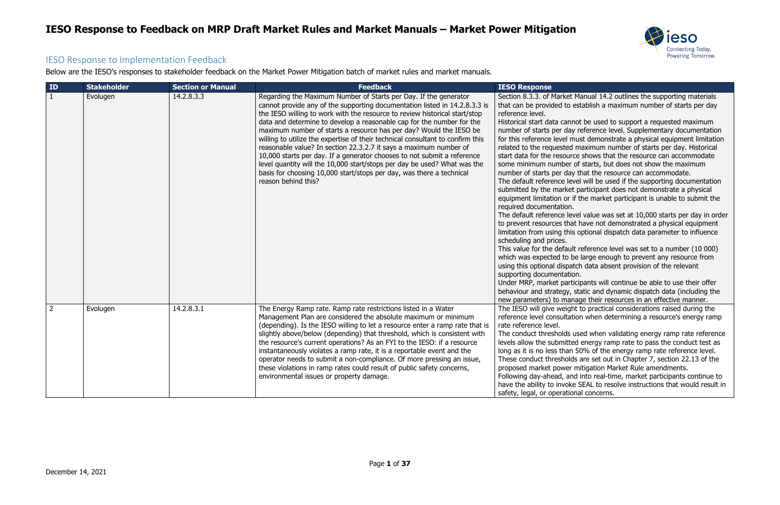

Manual 14.2 outlines the supporting materials establish a maximum number of starts per day

not be used to support a requested maximum y reference level. Supplementary documentation must demonstrate a physical equipment limitation maximum number of starts per day. Historical rce shows that the resource can accommodate of starts, but does not show the maximum y that the resource can accommodate.

vel will be used if the supporting documentation t participant does not demonstrate a physical if the market participant is unable to submit the

vel value was set at 10,000 starts per day in order at have not demonstrated a physical equipment is optional dispatch data parameter to influence

It reference level was set to a number (10 000) be large enough to prevent any resource from atch data absent provision of the relevant

ticipants will continue be able to use their offer static and dynamic dispatch data (including the nage their resources in an effective manner. ht to practical considerations raised during the tion when determining a resource's energy ramp

used when validating energy ramp rate reference ed energy ramp rate to pass the conduct test as 50% of the energy ramp rate reference level. ds are set out in Chapter 7, section 22.13 of the mitigation Market Rule amendments.

nd into real-time, market participants continue to te SEAL to resolve instructions that would result in onal concerns.

#### IESO Response to Implementation Feedback

Below are the IESO's responses to stakeholder feedback on the Market Power Mitigation batch of market rules and market manuals.

| ID             | <b>Stakeholder</b> | <b>Section or Manual</b> | <b>Feedback</b>                                                                                                                                                                                                                                                                                                                                                                                                                                                                                                                                                                                                                                                                                                                                                                          | <b>IESO Response</b>                                                                                                                                                                                                                                                                                                                                                                                                                                                                                                                                                                                                                                                                                                                                                  |
|----------------|--------------------|--------------------------|------------------------------------------------------------------------------------------------------------------------------------------------------------------------------------------------------------------------------------------------------------------------------------------------------------------------------------------------------------------------------------------------------------------------------------------------------------------------------------------------------------------------------------------------------------------------------------------------------------------------------------------------------------------------------------------------------------------------------------------------------------------------------------------|-----------------------------------------------------------------------------------------------------------------------------------------------------------------------------------------------------------------------------------------------------------------------------------------------------------------------------------------------------------------------------------------------------------------------------------------------------------------------------------------------------------------------------------------------------------------------------------------------------------------------------------------------------------------------------------------------------------------------------------------------------------------------|
| $\mathbf{1}$   | Evolugen           | 14.2.8.3.3               | Regarding the Maximum Number of Starts per Day. If the generator<br>cannot provide any of the supporting documentation listed in 14.2.8.3.3 is<br>the IESO willing to work with the resource to review historical start/stop<br>data and determine to develop a reasonable cap for the number for the<br>maximum number of starts a resource has per day? Would the IESO be<br>willing to utilize the expertise of their technical consultant to confirm this<br>reasonable value? In section 22.3.2.7 it says a maximum number of<br>10,000 starts per day. If a generator chooses to not submit a reference<br>level quantity will the 10,000 start/stops per day be used? What was the<br>basis for choosing 10,000 start/stops per day, was there a technical<br>reason behind this? | Section 8.3.3. of Market Ma<br>that can be provided to est<br>reference level.<br>Historical start data cannot<br>number of starts per day re<br>for this reference level must<br>related to the requested m<br>start data for the resource<br>some minimum number of<br>number of starts per day th<br>The default reference level<br>submitted by the market p<br>equipment limitation or if t<br>required documentation.<br>The default reference level<br>to prevent resources that h<br>limitation from using this o<br>scheduling and prices.<br>This value for the default r<br>which was expected to be<br>using this optional dispatch<br>supporting documentation.<br>Under MRP, market particip<br>behaviour and strategy, sta<br>new parameters) to manag |
| $\overline{2}$ | Evolugen           | 14.2.8.3.1               | The Energy Ramp rate. Ramp rate restrictions listed in a Water<br>Management Plan are considered the absolute maximum or minimum<br>(depending). Is the IESO willing to let a resource enter a ramp rate that is<br>slightly above/below (depending) that threshold, which is consistent with<br>the resource's current operations? As an FYI to the IESO: if a resource<br>instantaneously violates a ramp rate, it is a reportable event and the<br>operator needs to submit a non-compliance. Of more pressing an issue,<br>these violations in ramp rates could result of public safety concerns,<br>environmental issues or property damage.                                                                                                                                        | The IESO will give weight t<br>reference level consultation<br>rate reference level.<br>The conduct thresholds use<br>levels allow the submitted<br>long as it is no less than 50<br>These conduct thresholds a<br>proposed market power mi<br>Following day-ahead, and i<br>have the ability to invoke S<br>safety, legal, or operationa                                                                                                                                                                                                                                                                                                                                                                                                                             |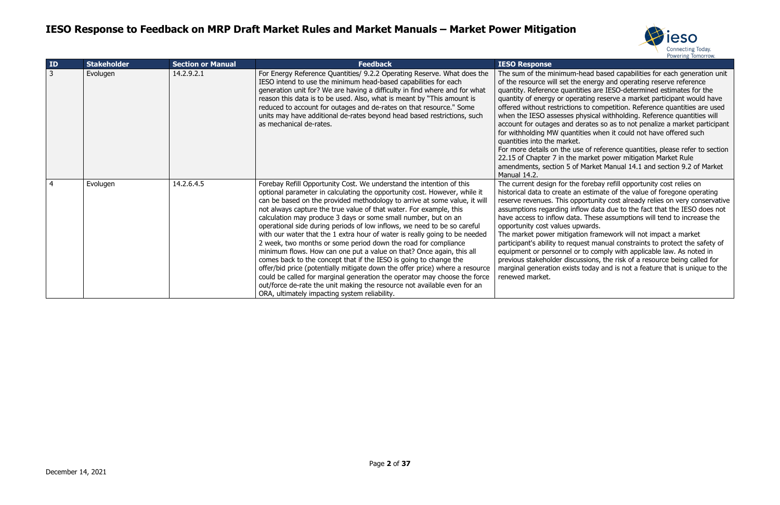

m-head based capabilities for each generation unit he energy and operating reserve reference ntities are IESO-determined estimates for the erating reserve a market participant would have ons to competition. Reference quantities are used physical withholding. Reference quantities will

derates so as to not penalize a market participant ntities when it could not have offered such<br>et.

use of reference quantities, please refer to section e market power mitigation Market Rule of Market Manual 14.1 and section 9.2 of Market

he forebay refill opportunity cost relies on an estimate of the value of foregone operating pportunity cost already relies on very conservative nflow data due to the fact that the IESO does not ata. These assumptions will tend to increase the upwards.

ation framework will not impact a market quest manual constraints to protect the safety of or to comply with applicable law. As noted in cussions, the risk of a resource being called for sts today and is not a feature that is unique to the

| ID | <b>Stakeholder</b> | <b>Section or Manual</b> | <b>Feedback</b>                                                                                                                                                                                                                                                                                                                                                                                                                                                                                                                                                                                                                                                                                                                                                                                                                                                                                                                                                                                                                           | <b>IESO Response</b>                                                                                                                                                                                                                                                                                                                                                              |
|----|--------------------|--------------------------|-------------------------------------------------------------------------------------------------------------------------------------------------------------------------------------------------------------------------------------------------------------------------------------------------------------------------------------------------------------------------------------------------------------------------------------------------------------------------------------------------------------------------------------------------------------------------------------------------------------------------------------------------------------------------------------------------------------------------------------------------------------------------------------------------------------------------------------------------------------------------------------------------------------------------------------------------------------------------------------------------------------------------------------------|-----------------------------------------------------------------------------------------------------------------------------------------------------------------------------------------------------------------------------------------------------------------------------------------------------------------------------------------------------------------------------------|
| 3  | Evolugen           | 14.2.9.2.1               | For Energy Reference Quantities/ 9.2.2 Operating Reserve. What does the<br>IESO intend to use the minimum head-based capabilities for each<br>generation unit for? We are having a difficulty in find where and for what<br>reason this data is to be used. Also, what is meant by "This amount is<br>reduced to account for outages and de-rates on that resource." Some<br>units may have additional de-rates beyond head based restrictions, such<br>as mechanical de-rates.                                                                                                                                                                                                                                                                                                                                                                                                                                                                                                                                                           | The sum of the minimum-<br>of the resource will set the<br>quantity. Reference quanti<br>quantity of energy or oper<br>offered without restrictions<br>when the IESO assesses p<br>account for outages and d<br>for withholding MW quanti<br>quantities into the market.<br>For more details on the us<br>22.15 of Chapter 7 in the r<br>amendments, section 5 of<br>Manual 14.2. |
| 4  | Evolugen           | 14.2.6.4.5               | Forebay Refill Opportunity Cost. We understand the intention of this<br>optional parameter in calculating the opportunity cost. However, while it<br>can be based on the provided methodology to arrive at some value, it will<br>not always capture the true value of that water. For example, this<br>calculation may produce 3 days or some small number, but on an<br>operational side during periods of low inflows, we need to be so careful<br>with our water that the 1 extra hour of water is really going to be needed<br>2 week, two months or some period down the road for compliance<br>minimum flows. How can one put a value on that? Once again, this all<br>comes back to the concept that if the IESO is going to change the<br>offer/bid price (potentially mitigate down the offer price) where a resource<br>could be called for marginal generation the operator may choose the force<br>out/force de-rate the unit making the resource not available even for an<br>ORA, ultimately impacting system reliability. | The current design for the<br>historical data to create an<br>reserve revenues. This opp<br>assumptions regarding infl<br>have access to inflow data<br>opportunity cost values up<br>The market power mitigati<br>participant's ability to requ<br>equipment or personnel or<br>previous stakeholder discu<br>marginal generation exists<br>renewed market.                      |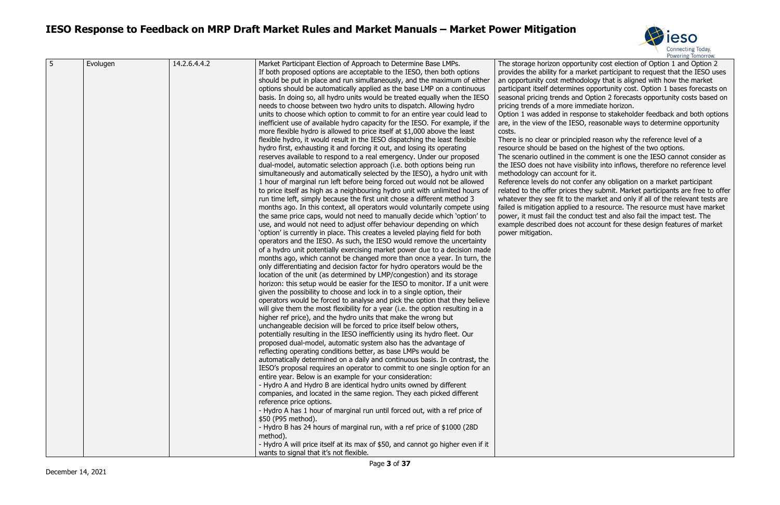

portunity cost election of Option 1 and Option 2 a market participant to request that the IESO uses thodology that is aligned with how the market nines opportunity cost. Option 1 bases forecasts on and Option 2 forecasts opportunity costs based on e immediate horizon.

response to stakeholder feedback and both options IESO, reasonable ways to determine opportunity

ncipled reason why the reference level of a red on the highest of the two options.

n the comment is one the IESO cannot consider as the ISO does into inflows, therefore no reference level unt for it.

confer any obligation on a market participant res they submit. Market participants are free to offer o the market and only if all of the relevant tests are lied to a resource. The resource must have market conduct test and also fail the impact test. The is not account for these design features of market

| 5 | Evolugen | 14.2.6.4.4.2 | Market Participant Election of Approach to Determine Base LMPs.<br>If both proposed options are acceptable to the IESO, then both options<br>should be put in place and run simultaneously, and the maximum of either<br>options should be automatically applied as the base LMP on a continuous<br>basis. In doing so, all hydro units would be treated equally when the IESO<br>needs to choose between two hydro units to dispatch. Allowing hydro<br>units to choose which option to commit to for an entire year could lead to<br>inefficient use of available hydro capacity for the IESO. For example, if the<br>more flexible hydro is allowed to price itself at \$1,000 above the least<br>flexible hydro, it would result in the IESO dispatching the least flexible<br>hydro first, exhausting it and forcing it out, and losing its operating<br>reserves available to respond to a real emergency. Under our proposed<br>dual-model, automatic selection approach (i.e. both options being run<br>simultaneously and automatically selected by the IESO), a hydro unit with<br>1 hour of marginal run left before being forced out would not be allowed<br>to price itself as high as a neighbouring hydro unit with unlimited hours of<br>run time left, simply because the first unit chose a different method 3<br>months ago. In this context, all operators would voluntarily compete using<br>the same price caps, would not need to manually decide which 'option' to<br>use, and would not need to adjust offer behaviour depending on which<br>'option' is currently in place. This creates a leveled playing field for both<br>operators and the IESO. As such, the IESO would remove the uncertainty<br>of a hydro unit potentially exercising market power due to a decision made<br>months ago, which cannot be changed more than once a year. In turn, the<br>only differentiating and decision factor for hydro operators would be the<br>location of the unit (as determined by LMP/congestion) and its storage<br>horizon: this setup would be easier for the IESO to monitor. If a unit were<br>given the possibility to choose and lock in to a single option, their<br>operators would be forced to analyse and pick the option that they believe<br>will give them the most flexibility for a year (i.e. the option resulting in a<br>higher ref price), and the hydro units that make the wrong but<br>unchangeable decision will be forced to price itself below others,<br>potentially resulting in the IESO inefficiently using its hydro fleet. Our<br>proposed dual-model, automatic system also has the advantage of<br>reflecting operating conditions better, as base LMPs would be<br>automatically determined on a daily and continuous basis. In contrast, the<br>IESO's proposal requires an operator to commit to one single option for an<br>entire year. Below is an example for your consideration:<br>- Hydro A and Hydro B are identical hydro units owned by different<br>companies, and located in the same region. They each picked different<br>reference price options.<br>- Hydro A has 1 hour of marginal run until forced out, with a ref price of<br>\$50 (P95 method).<br>- Hydro B has 24 hours of marginal run, with a ref price of \$1000 (28D<br>method). | The storage horizon op<br>provides the ability for<br>an opportunity cost me<br>participant itself determ<br>seasonal pricing trends<br>pricing trends of a more<br>Option 1 was added in<br>are, in the view of the I<br>costs.<br>There is no clear or prin<br>resource should be base<br>The scenario outlined in<br>the IESO does not have<br>methodology can accou<br>Reference levels do not<br>related to the offer pric<br>whatever they see fit to<br>failed is mitigation appl<br>power, it must fail the<br>example described does<br>power mitigation. |
|---|----------|--------------|-------------------------------------------------------------------------------------------------------------------------------------------------------------------------------------------------------------------------------------------------------------------------------------------------------------------------------------------------------------------------------------------------------------------------------------------------------------------------------------------------------------------------------------------------------------------------------------------------------------------------------------------------------------------------------------------------------------------------------------------------------------------------------------------------------------------------------------------------------------------------------------------------------------------------------------------------------------------------------------------------------------------------------------------------------------------------------------------------------------------------------------------------------------------------------------------------------------------------------------------------------------------------------------------------------------------------------------------------------------------------------------------------------------------------------------------------------------------------------------------------------------------------------------------------------------------------------------------------------------------------------------------------------------------------------------------------------------------------------------------------------------------------------------------------------------------------------------------------------------------------------------------------------------------------------------------------------------------------------------------------------------------------------------------------------------------------------------------------------------------------------------------------------------------------------------------------------------------------------------------------------------------------------------------------------------------------------------------------------------------------------------------------------------------------------------------------------------------------------------------------------------------------------------------------------------------------------------------------------------------------------------------------------------------------------------------------------------------------------------------------------------------------------------------------------------------------------------------------------------------------------------------------------------------------------------------------------------------------------------------------------------------------------------------------------------------------------------------------------------------------------------------------------------------------------------------------------------------------------------------------------------------------------------------------------------------------------|--------------------------------------------------------------------------------------------------------------------------------------------------------------------------------------------------------------------------------------------------------------------------------------------------------------------------------------------------------------------------------------------------------------------------------------------------------------------------------------------------------------------------------------------------------------------|
|   |          |              | - Hydro A will price itself at its max of \$50, and cannot go higher even if it<br>wants to signal that it's not flexible.                                                                                                                                                                                                                                                                                                                                                                                                                                                                                                                                                                                                                                                                                                                                                                                                                                                                                                                                                                                                                                                                                                                                                                                                                                                                                                                                                                                                                                                                                                                                                                                                                                                                                                                                                                                                                                                                                                                                                                                                                                                                                                                                                                                                                                                                                                                                                                                                                                                                                                                                                                                                                                                                                                                                                                                                                                                                                                                                                                                                                                                                                                                                                                                                    |                                                                                                                                                                                                                                                                                                                                                                                                                                                                                                                                                                    |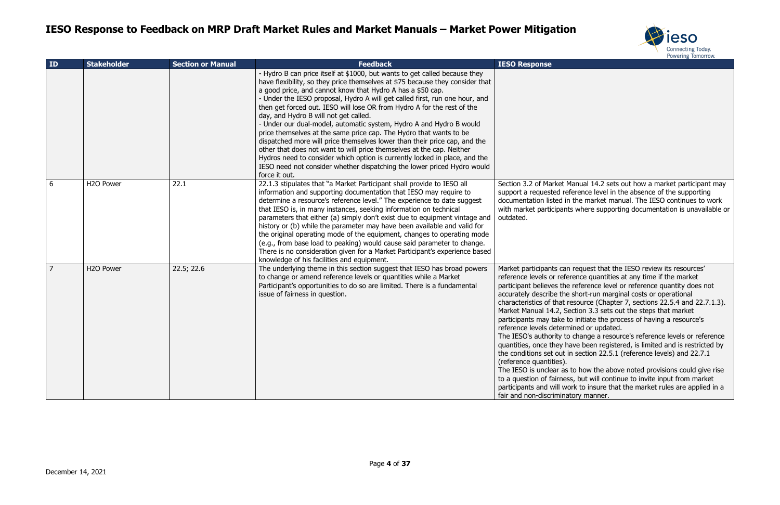

lanual 14.2 sets out how a market participant may erence level in the absence of the supporting the market manual. The IESO continues to work s where supporting documentation is unavailable or

request that the IESO review its resources' rence quantities at any time if the market reference level or reference quantity does not short-run marginal costs or operational esource (Chapter 7, sections 22.5.4 and 22.7.1.3). ction 3.3 sets out the steps that market o initiate the process of having a resource's ined or updated.

change a resource's reference levels or reference ave been registered, is limited and is restricted by i section 22.5.1 (reference levels) and 22.7.1

to how the above noted provisions could give rise s, but will continue to invite input from market prk to insure that the market rules are applied in a fory manner.

| ID             | <b>Stakeholder</b>     | <b>Section or Manual</b> | <b>Feedback</b>                                                                                                                                                                                                                                                                                                                                                                                                                                                                                                                                                                                                                                                                                                                                                                                                                                                                                           | <b>IESO Response</b>                                                                                                                                                                                                                                                                                                                                                                                                                                        |
|----------------|------------------------|--------------------------|-----------------------------------------------------------------------------------------------------------------------------------------------------------------------------------------------------------------------------------------------------------------------------------------------------------------------------------------------------------------------------------------------------------------------------------------------------------------------------------------------------------------------------------------------------------------------------------------------------------------------------------------------------------------------------------------------------------------------------------------------------------------------------------------------------------------------------------------------------------------------------------------------------------|-------------------------------------------------------------------------------------------------------------------------------------------------------------------------------------------------------------------------------------------------------------------------------------------------------------------------------------------------------------------------------------------------------------------------------------------------------------|
|                |                        |                          | - Hydro B can price itself at \$1000, but wants to get called because they<br>have flexibility, so they price themselves at \$75 because they consider that<br>a good price, and cannot know that Hydro A has a \$50 cap.<br>- Under the IESO proposal, Hydro A will get called first, run one hour, and<br>then get forced out. IESO will lose OR from Hydro A for the rest of the<br>day, and Hydro B will not get called.<br>- Under our dual-model, automatic system, Hydro A and Hydro B would<br>price themselves at the same price cap. The Hydro that wants to be<br>dispatched more will price themselves lower than their price cap, and the<br>other that does not want to will price themselves at the cap. Neither<br>Hydros need to consider which option is currently locked in place, and the<br>IESO need not consider whether dispatching the lower priced Hydro would<br>force it out. |                                                                                                                                                                                                                                                                                                                                                                                                                                                             |
| 6              | H <sub>2</sub> O Power | 22.1                     | 22.1.3 stipulates that "a Market Participant shall provide to IESO all<br>information and supporting documentation that IESO may require to<br>determine a resource's reference level." The experience to date suggest<br>that IESO is, in many instances, seeking information on technical<br>parameters that either (a) simply don't exist due to equipment vintage and<br>history or (b) while the parameter may have been available and valid for<br>the original operating mode of the equipment, changes to operating mode<br>(e.g., from base load to peaking) would cause said parameter to change.<br>There is no consideration given for a Market Participant's experience based<br>knowledge of his facilities and equipment.                                                                                                                                                                  | Section 3.2 of Market M<br>support a requested ref<br>documentation listed in<br>with market participants<br>outdated.                                                                                                                                                                                                                                                                                                                                      |
| $\overline{7}$ | H <sub>2</sub> O Power | 22.5; 22.6               | The underlying theme in this section suggest that IESO has broad powers<br>to change or amend reference levels or quantities while a Market<br>Participant's opportunities to do so are limited. There is a fundamental<br>issue of fairness in question.                                                                                                                                                                                                                                                                                                                                                                                                                                                                                                                                                                                                                                                 | Market participants can<br>reference levels or refer<br>participant believes the<br>accurately describe the<br>characteristics of that re<br>Market Manual 14.2, Se<br>participants may take to<br>reference levels determi<br>The IESO's authority to<br>quantities, once they ha<br>the conditions set out in<br>(reference quantities).<br>The IESO is unclear as t<br>to a question of fairness<br>participants and will wo<br>fair and non-discriminat |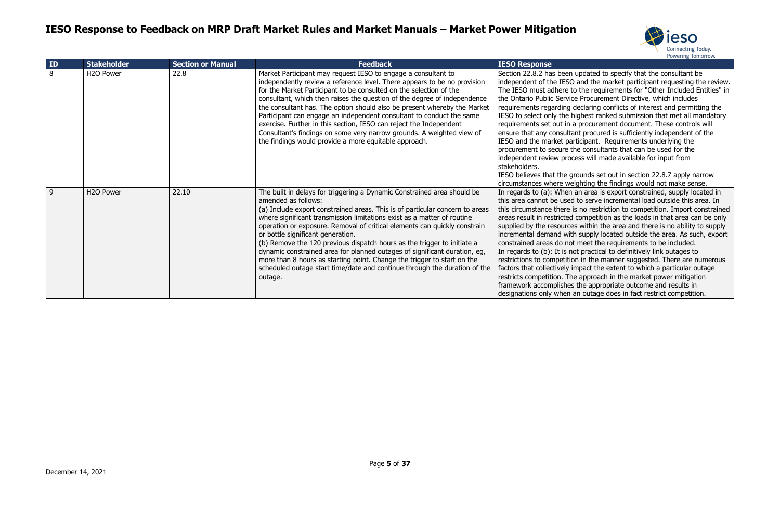

updated to specify that the consultant be independent of the market participant requesting the review. to the requirements for "Other Included Entities" in te Procurement Directive, which includes declaring conflicts of interest and permitting the iighest ranked submission that met all mandatory a procurement document. These controls will ant procured is sufficiently independent of the rticipant. Requirements underlying the he consultants that can be used for the cess will made available for input from

rounds set out in section 22.8.7 apply narrow ighting the findings would not make sense. an area is export constrained, supply located in I to serve incremental load outside this area. In is no restriction to competition. Import constrained competition as the loads in that area can be only is within the area and there is no ability to supply h supply located outside the area. As such, export meet the requirements to be included. ot practical to definitively link outages to on in the manner suggested. There are numerous mpact the extent to which a particular outage e approach in the market power mitigation the appropriate outcome and results in an outage does in fact restrict competition.

| ID | <b>Stakeholder</b>     | <b>Section or Manual</b> | <b>Feedback</b>                                                                                                                                                                                                                                                                                                                                                                                                                                                                                                                                                                                                                                                                                        | <b>IESO Response</b>                                                                                                                                                                                                                                                                                                                                                                 |
|----|------------------------|--------------------------|--------------------------------------------------------------------------------------------------------------------------------------------------------------------------------------------------------------------------------------------------------------------------------------------------------------------------------------------------------------------------------------------------------------------------------------------------------------------------------------------------------------------------------------------------------------------------------------------------------------------------------------------------------------------------------------------------------|--------------------------------------------------------------------------------------------------------------------------------------------------------------------------------------------------------------------------------------------------------------------------------------------------------------------------------------------------------------------------------------|
| 8  | H <sub>2</sub> O Power | 22.8                     | Market Participant may request IESO to engage a consultant to<br>independently review a reference level. There appears to be no provision<br>for the Market Participant to be consulted on the selection of the<br>consultant, which then raises the question of the degree of independence<br>the consultant has. The option should also be present whereby the Market<br>Participant can engage an independent consultant to conduct the same<br>exercise. Further in this section, IESO can reject the Independent<br>Consultant's findings on some very narrow grounds. A weighted view of<br>the findings would provide a more equitable approach.                                                | Section 22.8.2 has been<br>independent of the IESO<br>The IESO must adhere to<br>the Ontario Public Servic<br>requirements regarding<br>IESO to select only the h<br>requirements set out in a<br>ensure that any consulta<br>IESO and the market par<br>procurement to secure th<br>independent review proc<br>stakeholders.<br>IESO believes that the gi<br>circumstances where we |
| 9  | H <sub>2</sub> O Power | 22.10                    | The built in delays for triggering a Dynamic Constrained area should be<br>amended as follows:<br>(a) Include export constrained areas. This is of particular concern to areas<br>where significant transmission limitations exist as a matter of routine<br>operation or exposure. Removal of critical elements can quickly constrain<br>or bottle significant generation.<br>(b) Remove the 120 previous dispatch hours as the trigger to initiate a<br>dynamic constrained area for planned outages of significant duration, eg,<br>more than 8 hours as starting point. Change the trigger to start on the<br>scheduled outage start time/date and continue through the duration of the<br>outage. | In regards to (a): When<br>this area cannot be used<br>this circumstance there i<br>areas result in restricted<br>supplied by the resource<br>incremental demand with<br>constrained areas do not<br>In regards to (b): It is no<br>restrictions to competitio<br>factors that collectively in<br>restricts competition. The<br>framework accomplishes<br>designations only when a   |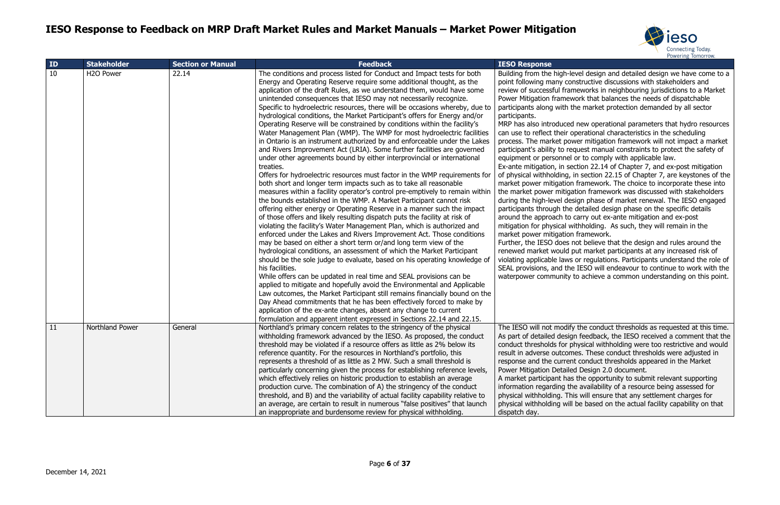

evel design and detailed design we have come to a nstructive discussions with stakeholders and meworks in neighbouring jurisdictions to a Market work that balances the needs of dispatchable the market protection demanded by all sector

d new operational parameters that hydro resources operational characteristics in the scheduling wer mitigation framework will not impact a market equest manual constraints to protect the safety of or to comply with applicable law.

ection 22.14 of Chapter 7, and ex-post mitigation in section 22.15 of Chapter 7, are keystones of the n framework. The choice to incorporate these into ation framework was discussed with stakeholders sign phase of market renewal. The IESO engaged detailed design phase on the specific details carry out ex-ante mitigation and ex-post vithholding. As such, they will remain in the n framework.

not believe that the design and rules around the put market participants at any increased risk of or regulations. Participants understand the role of e IESO will endeavour to continue to work with the to achieve a common understanding on this point.

y the conduct thresholds as requested at this time. an feedback, the IESO received a comment that the ohysical withholding were too restrictive and would nes. These conduct thresholds were adjusted in nt conduct thresholds appeared in the Market ed Design 2.0 document.

s the opportunity to submit relevant supporting ne availability of a resource being assessed for his will ensure that any settlement charges for be based on the actual facility capability on that

| ID | <b>Stakeholder</b>     | <b>Section or Manual</b> | <b>Feedback</b>                                                                                                                                                                                                                                                                                                                                                                                                                                                                                                                                                                                                                                                                                                                                                                                                                                                                                                                                                                                                                                                                                                                                                                                                                                                                                                                                                                                                                                                                                                                                                                                                                                                                                                                                                                                                                                                                                                                                                                                                                                                                                                                                                                                 | <b>IESO Response</b>                                                                                                                                                                                                                                                                                                                                                                                                                                                                                                                                                                                                                                                                                   |
|----|------------------------|--------------------------|-------------------------------------------------------------------------------------------------------------------------------------------------------------------------------------------------------------------------------------------------------------------------------------------------------------------------------------------------------------------------------------------------------------------------------------------------------------------------------------------------------------------------------------------------------------------------------------------------------------------------------------------------------------------------------------------------------------------------------------------------------------------------------------------------------------------------------------------------------------------------------------------------------------------------------------------------------------------------------------------------------------------------------------------------------------------------------------------------------------------------------------------------------------------------------------------------------------------------------------------------------------------------------------------------------------------------------------------------------------------------------------------------------------------------------------------------------------------------------------------------------------------------------------------------------------------------------------------------------------------------------------------------------------------------------------------------------------------------------------------------------------------------------------------------------------------------------------------------------------------------------------------------------------------------------------------------------------------------------------------------------------------------------------------------------------------------------------------------------------------------------------------------------------------------------------------------|--------------------------------------------------------------------------------------------------------------------------------------------------------------------------------------------------------------------------------------------------------------------------------------------------------------------------------------------------------------------------------------------------------------------------------------------------------------------------------------------------------------------------------------------------------------------------------------------------------------------------------------------------------------------------------------------------------|
| 10 | H <sub>2</sub> O Power | 22.14                    | The conditions and process listed for Conduct and Impact tests for both<br>Energy and Operating Reserve require some additional thought, as the<br>application of the draft Rules, as we understand them, would have some<br>unintended consequences that IESO may not necessarily recognize.<br>Specific to hydroelectric resources, there will be occasions whereby, due to<br>hydrological conditions, the Market Participant's offers for Energy and/or<br>Operating Reserve will be constrained by conditions within the facility's<br>Water Management Plan (WMP). The WMP for most hydroelectric facilities<br>in Ontario is an instrument authorized by and enforceable under the Lakes<br>and Rivers Improvement Act (LRIA). Some further facilities are governed<br>under other agreements bound by either interprovincial or international<br>treaties.<br>Offers for hydroelectric resources must factor in the WMP requirements for<br>both short and longer term impacts such as to take all reasonable<br>measures within a facility operator's control pre-emptively to remain within<br>the bounds established in the WMP. A Market Participant cannot risk<br>offering either energy or Operating Reserve in a manner such the impact<br>of those offers and likely resulting dispatch puts the facility at risk of<br>violating the facility's Water Management Plan, which is authorized and<br>enforced under the Lakes and Rivers Improvement Act. Those conditions<br>may be based on either a short term or/and long term view of the<br>hydrological conditions, an assessment of which the Market Participant<br>should be the sole judge to evaluate, based on his operating knowledge of<br>his facilities.<br>While offers can be updated in real time and SEAL provisions can be<br>applied to mitigate and hopefully avoid the Environmental and Applicable<br>Law outcomes, the Market Participant still remains financially bound on the<br>Day Ahead commitments that he has been effectively forced to make by<br>application of the ex-ante changes, absent any change to current<br>formulation and apparent intent expressed in Sections 22.14 and 22.15. | Building from the high-le<br>point following many co<br>review of successful frar<br>Power Mitigation framev<br>participants along with t<br>participants.<br>MRP has also introduced<br>can use to reflect their o<br>process. The market pow<br>participant's ability to re<br>equipment or personnel<br>Ex-ante mitigation, in se<br>of physical withholding,<br>market power mitigation<br>the market power mitiga<br>during the high-level des<br>participants through the<br>around the approach to<br>mitigation for physical w<br>market power mitigation<br>Further, the IESO does<br>renewed market would p<br>violating applicable laws<br>SEAL provisions, and the<br>waterpower community |
| 11 | Northland Power        | General                  | Northland's primary concern relates to the stringency of the physical<br>withholding framework advanced by the IESO. As proposed, the conduct<br>threshold may be violated if a resource offers as little as 2% below its<br>reference quantity. For the resources in Northland's portfolio, this<br>represents a threshold of as little as 2 MW. Such a small threshold is<br>particularly concerning given the process for establishing reference levels,<br>which effectively relies on historic production to establish an average<br>production curve. The combination of A) the stringency of the conduct<br>threshold, and B) and the variability of actual facility capability relative to<br>an average, are certain to result in numerous "false positives" that launch<br>an inappropriate and burdensome review for physical withholding.                                                                                                                                                                                                                                                                                                                                                                                                                                                                                                                                                                                                                                                                                                                                                                                                                                                                                                                                                                                                                                                                                                                                                                                                                                                                                                                                           | The IESO will not modify<br>As part of detailed desig<br>conduct thresholds for p<br>result in adverse outcom<br>response and the currer<br><b>Power Mitigation Detaile</b><br>A market participant has<br>information regarding th<br>physical withholding. Th<br>physical withholding will<br>dispatch day.                                                                                                                                                                                                                                                                                                                                                                                          |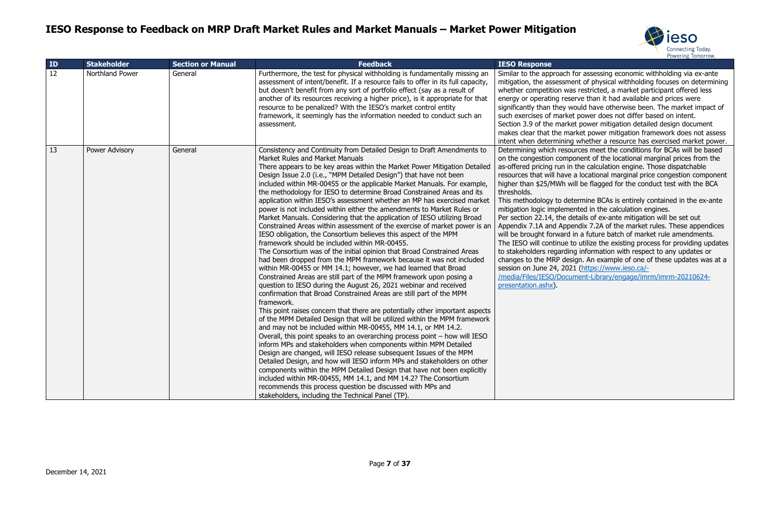

for assessing economic withholding via ex-ante ent of physical withholding focuses on determining as restricted, a market participant offered less erve than it had available and prices were vould have otherwise been. The market impact of t power does not differ based on intent. et power mitigation detailed design document arket power mitigation framework does not assess whether a resource has exercised market power. urces meet the conditions for BCAs will be based oon ent of the locational marginal prices from the the calculation engine. Those dispatchable a locational marginal price congestion component vill be flagged for the conduct test with the BCA

termine BCAs is entirely contained in the ex-ante ented in the calculation engines.

etails of ex-ante mitigation will be set out endix 7.2A of the market rules. These appendices in a future batch of market rule amendments. to utilize the existing process for providing updates or information with respect to any updates or ign. An example of one of these updates was at a 21 [\(https://www.ieso.ca/-](https://www.ieso.ca/-/media/Files/IESO/Document-Library/engage/imrm/imrm-20210624-presentation.ashx)

ment-Library/engage/imrm/imrm-20210624-

| ID | <b>Stakeholder</b>    | <b>Section or Manual</b> | <b>Feedback</b>                                                                                                                                                                                                                                                                                                                                                                                                                                                                                                                                                                                                                                                                                                                                                                                                                                                                                                                                                                                                                                                                                                                                                                                                                                                                                                                                                                                                                                                                                                                                                                                                                                                                                                                                                                                                                                                                                                                                                                                                                                                                                     | <b>IESO Response</b>                                                                                                                                                                                                                                                                                                                                                                                                                                       |
|----|-----------------------|--------------------------|-----------------------------------------------------------------------------------------------------------------------------------------------------------------------------------------------------------------------------------------------------------------------------------------------------------------------------------------------------------------------------------------------------------------------------------------------------------------------------------------------------------------------------------------------------------------------------------------------------------------------------------------------------------------------------------------------------------------------------------------------------------------------------------------------------------------------------------------------------------------------------------------------------------------------------------------------------------------------------------------------------------------------------------------------------------------------------------------------------------------------------------------------------------------------------------------------------------------------------------------------------------------------------------------------------------------------------------------------------------------------------------------------------------------------------------------------------------------------------------------------------------------------------------------------------------------------------------------------------------------------------------------------------------------------------------------------------------------------------------------------------------------------------------------------------------------------------------------------------------------------------------------------------------------------------------------------------------------------------------------------------------------------------------------------------------------------------------------------------|------------------------------------------------------------------------------------------------------------------------------------------------------------------------------------------------------------------------------------------------------------------------------------------------------------------------------------------------------------------------------------------------------------------------------------------------------------|
| 12 | Northland Power       | General                  | Furthermore, the test for physical withholding is fundamentally missing an<br>assessment of intent/benefit. If a resource fails to offer in its full capacity,<br>but doesn't benefit from any sort of portfolio effect (say as a result of<br>another of its resources receiving a higher price), is it appropriate for that<br>resource to be penalized? With the IESO's market control entity<br>framework, it seemingly has the information needed to conduct such an<br>assessment.                                                                                                                                                                                                                                                                                                                                                                                                                                                                                                                                                                                                                                                                                                                                                                                                                                                                                                                                                                                                                                                                                                                                                                                                                                                                                                                                                                                                                                                                                                                                                                                                            | Similar to the approach i<br>mitigation, the assessme<br>whether competition wa<br>energy or operating rese<br>significantly than they w<br>such exercises of market<br>Section 3.9 of the marke<br>makes clear that the ma<br>intent when determining                                                                                                                                                                                                     |
| 13 | <b>Power Advisory</b> | General                  | Consistency and Continuity from Detailed Design to Draft Amendments to<br>Market Rules and Market Manuals<br>There appears to be key areas within the Market Power Mitigation Detailed<br>Design Issue 2.0 (i.e., "MPM Detailed Design") that have not been<br>included within MR-00455 or the applicable Market Manuals. For example,<br>the methodology for IESO to determine Broad Constrained Areas and its<br>application within IESO's assessment whether an MP has exercised market<br>power is not included within either the amendments to Market Rules or<br>Market Manuals. Considering that the application of IESO utilizing Broad<br>Constrained Areas within assessment of the exercise of market power is an<br>IESO obligation, the Consortium believes this aspect of the MPM<br>framework should be included within MR-00455.<br>The Consortium was of the initial opinion that Broad Constrained Areas<br>had been dropped from the MPM framework because it was not included<br>within MR-00455 or MM 14.1; however, we had learned that Broad<br>Constrained Areas are still part of the MPM framework upon posing a<br>question to IESO during the August 26, 2021 webinar and received<br>confirmation that Broad Constrained Areas are still part of the MPM<br>framework.<br>This point raises concern that there are potentially other important aspects<br>of the MPM Detailed Design that will be utilized within the MPM framework<br>and may not be included within MR-00455, MM 14.1, or MM 14.2.<br>Overall, this point speaks to an overarching process point – how will IESO<br>inform MPs and stakeholders when components within MPM Detailed<br>Design are changed, will IESO release subsequent Issues of the MPM<br>Detailed Design, and how will IESO inform MPs and stakeholders on other<br>components within the MPM Detailed Design that have not been explicitly<br>included within MR-00455, MM 14.1, and MM 14.2? The Consortium<br>recommends this process question be discussed with MPs and<br>stakeholders, including the Technical Panel (TP). | Determining which resou<br>on the congestion comp<br>as-offered pricing run in<br>resources that will have<br>higher than \$25/MWh w<br>thresholds.<br>This methodology to det<br>mitigation logic impleme<br>Per section 22.14, the do<br>Appendix 7.1A and Appe<br>will be brought forward<br>The IESO will continue t<br>to stakeholders regardin<br>changes to the MRP des<br>session on June 24, 202<br>/media/Files/IESO/Docu<br>presentation.ashx). |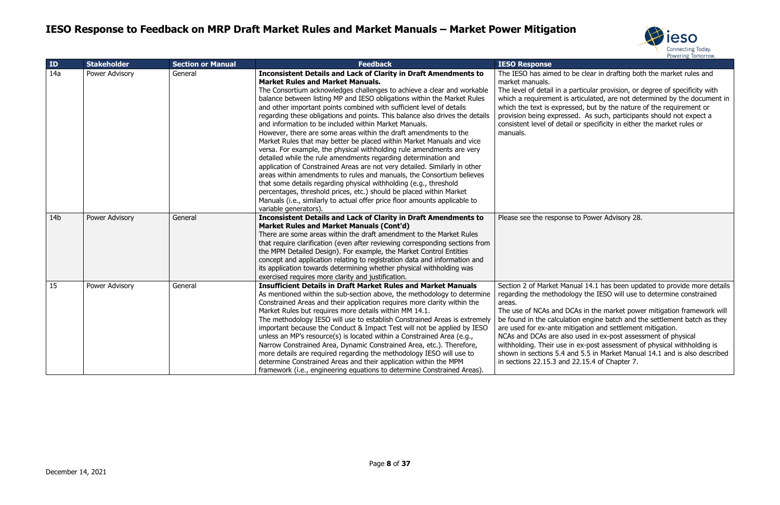



be clear in drafting both the market rules and

barticular provision, or degree of specificity with articulated, are not determined by the document in sed, but by the nature of the requirement or ed. As such, participants should not expect a or specificity in either the market rules or

to Power Advisory 28.

nual 14.1 has been updated to provide more details ogy the IESO will use to determine constrained

CAs in the market power mitigation framework will ion engine batch and the settlement batch as they tigation and settlement mitigation.  $\overline{\phantom{a}}$  used in ex-post assessment of physical

n ex-post assessment of physical withholding is nd 5.5 in Market Manual 14.1 and is also described 22.15.4 of Chapter 7.

| ID              | <b>Stakeholder</b> | <b>Section or Manual</b> | <b>Feedback</b>                                                                                                                                                                                                                                                                                                                                                                                                                                                                                                                                                                                                                                                                                                                                                                                                                                                                                                                                                                                                                                                                                                                                                                           | <b>IESO Response</b>                                                                                                                                                                                                                                            |
|-----------------|--------------------|--------------------------|-------------------------------------------------------------------------------------------------------------------------------------------------------------------------------------------------------------------------------------------------------------------------------------------------------------------------------------------------------------------------------------------------------------------------------------------------------------------------------------------------------------------------------------------------------------------------------------------------------------------------------------------------------------------------------------------------------------------------------------------------------------------------------------------------------------------------------------------------------------------------------------------------------------------------------------------------------------------------------------------------------------------------------------------------------------------------------------------------------------------------------------------------------------------------------------------|-----------------------------------------------------------------------------------------------------------------------------------------------------------------------------------------------------------------------------------------------------------------|
| 14a             | Power Advisory     | General                  | <b>Inconsistent Details and Lack of Clarity in Draft Amendments to</b><br><b>Market Rules and Market Manuals.</b><br>The Consortium acknowledges challenges to achieve a clear and workable<br>balance between listing MP and IESO obligations within the Market Rules<br>and other important points combined with sufficient level of details<br>regarding these obligations and points. This balance also drives the details<br>and information to be included within Market Manuals.<br>However, there are some areas within the draft amendments to the<br>Market Rules that may better be placed within Market Manuals and vice<br>versa. For example, the physical withholding rule amendments are very<br>detailed while the rule amendments regarding determination and<br>application of Constrained Areas are not very detailed. Similarly in other<br>areas within amendments to rules and manuals, the Consortium believes<br>that some details regarding physical withholding (e.g., threshold<br>percentages, threshold prices, etc.) should be placed within Market<br>Manuals (i.e., similarly to actual offer price floor amounts applicable to<br>variable generators). | The IESO has aimed to I<br>market manuals.<br>The level of detail in a p<br>which a requirement is a<br>which the text is express<br>provision being expresse<br>consistent level of detail<br>manuals.                                                         |
| 14 <sub>b</sub> | Power Advisory     | General                  | <b>Inconsistent Details and Lack of Clarity in Draft Amendments to</b><br><b>Market Rules and Market Manuals (Cont'd)</b><br>There are some areas within the draft amendment to the Market Rules<br>that require clarification (even after reviewing corresponding sections from<br>the MPM Detailed Design). For example, the Market Control Entities<br>concept and application relating to registration data and information and<br>its application towards determining whether physical withholding was<br>exercised requires more clarity and justification.                                                                                                                                                                                                                                                                                                                                                                                                                                                                                                                                                                                                                         | Please see the response                                                                                                                                                                                                                                         |
| 15              | Power Advisory     | General                  | <b>Insufficient Details in Draft Market Rules and Market Manuals</b><br>As mentioned within the sub-section above, the methodology to determine<br>Constrained Areas and their application requires more clarity within the<br>Market Rules but requires more details within MM 14.1.<br>The methodology IESO will use to establish Constrained Areas is extremely<br>important because the Conduct & Impact Test will not be applied by IESO<br>unless an MP's resource(s) is located within a Constrained Area (e.g.,<br>Narrow Constrained Area, Dynamic Constrained Area, etc.). Therefore,<br>more details are required regarding the methodology IESO will use to<br>determine Constrained Areas and their application within the MPM<br>framework (i.e., engineering equations to determine Constrained Areas).                                                                                                                                                                                                                                                                                                                                                                    | Section 2 of Market Man<br>regarding the methodolo<br>areas.<br>The use of NCAs and DC<br>be found in the calculation<br>are used for ex-ante mit<br>NCAs and DCAs are also<br>withholding. Their use in<br>shown in sections 5.4 ar<br>in sections 22.15.3 and |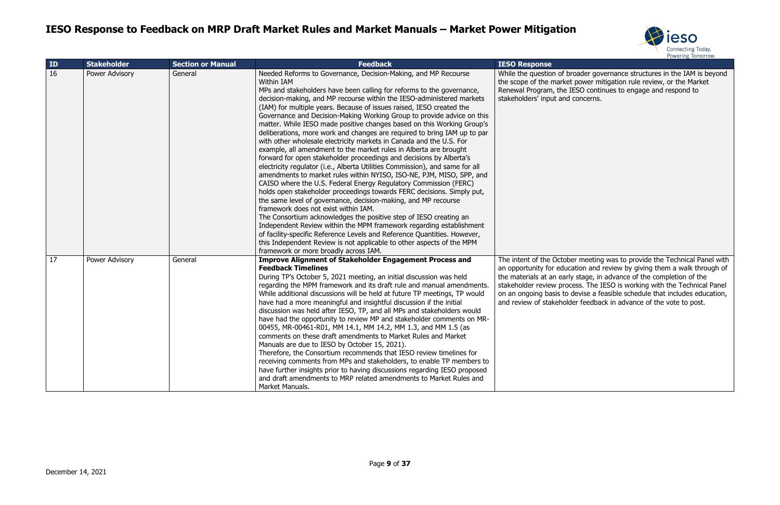



roader governance structures in the IAM is beyond the scower mitigation rule review, or the Market ESO continues to engage and respond to concerns.

er meeting was to provide the Technical Panel with ation and review by giving them a walk through of  $\alpha$  stage, in advance of the completion of the ess. The IESO is working with the Technical Panel devise a feasible schedule that includes education, der feedback in advance of the vote to post.

| ID | <b>Stakeholder</b> | <b>Section or Manual</b> | <b>Feedback</b>                                                                                                                                                                                                                                                                                                                                                                                                                                                                                                                                                                                                                                                                                                                                                                                                                                                                                                                                                                                                                                                                                                                                                                                                                                                                                                                                                                                                                                                                                                            | <b>IESO Response</b>                                                                                                                                                 |
|----|--------------------|--------------------------|----------------------------------------------------------------------------------------------------------------------------------------------------------------------------------------------------------------------------------------------------------------------------------------------------------------------------------------------------------------------------------------------------------------------------------------------------------------------------------------------------------------------------------------------------------------------------------------------------------------------------------------------------------------------------------------------------------------------------------------------------------------------------------------------------------------------------------------------------------------------------------------------------------------------------------------------------------------------------------------------------------------------------------------------------------------------------------------------------------------------------------------------------------------------------------------------------------------------------------------------------------------------------------------------------------------------------------------------------------------------------------------------------------------------------------------------------------------------------------------------------------------------------|----------------------------------------------------------------------------------------------------------------------------------------------------------------------|
| 16 | Power Advisory     | General                  | Needed Reforms to Governance, Decision-Making, and MP Recourse<br><b>Within IAM</b><br>MPs and stakeholders have been calling for reforms to the governance,<br>decision-making, and MP recourse within the IESO-administered markets<br>(IAM) for multiple years. Because of issues raised, IESO created the<br>Governance and Decision-Making Working Group to provide advice on this<br>matter. While IESO made positive changes based on this Working Group's<br>deliberations, more work and changes are required to bring IAM up to par<br>with other wholesale electricity markets in Canada and the U.S. For<br>example, all amendment to the market rules in Alberta are brought<br>forward for open stakeholder proceedings and decisions by Alberta's<br>electricity regulator (i.e., Alberta Utilities Commission), and same for all<br>amendments to market rules within NYISO, ISO-NE, PJM, MISO, SPP, and<br>CAISO where the U.S. Federal Energy Regulatory Commission (FERC)<br>holds open stakeholder proceedings towards FERC decisions. Simply put,<br>the same level of governance, decision-making, and MP recourse<br>framework does not exist within IAM.<br>The Consortium acknowledges the positive step of IESO creating an<br>Independent Review within the MPM framework regarding establishment<br>of facility-specific Reference Levels and Reference Quantities. However,<br>this Independent Review is not applicable to other aspects of the MPM<br>framework or more broadly across IAM. | While the question of br<br>the scope of the market<br>Renewal Program, the II<br>stakeholders' input and                                                            |
| 17 | Power Advisory     | General                  | <b>Improve Alignment of Stakeholder Engagement Process and</b><br><b>Feedback Timelines</b><br>During TP's October 5, 2021 meeting, an initial discussion was held<br>regarding the MPM framework and its draft rule and manual amendments.<br>While additional discussions will be held at future TP meetings, TP would<br>have had a more meaningful and insightful discussion if the initial<br>discussion was held after IESO, TP, and all MPs and stakeholders would<br>have had the opportunity to review MP and stakeholder comments on MR-<br>00455, MR-00461-R01, MM 14.1, MM 14.2, MM 1.3, and MM 1.5 (as<br>comments on these draft amendments to Market Rules and Market<br>Manuals are due to IESO by October 15, 2021).<br>Therefore, the Consortium recommends that IESO review timelines for<br>receiving comments from MPs and stakeholders, to enable TP members to<br>have further insights prior to having discussions regarding IESO proposed<br>and draft amendments to MRP related amendments to Market Rules and<br>Market Manuals.                                                                                                                                                                                                                                                                                                                                                                                                                                                                | The intent of the Octobe<br>an opportunity for educa<br>the materials at an early<br>stakeholder review proce<br>on an ongoing basis to o<br>and review of stakehold |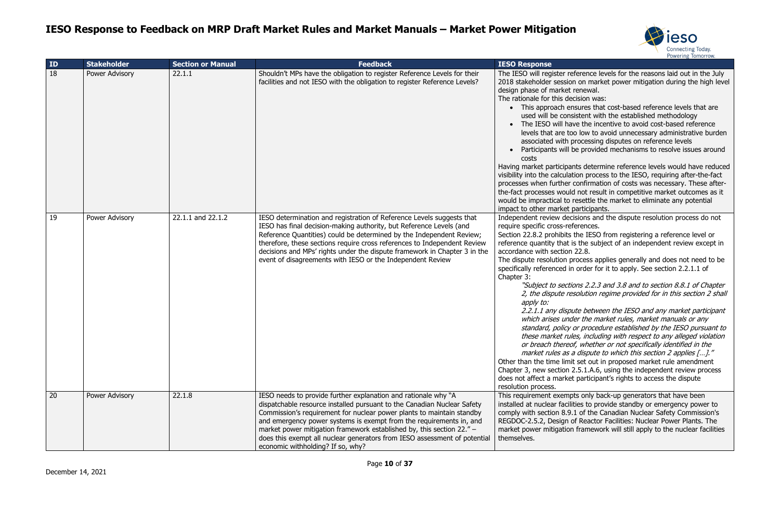

ference levels for the reasons laid out in the July n on market power mitigation during the high level renewal.

cision was:

isures that cost-based reference levels that are istent with the established methodology

ve the incentive to avoid cost-based reference lovels to avoid unnecessary administrative burden processing disputes on reference levels

be provided mechanisms to resolve issues around

hts determine reference levels would have reduced ion process to the IESO, requiring after-the-fact confirmation of costs was necessary. These aftert not result in competitive market outcomes as it resettle the market to eliminate any potential participants.

isions and the dispute resolution process do not rences.

the IESO from registering a reference level or is the subject of an independent review except in  $22.8.$ 

rocess applies generally and does not need to be order for it to apply. See section  $2.2.1.1$  of

ons 2.2.3 and 3.8 and to section 8.8.1 of Chapter solution regime provided for in this section 2 shall

ite between the IESO and any market participant ler the market rules, market manuals or any or procedure established by the IESO pursuant to es, including with respect to any alleged violation f, whether or not specifically identified in the a dispute to which this section 2 applies [...]." t set out in proposed market rule amendment 2.5.1.A.6, using the independent review process participant's rights to access the dispute

ts only back-up generators that have been ties to provide standby or emergency power to 1 of the Canadian Nuclear Safety Commission's of Reactor Facilities: Nuclear Power Plants. The framework will still apply to the nuclear facilities

| ID | <b>Stakeholder</b> | <b>Section or Manual</b> | <b>Feedback</b>                                                                                                                                                                                                                                                                                                                                                                                                                                                                      | <b>IESO Response</b>                                                                                                                                                                                                                                                                                                                                                                                                                                                                                                 |
|----|--------------------|--------------------------|--------------------------------------------------------------------------------------------------------------------------------------------------------------------------------------------------------------------------------------------------------------------------------------------------------------------------------------------------------------------------------------------------------------------------------------------------------------------------------------|----------------------------------------------------------------------------------------------------------------------------------------------------------------------------------------------------------------------------------------------------------------------------------------------------------------------------------------------------------------------------------------------------------------------------------------------------------------------------------------------------------------------|
| 18 | Power Advisory     | 22.1.1                   | Shouldn't MPs have the obligation to register Reference Levels for their<br>facilities and not IESO with the obligation to register Reference Levels?                                                                                                                                                                                                                                                                                                                                | The IESO will register re<br>2018 stakeholder sessior<br>design phase of market<br>The rationale for this dee<br>• This approach en<br>used will be cons<br>The IESO will hay<br>levels that are to<br>associated with p<br>Participants will b<br>costs<br>Having market participar<br>visibility into the calculat<br>processes when further<br>the-fact processes would<br>would be impractical to i<br>impact to other market p                                                                                  |
| 19 | Power Advisory     | 22.1.1 and 22.1.2        | IESO determination and registration of Reference Levels suggests that<br>IESO has final decision-making authority, but Reference Levels (and<br>Reference Quantities) could be determined by the Independent Review;<br>therefore, these sections require cross references to Independent Review<br>decisions and MPs' rights under the dispute framework in Chapter 3 in the<br>event of disagreements with IESO or the Independent Review                                          | Independent review dec<br>require specific cross-ref<br>Section 22.8.2 prohibits<br>reference quantity that is<br>accordance with section<br>The dispute resolution p<br>specifically referenced in<br>Chapter 3:<br>"Subject to sectio<br>2, the dispute re.<br>apply to:<br>$2.2.1.1$ any dispu<br>which arises und<br>standard, policy<br>these market rule<br>or breach thereo.<br>market rules as a<br>Other than the time limit<br>Chapter 3, new section 2<br>does not affect a market<br>resolution process. |
| 20 | Power Advisory     | 22.1.8                   | IESO needs to provide further explanation and rationale why "A<br>dispatchable resource installed pursuant to the Canadian Nuclear Safety<br>Commission's requirement for nuclear power plants to maintain standby<br>and emergency power systems is exempt from the requirements in, and<br>market power mitigation framework established by, this section 22." -<br>does this exempt all nuclear generators from IESO assessment of potential<br>economic withholding? If so, why? | This requirement exemp<br>installed at nuclear facilit<br>comply with section 8.9.<br>REGDOC-2.5.2, Design c<br>market power mitigation<br>themselves.                                                                                                                                                                                                                                                                                                                                                               |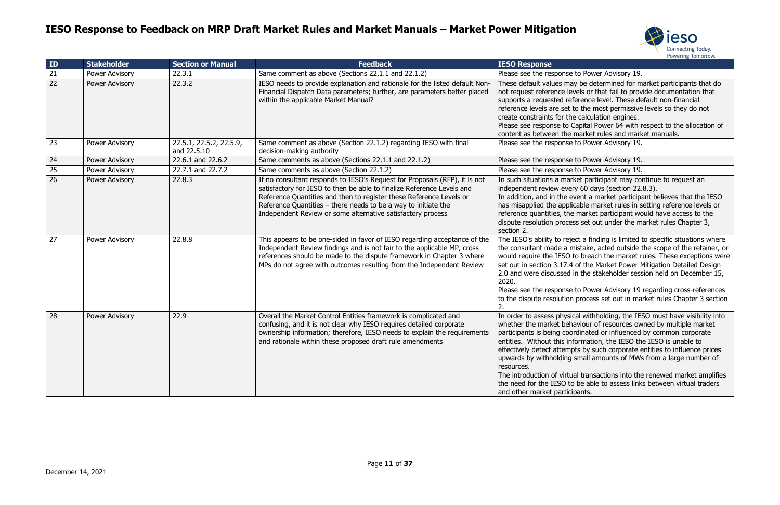

ay be determined for market participants that do vels or that fail to provide documentation that ference level. These default non-financial to the most permissive levels so they do not e calculation engines.

Capital Power 64 with respect to the allocation of market rules and market manuals.

rket participant may continue to request an  $i$ ry 60 days (section 22.8.3).

In a market participant believes that the IESO icable market rules in setting reference levels or e market participant would have access to the ess set out under the market rules Chapter 3,

ect a finding is limited to specific situations where mistake, acted outside the scope of the retainer, or to breach the market rules. These exceptions were of the Market Power Mitigation Detailed Design in the stakeholder session held on December 15,

to Power Advisory 19 regarding cross-references process set out in market rules Chapter 3 section

In order in order to assess physical withholding, the IESO must have visibility into aviour of resources owned by multiple market prdinated or influenced by common corporate formation, the IESO the IESO is unable to pts by such corporate entities to influence prices small amounts of MWs from a large number of

al transactions into the renewed market amplifies o be able to assess links between virtual traders ipants.

| ID              | <b>Stakeholder</b> | <b>Section or Manual</b>               | <b>Feedback</b>                                                                                                                                                                                                                                                                                                                                                | <b>IESO Response</b>                                                                                                                                                                                                                                                                                                                                                                                                                                             |
|-----------------|--------------------|----------------------------------------|----------------------------------------------------------------------------------------------------------------------------------------------------------------------------------------------------------------------------------------------------------------------------------------------------------------------------------------------------------------|------------------------------------------------------------------------------------------------------------------------------------------------------------------------------------------------------------------------------------------------------------------------------------------------------------------------------------------------------------------------------------------------------------------------------------------------------------------|
| 21              | Power Advisory     | 22.3.1                                 | Same comment as above (Sections 22.1.1 and 22.1.2)                                                                                                                                                                                                                                                                                                             | Please see the response to Power Advisory 19.                                                                                                                                                                                                                                                                                                                                                                                                                    |
| $\overline{22}$ | Power Advisory     | 22.3.2                                 | IESO needs to provide explanation and rationale for the listed default Non-<br>Financial Dispatch Data parameters; further, are parameters better placed<br>within the applicable Market Manual?                                                                                                                                                               | These default values may be determined for m<br>not request reference levels or that fail to prov<br>supports a requested reference level. These de<br>reference levels are set to the most permissive<br>create constraints for the calculation engines.<br>Please see response to Capital Power 64 with r<br>content as between the market rules and mark                                                                                                      |
| 23              | Power Advisory     | 22.5.1, 22.5.2, 22.5.9,<br>and 22.5.10 | Same comment as above (Section 22.1.2) regarding IESO with final<br>decision-making authority                                                                                                                                                                                                                                                                  | Please see the response to Power Advisory 19.                                                                                                                                                                                                                                                                                                                                                                                                                    |
| 24              | Power Advisory     | 22.6.1 and 22.6.2                      | Same comments as above (Sections 22.1.1 and 22.1.2)                                                                                                                                                                                                                                                                                                            | Please see the response to Power Advisory 19.                                                                                                                                                                                                                                                                                                                                                                                                                    |
| 25              | Power Advisory     | 22.7.1 and 22.7.2                      | Same comments as above (Section 22.1.2)                                                                                                                                                                                                                                                                                                                        | Please see the response to Power Advisory 19.                                                                                                                                                                                                                                                                                                                                                                                                                    |
| $\overline{26}$ | Power Advisory     | 22.8.3                                 | If no consultant responds to IESO's Request for Proposals (RFP), it is not<br>satisfactory for IESO to then be able to finalize Reference Levels and<br>Reference Quantities and then to register these Reference Levels or<br>Reference Quantities $-$ there needs to be a way to initiate the<br>Independent Review or some alternative satisfactory process | In such situations a market participant may co<br>independent review every 60 days (section 22.<br>In addition, and in the event a market participa<br>has misapplied the applicable market rules in s<br>reference quantities, the market participant wo<br>dispute resolution process set out under the m<br>section 2.                                                                                                                                        |
| 27              | Power Advisory     | 22.8.8                                 | This appears to be one-sided in favor of IESO regarding acceptance of the<br>Independent Review findings and is not fair to the applicable MP, cross<br>references should be made to the dispute framework in Chapter 3 where<br>MPs do not agree with outcomes resulting from the Independent Review                                                          | The IESO's ability to reject a finding is limited t<br>the consultant made a mistake, acted outside<br>would require the IESO to breach the market r<br>set out in section 3.17.4 of the Market Power I<br>2.0 and were discussed in the stakeholder sess<br>2020.<br>Please see the response to Power Advisory 19<br>to the dispute resolution process set out in ma                                                                                            |
| 28              | Power Advisory     | 22.9                                   | Overall the Market Control Entities framework is complicated and<br>confusing, and it is not clear why IESO requires detailed corporate<br>ownership information; therefore, IESO needs to explain the requirements<br>and rationale within these proposed draft rule amendments                                                                               | In order to assess physical withholding, the IE<br>whether the market behaviour of resources ow<br>participants is being coordinated or influenced<br>entities. Without this information, the IESO th<br>effectively detect attempts by such corporate of<br>upwards by withholding small amounts of MWs<br>resources.<br>The introduction of virtual transactions into the<br>the need for the IESO to be able to assess link<br>and other market participants. |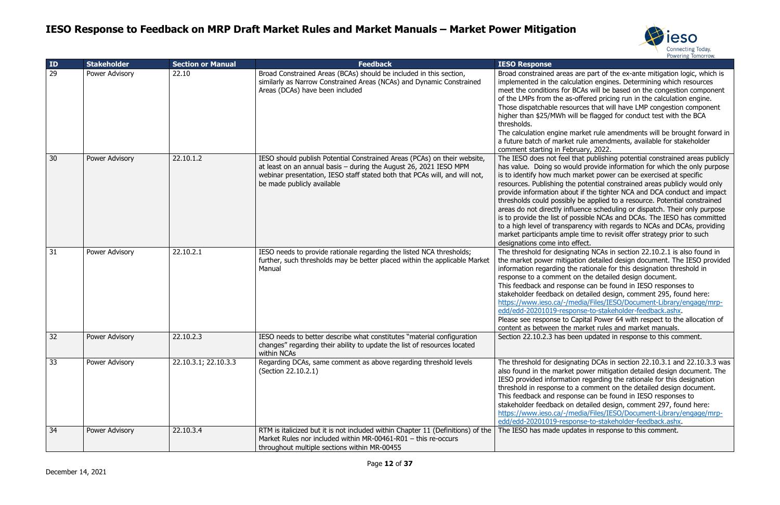

are part of the ex-ante mitigation logic, which is ulation engines. Determining which resources BCAs will be based on the congestion component -offered pricing run in the calculation engine. ources that will have LMP congestion component vill be flagged for conduct test with the BCA

market rule amendments will be brought forward in rule amendments, available for stakeholder ruary, 2022.

that publishing potential constrained areas publicly uld provide information for which the only purpose market power can be exercised at specific re potential constrained areas publicly would only ut if the tighter NCA and DCA conduct and impact y be applied to a resource. Potential constrained luence scheduling or dispatch. Their only purpose bossible NCAs and DCAs. The IESO has committed arency with regards to NCAs and DCAs, providing ble time to revisit offer strategy prior to such effect.

nating NCAs in section 22.10.2.1 is also found in tion detailed design document. The IESO provided ne rationale for this designation threshold in on the detailed design document.

onse can be found in IESO responses to detailed design, comment 295, found here: https://www.iedia/Files/IESO/Document-Library/engage/mrponse-to-stakeholder-feedback.ashx.

Capital Power 64 with respect to the allocation of market rules and market manuals.

een updated in response to this comment.

 $\frac{1}{10}$  DCAs in section 22.10.3.1 and 22.10.3.3 was power mitigation detailed design document. The ion regarding the rationale for this designation a comment on the detailed design document. onse can be found in IESO responses to detailed design, comment 297, found here: https://ies/IESO/Document-Library/engage/mrponse-to-stakeholder-feedback.ashx.

lates in response to this comment.

| ID              | <b>Stakeholder</b> | <b>Section or Manual</b> | <b>Feedback</b>                                                                                                                                                                                                                                           | <b>IESO Response</b>                                                                                                                                                                                                                                                                                                  |
|-----------------|--------------------|--------------------------|-----------------------------------------------------------------------------------------------------------------------------------------------------------------------------------------------------------------------------------------------------------|-----------------------------------------------------------------------------------------------------------------------------------------------------------------------------------------------------------------------------------------------------------------------------------------------------------------------|
| $\overline{29}$ | Power Advisory     | 22.10                    | Broad Constrained Areas (BCAs) should be included in this section,<br>similarly as Narrow Constrained Areas (NCAs) and Dynamic Constrained<br>Areas (DCAs) have been included                                                                             | Broad constrained areas<br>implemented in the calco<br>meet the conditions for<br>of the LMPs from the as-<br>Those dispatchable reso<br>higher than \$25/MWh w<br>thresholds.<br>The calculation engine n<br>a future batch of market<br>comment starting in Feb                                                     |
| 30              | Power Advisory     | 22.10.1.2                | IESO should publish Potential Constrained Areas (PCAs) on their website,<br>at least on an annual basis - during the August 26, 2021 IESO MPM<br>webinar presentation, IESO staff stated both that PCAs will, and will not,<br>be made publicly available | The IESO does not feel t<br>has value. Doing so wo<br>is to identify how much<br>resources. Publishing the<br>provide information abor<br>thresholds could possibly<br>areas do not directly infl<br>is to provide the list of p<br>to a high level of transpa<br>market participants amp<br>designations come into o |
| 31              | Power Advisory     | 22.10.2.1                | IESO needs to provide rationale regarding the listed NCA thresholds;<br>further, such thresholds may be better placed within the applicable Market<br>Manual                                                                                              | The threshold for design<br>the market power mitiga<br>information regarding th<br>response to a comment<br>This feedback and respo<br>stakeholder feedback on<br>https://www.ieso.ca/-/m<br>edd/edd-20201019-resp<br>Please see response to 0<br>content as between the                                              |
| 32              | Power Advisory     | 22.10.2.3                | IESO needs to better describe what constitutes "material configuration"<br>changes" regarding their ability to update the list of resources located<br>within NCAs                                                                                        | Section 22.10.2.3 has be                                                                                                                                                                                                                                                                                              |
| 33              | Power Advisory     | 22.10.3.1; 22.10.3.3     | Regarding DCAs, same comment as above regarding threshold levels<br>(Section 22.10.2.1)                                                                                                                                                                   | The threshold for design<br>also found in the market<br>IESO provided information<br>threshold in response to<br>This feedback and respo<br>stakeholder feedback on<br>https://www.ieso.ca/-/m<br>edd/edd-20201019-resp                                                                                               |
| 34              | Power Advisory     | 22.10.3.4                | RTM is italicized but it is not included within Chapter 11 (Definitions) of the<br>Market Rules nor included within MR-00461-R01 - this re-occurs<br>throughout multiple sections within MR-00455                                                         | The IESO has made upd                                                                                                                                                                                                                                                                                                 |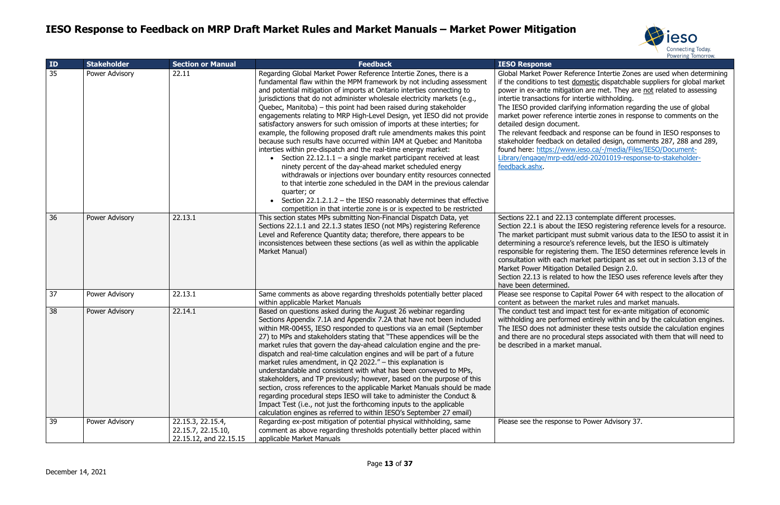

ference Intertie Zones are used when determining domestic dispatchable suppliers for global market tion are met. They are not related to assessing intertie withholding.

fying information regarding the use of global intertie zones in response to comments on the

and response can be found in IESO responses to detailed design, comments 287, 288 and 289, w.ieso.ca/-/media/Files/IESO/Documentd/edd-20201019-response-to-stakeholder-

contemplate different processes.

e IESO registering reference levels for a resource. must submit various data to the IESO to assist it in determinion a reference levels, but the IESO is ultimately ng them. The IESO determines reference levels in market participant as set out in section 3.13 of the Detailed Design 2.0.

to how the IESO uses reference levels after they

Capital Power 64 with respect to the allocation of market rules and market manuals.

Ipact test for ex-ante mitigation of economic ed entirely within and by the calculation engines. inister these tests outside the calculation engines dural steps associated with them that will need to et manual.

to Power Advisory 37.

| ID | <b>Stakeholder</b> | <b>Section or Manual</b>                                          | <b>Feedback</b>                                                                                                                                                                                                                                                                                                                                                                                                                                                                                                                                                                                                                                                                                                                                                                                                                                                                                                                                                                                                                                                                                                                                                                                 | <b>IESO Response</b>                                                                                                                                                                                                                                                                                                                                          |
|----|--------------------|-------------------------------------------------------------------|-------------------------------------------------------------------------------------------------------------------------------------------------------------------------------------------------------------------------------------------------------------------------------------------------------------------------------------------------------------------------------------------------------------------------------------------------------------------------------------------------------------------------------------------------------------------------------------------------------------------------------------------------------------------------------------------------------------------------------------------------------------------------------------------------------------------------------------------------------------------------------------------------------------------------------------------------------------------------------------------------------------------------------------------------------------------------------------------------------------------------------------------------------------------------------------------------|---------------------------------------------------------------------------------------------------------------------------------------------------------------------------------------------------------------------------------------------------------------------------------------------------------------------------------------------------------------|
| 35 | Power Advisory     | 22.11                                                             | Regarding Global Market Power Reference Intertie Zones, there is a<br>fundamental flaw within the MPM framework by not including assessment<br>and potential mitigation of imports at Ontario interties connecting to<br>jurisdictions that do not administer wholesale electricity markets (e.g.,<br>Quebec, Manitoba) – this point had been raised during stakeholder<br>engagements relating to MRP High-Level Design, yet IESO did not provide<br>satisfactory answers for such omission of imports at these interties; for<br>example, the following proposed draft rule amendments makes this point<br>because such results have occurred within IAM at Quebec and Manitoba<br>interties within pre-dispatch and the real-time energy market:<br>• Section 22.12.1.1 – a single market participant received at least<br>ninety percent of the day-ahead market scheduled energy<br>withdrawals or injections over boundary entity resources connected<br>to that intertie zone scheduled in the DAM in the previous calendar<br>quarter; or<br>Section 22.1.2.1.2 - the IESO reasonably determines that effective<br>competition in that intertie zone is or is expected to be restricted | Global Market Power Refer<br>if the conditions to test dor<br>power in ex-ante mitigation<br>intertie transactions for inte<br>The IESO provided clarifyin<br>market power reference int<br>detailed design document.<br>The relevant feedback and<br>stakeholder feedback on de<br>found here: https://www.ie<br>Library/engage/mrp-edd/ed<br>feedback.ashx. |
| 36 | Power Advisory     | 22.13.1                                                           | This section states MPs submitting Non-Financial Dispatch Data, yet<br>Sections 22.1.1 and 22.1.3 states IESO (not MPs) registering Reference<br>Level and Reference Quantity data; therefore, there appears to be<br>inconsistences between these sections (as well as within the applicable<br>Market Manual)                                                                                                                                                                                                                                                                                                                                                                                                                                                                                                                                                                                                                                                                                                                                                                                                                                                                                 | Sections 22.1 and 22.13 co<br>Section 22.1 is about the II<br>The market participant must<br>determining a resource's re<br>responsible for registering<br>consultation with each mar<br>Market Power Mitigation De<br>Section 22.13 is related to<br>have been determined.                                                                                   |
| 37 | Power Advisory     | 22.13.1                                                           | Same comments as above regarding thresholds potentially better placed<br>within applicable Market Manuals                                                                                                                                                                                                                                                                                                                                                                                                                                                                                                                                                                                                                                                                                                                                                                                                                                                                                                                                                                                                                                                                                       | Please see response to Cap<br>content as between the ma                                                                                                                                                                                                                                                                                                       |
| 38 | Power Advisory     | 22.14.1                                                           | Based on questions asked during the August 26 webinar regarding<br>Sections Appendix 7.1A and Appendix 7.2A that have not been included<br>within MR-00455, IESO responded to questions via an email (September<br>27) to MPs and stakeholders stating that "These appendices will be the<br>market rules that govern the day-ahead calculation engine and the pre-<br>dispatch and real-time calculation engines and will be part of a future<br>market rules amendment, in Q2 2022." - this explanation is<br>understandable and consistent with what has been conveyed to MPs,<br>stakeholders, and TP previously; however, based on the purpose of this<br>section, cross references to the applicable Market Manuals should be made<br>regarding procedural steps IESO will take to administer the Conduct &<br>Impact Test (i.e., not just the forthcoming inputs to the applicable<br>calculation engines as referred to within IESO's September 27 email)                                                                                                                                                                                                                               | The conduct test and impa-<br>withholding are performed<br>The IESO does not adminis<br>and there are no procedura<br>be described in a market m                                                                                                                                                                                                              |
| 39 | Power Advisory     | 22.15.3, 22.15.4,<br>22.15.7, 22.15.10,<br>22.15.12, and 22.15.15 | Regarding ex-post mitigation of potential physical withholding, same<br>comment as above regarding thresholds potentially better placed within<br>applicable Market Manuals                                                                                                                                                                                                                                                                                                                                                                                                                                                                                                                                                                                                                                                                                                                                                                                                                                                                                                                                                                                                                     | Please see the response to                                                                                                                                                                                                                                                                                                                                    |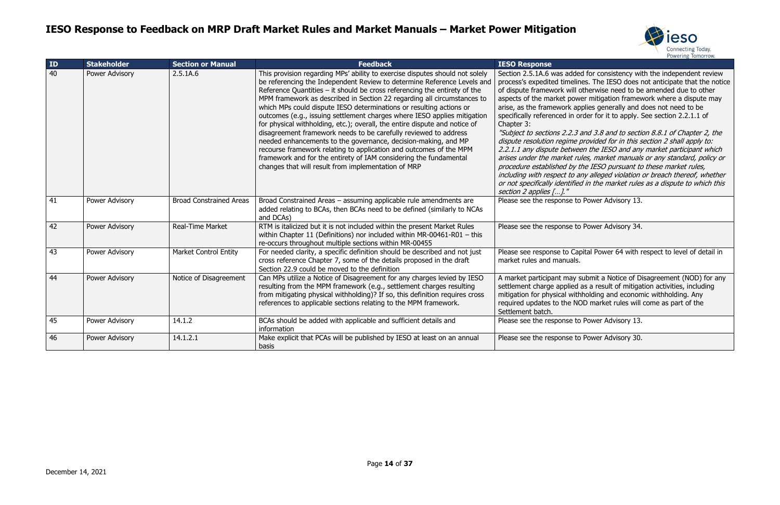



Ided for consistency with the independent review elines. The IESO does not anticipate that the notice ill otherwise need to be amended due to other ower mitigation framework where a dispute may applies generally and does not need to be order for it to apply. See section 2.2.1.1 of

3 and 3.8 and to section 8.8.1 of Chapter 2, the dispute resolution and in this section 2 shall apply to: .<br>2.1.1 veen the IESO and any market participant which rules, market manuals or any standard, policy or y the IESO pursuant to these market rules, including any alleged violation or breach thereof, whether fied in the market rules as a dispute to which this  $\,$ 

to Power Advisory 13.

to Power Advisory 34.

Capital Power 64 with respect to level of detail in

A submit a Notice of Disagreement (NOD) for any d as a result of mitigation activities, including ithholding and economic withholding. Any NOD market rules will come as part of the

to Power Advisory 13.

to Power Advisory 30.

| ID | <b>Stakeholder</b> | <b>Section or Manual</b>       | <b>Feedback</b>                                                                                                                                                                                                                                                                                                                                                                                                                                                                                                                                                                                                                                                                                                                                                                                                                                                                            | <b>IESO Response</b>                                                                                                                                                                                                                                                                                                                                                                                                                             |
|----|--------------------|--------------------------------|--------------------------------------------------------------------------------------------------------------------------------------------------------------------------------------------------------------------------------------------------------------------------------------------------------------------------------------------------------------------------------------------------------------------------------------------------------------------------------------------------------------------------------------------------------------------------------------------------------------------------------------------------------------------------------------------------------------------------------------------------------------------------------------------------------------------------------------------------------------------------------------------|--------------------------------------------------------------------------------------------------------------------------------------------------------------------------------------------------------------------------------------------------------------------------------------------------------------------------------------------------------------------------------------------------------------------------------------------------|
| 40 | Power Advisory     | 2.5.1A.6                       | This provision regarding MPs' ability to exercise disputes should not solely<br>be referencing the Independent Review to determine Reference Levels and<br>Reference Quantities $-$ it should be cross referencing the entirety of the<br>MPM framework as described in Section 22 regarding all circumstances to<br>which MPs could dispute IESO determinations or resulting actions or<br>outcomes (e.g., issuing settlement charges where IESO applies mitigation<br>for physical withholding, etc.); overall, the entire dispute and notice of<br>disagreement framework needs to be carefully reviewed to address<br>needed enhancements to the governance, decision-making, and MP<br>recourse framework relating to application and outcomes of the MPM<br>framework and for the entirety of IAM considering the fundamental<br>changes that will result from implementation of MRP | Section 2.5.1A.6 was adde<br>process's expedited timelin<br>of dispute framework will o<br>aspects of the market pow<br>arise, as the framework ap<br>specifically referenced in o<br>Chapter 3:<br>"Subject to sections 2.2.3<br>dispute resolution regime<br>2.2.1.1 any dispute betwee<br>arises under the market ru<br>procedure established by t<br>including with respect to a<br>or not specifically identified<br>section 2 applies []." |
| 41 | Power Advisory     | <b>Broad Constrained Areas</b> | Broad Constrained Areas - assuming applicable rule amendments are<br>added relating to BCAs, then BCAs need to be defined (similarly to NCAs<br>and DCAs)                                                                                                                                                                                                                                                                                                                                                                                                                                                                                                                                                                                                                                                                                                                                  | Please see the response to                                                                                                                                                                                                                                                                                                                                                                                                                       |
| 42 | Power Advisory     | <b>Real-Time Market</b>        | RTM is italicized but it is not included within the present Market Rules<br>within Chapter 11 (Definitions) nor included within MR-00461-R01 $-$ this<br>re-occurs throughout multiple sections within MR-00455                                                                                                                                                                                                                                                                                                                                                                                                                                                                                                                                                                                                                                                                            | Please see the response to                                                                                                                                                                                                                                                                                                                                                                                                                       |
| 43 | Power Advisory     | <b>Market Control Entity</b>   | For needed clarity, a specific definition should be described and not just<br>cross reference Chapter 7, some of the details proposed in the draft<br>Section 22.9 could be moved to the definition                                                                                                                                                                                                                                                                                                                                                                                                                                                                                                                                                                                                                                                                                        | Please see response to Cap<br>market rules and manuals.                                                                                                                                                                                                                                                                                                                                                                                          |
| 44 | Power Advisory     | Notice of Disagreement         | Can MPs utilize a Notice of Disagreement for any charges levied by IESO<br>resulting from the MPM framework (e.g., settlement charges resulting<br>from mitigating physical withholding)? If so, this definition requires cross<br>references to applicable sections relating to the MPM framework.                                                                                                                                                                                                                                                                                                                                                                                                                                                                                                                                                                                        | A market participant may s<br>settlement charge applied<br>mitigation for physical with<br>required updates to the NO<br>Settlement batch.                                                                                                                                                                                                                                                                                                       |
| 45 | Power Advisory     | 14.1.2                         | BCAs should be added with applicable and sufficient details and<br>information                                                                                                                                                                                                                                                                                                                                                                                                                                                                                                                                                                                                                                                                                                                                                                                                             | Please see the response to                                                                                                                                                                                                                                                                                                                                                                                                                       |
| 46 | Power Advisory     | 14.1.2.1                       | Make explicit that PCAs will be published by IESO at least on an annual<br>basis                                                                                                                                                                                                                                                                                                                                                                                                                                                                                                                                                                                                                                                                                                                                                                                                           | Please see the response to                                                                                                                                                                                                                                                                                                                                                                                                                       |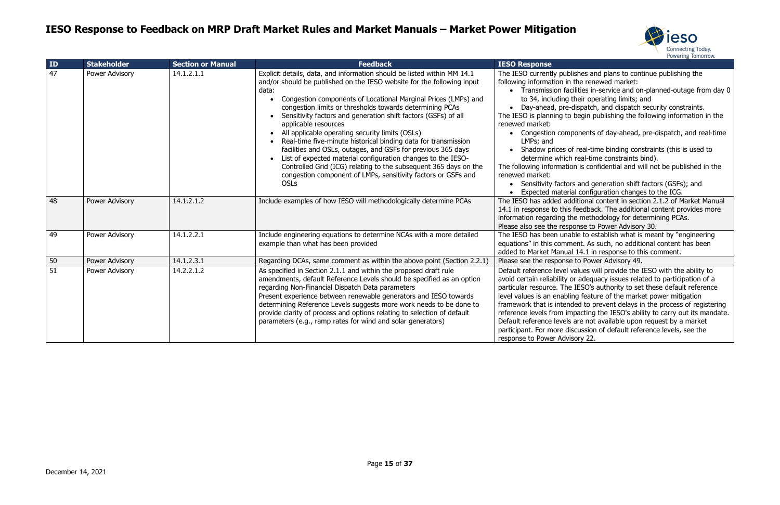

lishes and plans to continue publishing the the renewed market: cilities in-service and on-planned-outage from day 0 their operating limits; and dispatch, and dispatch security constraints. begin publishing the following information in the ponents of day-ahead, pre-dispatch, and real-time f real-time binding constraints (this is used to real-time constraints bind). on is confidential and will not be published in the s and generation shift factors (GSFs); and al configuration changes to the ICG. ditional content in section 2.1.2 of Market Manual feedback. The additional content provides more ne methodology for determining PCAs. onse to Power Advisory 30. ble to establish what is meant by "engineering ent. As such, no additional content has been  $14.1$  in response to this comment. values will provide the IESO with the ability to or adequacy issues related to participation of a particular resolve in IESO's authority to set these default reference ng feature of the market power mitigation ded to prevent delays in the process of registering reference incoresting the IESO's ability to carry out its mandate. are not available upon request by a market scussion of default reference levels, see the sory 22.

| ID | <b>Stakeholder</b> | <b>Section or Manual</b> | <b>Feedback</b>                                                                                                                                                                                                                                                                                                                                                                                                                                                                                                                                                                                                                                                                                                                                                                             | <b>IESO Response</b>                                                                                                                                                                                                                                                                                                                                                                                                                                                                                                                                                                                                    |
|----|--------------------|--------------------------|---------------------------------------------------------------------------------------------------------------------------------------------------------------------------------------------------------------------------------------------------------------------------------------------------------------------------------------------------------------------------------------------------------------------------------------------------------------------------------------------------------------------------------------------------------------------------------------------------------------------------------------------------------------------------------------------------------------------------------------------------------------------------------------------|-------------------------------------------------------------------------------------------------------------------------------------------------------------------------------------------------------------------------------------------------------------------------------------------------------------------------------------------------------------------------------------------------------------------------------------------------------------------------------------------------------------------------------------------------------------------------------------------------------------------------|
| 47 | Power Advisory     | 14.1.2.1.1               | Explicit details, data, and information should be listed within MM 14.1<br>and/or should be published on the IESO website for the following input<br>data:<br>Congestion components of Locational Marginal Prices (LMPs) and<br>congestion limits or thresholds towards determining PCAs<br>Sensitivity factors and generation shift factors (GSFs) of all<br>applicable resources<br>All applicable operating security limits (OSLs)<br>Real-time five-minute historical binding data for transmission<br>facilities and OSLs, outages, and GSFs for previous 365 days<br>List of expected material configuration changes to the IESO-<br>Controlled Grid (ICG) relating to the subsequent 365 days on the<br>congestion component of LMPs, sensitivity factors or GSFs and<br><b>OSLs</b> | The IESO currently publishes and plans to cont<br>following information in the renewed market:<br>• Transmission facilities in-service and or<br>to 34, including their operating limits; a<br>• Day-ahead, pre-dispatch, and dispatch<br>The IESO is planning to begin publishing the fo<br>renewed market:<br>• Congestion components of day-ahead,<br>LMPs; and<br>• Shadow prices of real-time binding con<br>determine which real-time constraints b<br>The following information is confidential and w<br>renewed market:<br>• Sensitivity factors and generation shift<br>Expected material configuration change |
| 48 | Power Advisory     | 14.1.2.1.2               | Include examples of how IESO will methodologically determine PCAs                                                                                                                                                                                                                                                                                                                                                                                                                                                                                                                                                                                                                                                                                                                           | The IESO has added additional content in sect<br>14.1 in response to this feedback. The additior<br>information regarding the methodology for det<br>Please also see the response to Power Advisor                                                                                                                                                                                                                                                                                                                                                                                                                      |
| 49 | Power Advisory     | 14.1.2.2.1               | Include engineering equations to determine NCAs with a more detailed<br>example than what has been provided                                                                                                                                                                                                                                                                                                                                                                                                                                                                                                                                                                                                                                                                                 | The IESO has been unable to establish what is<br>equations" in this comment. As such, no additi<br>added to Market Manual 14.1 in response to th                                                                                                                                                                                                                                                                                                                                                                                                                                                                        |
| 50 | Power Advisory     | 14.1.2.3.1               | Regarding DCAs, same comment as within the above point (Section 2.2.1)                                                                                                                                                                                                                                                                                                                                                                                                                                                                                                                                                                                                                                                                                                                      | Please see the response to Power Advisory 49.                                                                                                                                                                                                                                                                                                                                                                                                                                                                                                                                                                           |
| 51 | Power Advisory     | 14.2.2.1.2               | As specified in Section 2.1.1 and within the proposed draft rule<br>amendments, default Reference Levels should be specified as an option<br>regarding Non-Financial Dispatch Data parameters<br>Present experience between renewable generators and IESO towards<br>determining Reference Levels suggests more work needs to be done to<br>provide clarity of process and options relating to selection of default<br>parameters (e.g., ramp rates for wind and solar generators)                                                                                                                                                                                                                                                                                                          | Default reference level values will provide the<br>avoid certain reliability or adequacy issues rela<br>particular resource. The IESO's authority to set<br>level values is an enabling feature of the mark<br>framework that is intended to prevent delays in<br>reference levels from impacting the IESO's abi<br>Default reference levels are not available upon<br>participant. For more discussion of default refe<br>response to Power Advisory 22.                                                                                                                                                               |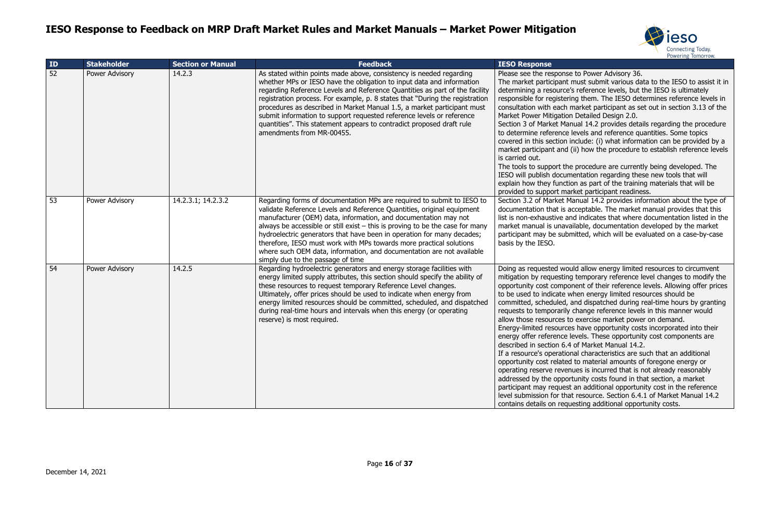

to Power Advisory 36.

must submit various data to the IESO to assist it in determinion a reference levels, but the IESO is ultimately ng them. The IESO determines reference levels in market participant as set out in section 3.13 of the Detailed Design 2.0.

nual 14.2 provides details regarding the procedure levels and reference quantities. Some topics nclude: (i) what information can be provided by a (ii) how the procedure to establish reference levels

procedure are currently being developed. The entation regarding these new tools that will on as part of the training materials that will be rket participant readiness.

anual 14.2 provides information about the type of cceptable. The market manual provides that this Id indicates that where documentation listed in the ilable, documentation developed by the market nitted, which will be evaluated on a case-by-case

Id allow energy limited resources to circumvent temporary reference level changes to modify the nent of their reference levels. Allowing offer prices then energy limited resources should be and dispatched during real-time hours by granting change reference levels in this manner would exercise market power on demand.

s have opportunity costs incorporated into their evels. These opportunity cost components are of Market Manual 14.2.

nal characteristics are such that an additional to material amounts of foregone energy or ues is incurred that is not already reasonably tunity costs found in that section, a market an additional opportunity cost in the reference resource. Section 6.4.1 of Market Manual 14.2 esting additional opportunity costs.

| ID | <b>Stakeholder</b> | <b>Section or Manual</b> | <b>Feedback</b>                                                                                                                                                                                                                                                                                                                                                                                                                                                                                                                                                       | <b>IESO Response</b>                                                                                                                                                                                                                                                                                                                                                                                                                                                                  |
|----|--------------------|--------------------------|-----------------------------------------------------------------------------------------------------------------------------------------------------------------------------------------------------------------------------------------------------------------------------------------------------------------------------------------------------------------------------------------------------------------------------------------------------------------------------------------------------------------------------------------------------------------------|---------------------------------------------------------------------------------------------------------------------------------------------------------------------------------------------------------------------------------------------------------------------------------------------------------------------------------------------------------------------------------------------------------------------------------------------------------------------------------------|
| 52 | Power Advisory     | 14.2.3                   | As stated within points made above, consistency is needed regarding<br>whether MPs or IESO have the obligation to input data and information<br>regarding Reference Levels and Reference Quantities as part of the facility<br>registration process. For example, p. 8 states that "During the registration<br>procedures as described in Market Manual 1.5, a market participant must<br>submit information to support requested reference levels or reference<br>quantities". This statement appears to contradict proposed draft rule<br>amendments from MR-00455. | Please see the response<br>The market participant r<br>determining a resource's<br>responsible for registerir<br>consultation with each n<br><b>Market Power Mitigation</b><br>Section 3 of Market Man<br>to determine reference I<br>covered in this section in<br>market participant and (<br>is carried out.<br>The tools to support the<br>IESO will publish docum<br>explain how they functic<br>provided to support mar                                                         |
| 53 | Power Advisory     | 14.2.3.1; 14.2.3.2       | Regarding forms of documentation MPs are required to submit to IESO to<br>validate Reference Levels and Reference Quantities, original equipment<br>manufacturer (OEM) data, information, and documentation may not<br>always be accessible or still exist $-$ this is proving to be the case for many<br>hydroelectric generators that have been in operation for many decades;<br>therefore, IESO must work with MPs towards more practical solutions<br>where such OEM data, information, and documentation are not available<br>simply due to the passage of time | Section 3.2 of Market Ma<br>documentation that is ad<br>list is non-exhaustive an<br>market manual is unavai<br>participant may be subm<br>basis by the IESO.                                                                                                                                                                                                                                                                                                                         |
| 54 | Power Advisory     | 14.2.5                   | Regarding hydroelectric generators and energy storage facilities with<br>energy limited supply attributes, this section should specify the ability of<br>these resources to request temporary Reference Level changes.<br>Ultimately, offer prices should be used to indicate when energy from<br>energy limited resources should be committed, scheduled, and dispatched<br>during real-time hours and intervals when this energy (or operating<br>reserve) is most required.                                                                                        | Doing as requested wou<br>mitigation by requesting<br>opportunity cost compor<br>to be used to indicate w<br>committed, scheduled, a<br>requests to temporarily<br>allow those resources to<br>Energy-limited resources<br>energy offer reference le<br>described in section 6.4<br>If a resource's operation<br>opportunity cost related<br>operating reserve revent<br>addressed by the opport<br>participant may request<br>level submission for that<br>contains details on reque |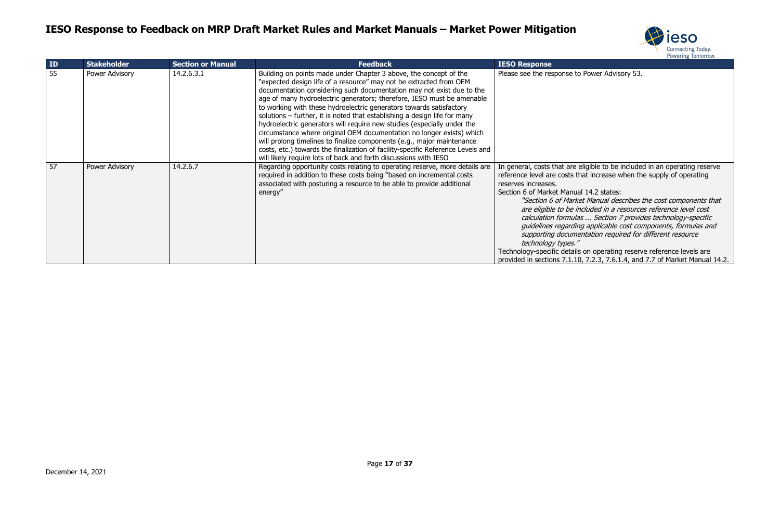



e to Power Advisory 53.

re eligible to be included in an operating reserve s that increase when the supply of operating

hual 14.2 states:

arket Manual describes the cost components that e included in a resources reference level cost calculation formulas ... Section 7 provides technology-specific guidelines regarding applicable cost components, formulas and imentation required for different resource technology  $\mathscr{S}$ 

| ID | <b>Stakeholder</b> | <b>Section or Manual</b> | <b>Feedback</b>                                                                                                                                                                                                                                                                                                                                                                                                                                                                                                                                                                                                                                                                                                                                                                                                                     | <b>IESO Response</b>                                                                                                                                                                                                                                                                        |
|----|--------------------|--------------------------|-------------------------------------------------------------------------------------------------------------------------------------------------------------------------------------------------------------------------------------------------------------------------------------------------------------------------------------------------------------------------------------------------------------------------------------------------------------------------------------------------------------------------------------------------------------------------------------------------------------------------------------------------------------------------------------------------------------------------------------------------------------------------------------------------------------------------------------|---------------------------------------------------------------------------------------------------------------------------------------------------------------------------------------------------------------------------------------------------------------------------------------------|
| 55 | Power Advisory     | 14.2.6.3.1               | Building on points made under Chapter 3 above, the concept of the<br>"expected design life of a resource" may not be extracted from OEM<br>documentation considering such documentation may not exist due to the<br>age of many hydroelectric generators; therefore, IESO must be amenable<br>to working with these hydroelectric generators towards satisfactory<br>solutions – further, it is noted that establishing a design life for many<br>hydroelectric generators will require new studies (especially under the<br>circumstance where original OEM documentation no longer exists) which<br>will prolong timelines to finalize components (e.g., major maintenance<br>costs, etc.) towards the finalization of facility-specific Reference Levels and<br>will likely require lots of back and forth discussions with IESO | Please see the response                                                                                                                                                                                                                                                                     |
| 57 | Power Advisory     | 14.2.6.7                 | Regarding opportunity costs relating to operating reserve, more details are<br>required in addition to these costs being "based on incremental costs<br>associated with posturing a resource to be able to provide additional<br>energy"                                                                                                                                                                                                                                                                                                                                                                                                                                                                                                                                                                                            | In general, costs that ar<br>reference level are costs<br>reserves increases.<br>Section 6 of Market Mar<br>"Section 6 of Ma<br>are eligible to be<br>calculation form<br>quidelines regard<br>supporting docul<br>technology types<br>Technology-specific deta<br>provided in sections 7.1 |

tails on operating reserve reference levels are provided in sections 7.1.10, 7.2.3, 7.6.1.4, and 7.7 of Market Manual 14.2.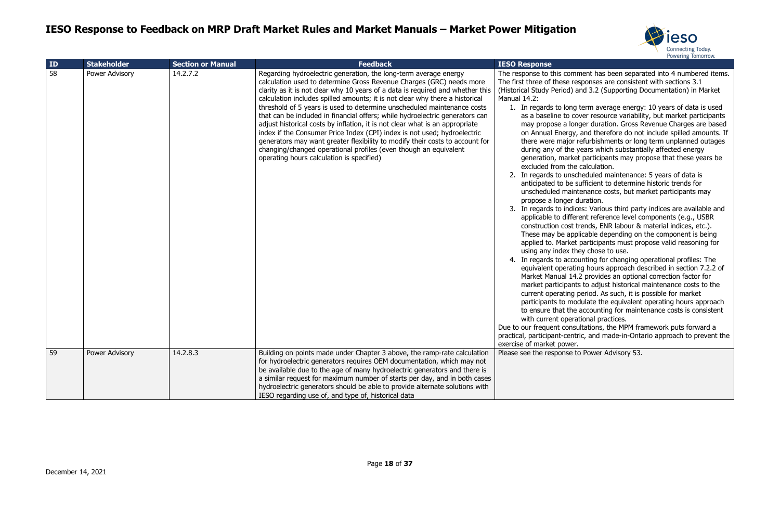

mment has been separated into 4 numbered items. responses are consistent with sections 3.1 and 3.2 (Supporting Documentation) in Market

1. Ing term average energy: 10 years of data is used cover resource variability, but market participants onger duration. Gross Revenue Charges are based ly, and therefore do not include spilled amounts. If In refurbishments or long term unplanned outages e years which substantially affected energy ket participants may propose that these years be he calculation.

scheduled maintenance: 5 years of data is sufficient to determine historic trends for intenance costs, but market participants may duration.

dices: Various third party indices are available and ferent reference level components (e.g., USBR trends, ENR labour & material indices, etc.). pplicable depending on the component is being et participants must propose valid reasoning for they chose to use.

counting for changing operational profiles: The ating hours approach described in section 7.2.2 of 14.2 provides an optional correction factor for nts to adjust historical maintenance costs to the g period. As such, it is possible for market nodulate the equivalent operating hours approach he accounting for maintenance costs is consistent erational practices.

Isultations, the MPM framework puts forward a ntric, and made-in-Ontario approach to prevent the

to Power Advisory 53.

| ID | <b>Stakeholder</b> | <b>Section or Manual</b> | <b>Feedback</b>                                                                                                                                                                                                                                                                                                                                                                                                                                                                                                                                                                                                                                                                                                                                                                                                                    | <b>IESO Response</b>                                                                                                                                                                                                                                                                                                                                                                                                                                                                                                                                                                                                                                                                                                                                                                                         |
|----|--------------------|--------------------------|------------------------------------------------------------------------------------------------------------------------------------------------------------------------------------------------------------------------------------------------------------------------------------------------------------------------------------------------------------------------------------------------------------------------------------------------------------------------------------------------------------------------------------------------------------------------------------------------------------------------------------------------------------------------------------------------------------------------------------------------------------------------------------------------------------------------------------|--------------------------------------------------------------------------------------------------------------------------------------------------------------------------------------------------------------------------------------------------------------------------------------------------------------------------------------------------------------------------------------------------------------------------------------------------------------------------------------------------------------------------------------------------------------------------------------------------------------------------------------------------------------------------------------------------------------------------------------------------------------------------------------------------------------|
| 58 | Power Advisory     | 14.2.7.2                 | Regarding hydroelectric generation, the long-term average energy<br>calculation used to determine Gross Revenue Charges (GRC) needs more<br>clarity as it is not clear why 10 years of a data is required and whether this<br>calculation includes spilled amounts; it is not clear why there a historical<br>threshold of 5 years is used to determine unscheduled maintenance costs<br>that can be included in financial offers; while hydroelectric generators can<br>adjust historical costs by inflation, it is not clear what is an appropriate<br>index if the Consumer Price Index (CPI) index is not used; hydroelectric<br>generators may want greater flexibility to modify their costs to account for<br>changing/changed operational profiles (even though an equivalent<br>operating hours calculation is specified) | The response to this comr<br>The first three of these re<br>(Historical Study Period) a<br>Manual 14.2:<br>1. In regards to long<br>as a baseline to co<br>may propose a lon<br>on Annual Energy,<br>there were major r<br>during any of the y<br>generation, market<br>excluded from the<br>2. In regards to unsc<br>anticipated to be s<br>unscheduled maint<br>propose a longer d<br>3. In regards to indic<br>applicable to differ<br>construction cost t<br>These may be app<br>applied to. Market<br>using any index the<br>4. In regards to acco<br>equivalent operatir<br>Market Manual 14.<br>market participant:<br>current operating<br>participants to mod<br>to ensure that the<br>with current opera<br>Due to our frequent consu<br>practical, participant-centr<br>exercise of market power. |
| 59 | Power Advisory     | 14.2.8.3                 | Building on points made under Chapter 3 above, the ramp-rate calculation<br>for hydroelectric generators requires OEM documentation, which may not<br>be available due to the age of many hydroelectric generators and there is<br>a similar request for maximum number of starts per day, and in both cases<br>hydroelectric generators should be able to provide alternate solutions with<br>IESO regarding use of, and type of, historical data                                                                                                                                                                                                                                                                                                                                                                                 | Please see the response to                                                                                                                                                                                                                                                                                                                                                                                                                                                                                                                                                                                                                                                                                                                                                                                   |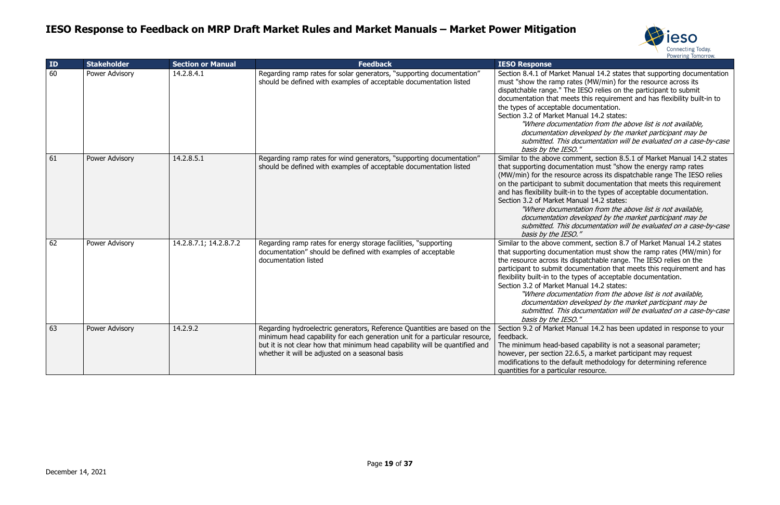

Manual 14.2 states that supporting documentation ates (MW/min) for the resource across its e IESO relies on the participant to submit ets this requirement and has flexibility built-in to documentation. anual 14.2 states:

ntation from the above list is not available, developed by the market participant may be documentation will be evaluated on a case-by-case  $\overline{O}$ ."

mment, section 8.5.1 of Market Manual 14.2 states Intation must "show the energy ramp rates rce across its dispatchable range The IESO relies bmit documentation that meets this requirement n to the types of acceptable documentation. anual 14.2 states:

ntation from the above list is not available, developed by the market participant may be documentation will be evaluated on a case-by-case  $\overline{O}$ ."

mment, section 8.7 of Market Manual 14.2 states Intation must show the ramp rates (MW/min) for dispatchable range. The IESO relies on the cumentation that meets this requirement and has types of acceptable documentation.

anual 14.2 states:

ntation from the above list is not available, developed by the market participant may be documentation will be evaluated on a case-by-case 'O. "

anual 14.2 has been updated in response to your

ed capability is not a seasonal parameter; 2.6.5, a market participant may request ault methodology for determining reference ar resource.

| ID | <b>Stakeholder</b> | <b>Section or Manual</b> | <b>Feedback</b>                                                                                                                                                                                                                                                                            | <b>IESO Response</b>                                                                                                                                                                                                                                  |
|----|--------------------|--------------------------|--------------------------------------------------------------------------------------------------------------------------------------------------------------------------------------------------------------------------------------------------------------------------------------------|-------------------------------------------------------------------------------------------------------------------------------------------------------------------------------------------------------------------------------------------------------|
| 60 | Power Advisory     | 14.2.8.4.1               | Regarding ramp rates for solar generators, "supporting documentation"<br>should be defined with examples of acceptable documentation listed                                                                                                                                                | Section 8.4.1 of Market<br>must "show the ramp ra<br>dispatchable range." The<br>documentation that mee<br>the types of acceptable<br>Section 3.2 of Market Ma<br>"Where documer<br>documentation d<br>submitted. This<br>basis by the IES            |
| 61 | Power Advisory     | 14.2.8.5.1               | Regarding ramp rates for wind generators, "supporting documentation"<br>should be defined with examples of acceptable documentation listed                                                                                                                                                 | Similar to the above con<br>that supporting docume<br>(MW/min) for the resour<br>on the participant to sub<br>and has flexibility built-in<br>Section 3.2 of Market Ma<br>"Where documer<br>documentation d<br>submitted. This<br>basis by the IES    |
| 62 | Power Advisory     | 14.2.8.7.1; 14.2.8.7.2   | Regarding ramp rates for energy storage facilities, "supporting<br>documentation" should be defined with examples of acceptable<br>documentation listed                                                                                                                                    | Similar to the above con<br>that supporting docume<br>the resource across its of<br>participant to submit do<br>flexibility built-in to the t<br>Section 3.2 of Market Ma<br>"Where documer<br>documentation d<br>submitted. This<br>basis by the IES |
| 63 | Power Advisory     | 14.2.9.2                 | Regarding hydroelectric generators, Reference Quantities are based on the<br>minimum head capability for each generation unit for a particular resource,<br>but it is not clear how that minimum head capability will be quantified and<br>whether it will be adjusted on a seasonal basis | Section 9.2 of Market Ma<br>feedback.<br>The minimum head-base<br>however, per section 22<br>modifications to the defa<br>quantities for a particula                                                                                                  |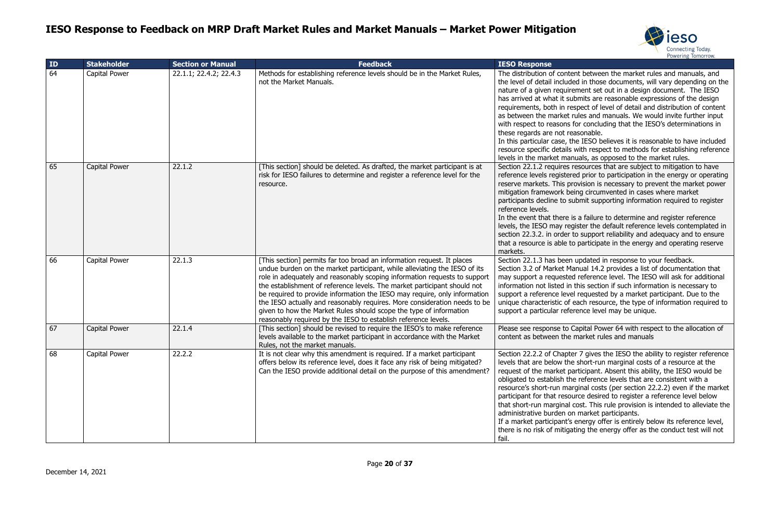

ent between the market rules and manuals, and ed in those documents, will vary depending on the ement set out in a design document. The IESO abmits are reasonable expressions of the design espect of level of detail and distribution of content rules and manuals. We would invite further input for concluding that the IESO's determinations in easonable.

the IESO believes it is reasonable to have included with respect to methods for establishing reference nuals, as opposed to the market rules.

esources that are subject to mitigation to have red prior to participation in the energy or operating rovision is necessary to prevent the market power eing circumvented in cases where market ubmit supporting information required to register

is a failure to determine and register reference gister the default reference levels contemplated in to support reliability and adequacy and to ensure o participate in the energy and operating reserve

updated in response to your feedback. anual 14.2 provides a list of documentation that d reference level. The IESO will ask for additional this section if such information is necessary to el requested by a market participant. Due to the each resource, the type of information required to erence level may be unique.

Capital Power 64 with respect to the allocation of market rules and manuals

er 7 gives the IESO the ability to register reference e short-run marginal costs of a resource at the articipant. Absent this ability, the IESO would be ne reference levels that are consistent with a rginal costs (per section 22.2.2) even if the market urce desired to register a reference level below cost. This rule provision is intended to alleviate the n market participants.

energy offer is entirely below its reference level, ating the energy offer as the conduct test will not

| ID | <b>Stakeholder</b> | <b>Section or Manual</b> | <b>Feedback</b>                                                                                                                                                                                                                                                                                                                                                                                                                                                                                                                                                                                                | <b>IESO Response</b>                                                                                                                                                                                                                                                                                                     |
|----|--------------------|--------------------------|----------------------------------------------------------------------------------------------------------------------------------------------------------------------------------------------------------------------------------------------------------------------------------------------------------------------------------------------------------------------------------------------------------------------------------------------------------------------------------------------------------------------------------------------------------------------------------------------------------------|--------------------------------------------------------------------------------------------------------------------------------------------------------------------------------------------------------------------------------------------------------------------------------------------------------------------------|
| 64 | Capital Power      | 22.1.1; 22.4.2; 22.4.3   | Methods for establishing reference levels should be in the Market Rules,<br>not the Market Manuals.                                                                                                                                                                                                                                                                                                                                                                                                                                                                                                            | The distribution of conte<br>the level of detail include<br>nature of a given require<br>has arrived at what it su<br>requirements, both in re<br>as between the market r<br>with respect to reasons<br>these regards are not re<br>In this particular case, th<br>resource specific details<br>levels in the market mar |
| 65 | Capital Power      | 22.1.2                   | [This section] should be deleted. As drafted, the market participant is at<br>risk for IESO failures to determine and register a reference level for the<br>resource.                                                                                                                                                                                                                                                                                                                                                                                                                                          | Section 22.1.2 requires i<br>reference levels register<br>reserve markets. This pr<br>mitigation framework be<br>participants decline to su<br>reference levels.<br>In the event that there i<br>levels, the IESO may reg<br>section 22.3.2. in order<br>that a resource is able to<br>markets.                          |
| 66 | Capital Power      | 22.1.3                   | [This section] permits far too broad an information request. It places<br>undue burden on the market participant, while alleviating the IESO of its<br>role in adequately and reasonably scoping information requests to support<br>the establishment of reference levels. The market participant should not<br>be required to provide information the IESO may require, only information<br>the IESO actually and reasonably requires. More consideration needs to be<br>given to how the Market Rules should scope the type of information<br>reasonably required by the IESO to establish reference levels. | Section 22.1.3 has been<br>Section 3.2 of Market Ma<br>may support a requested<br>information not listed in<br>support a reference leve<br>unique characteristic of<br>support a particular refe                                                                                                                         |
| 67 | Capital Power      | 22.1.4                   | [This section] should be revised to require the IESO's to make reference<br>levels available to the market participant in accordance with the Market<br>Rules, not the market manuals.                                                                                                                                                                                                                                                                                                                                                                                                                         | Please see response to 0<br>content as between the                                                                                                                                                                                                                                                                       |
| 68 | Capital Power      | 22.2.2                   | It is not clear why this amendment is required. If a market participant<br>offers below its reference level, does it face any risk of being mitigated?<br>Can the IESO provide additional detail on the purpose of this amendment?                                                                                                                                                                                                                                                                                                                                                                             | Section 22.2.2 of Chapte<br>levels that are below the<br>request of the market pa<br>obligated to establish the<br>resource's short-run mai<br>participant for that resou<br>that short-run marginal<br>administrative burden or<br>If a market participant's<br>there is no risk of mitiga<br>fail.                     |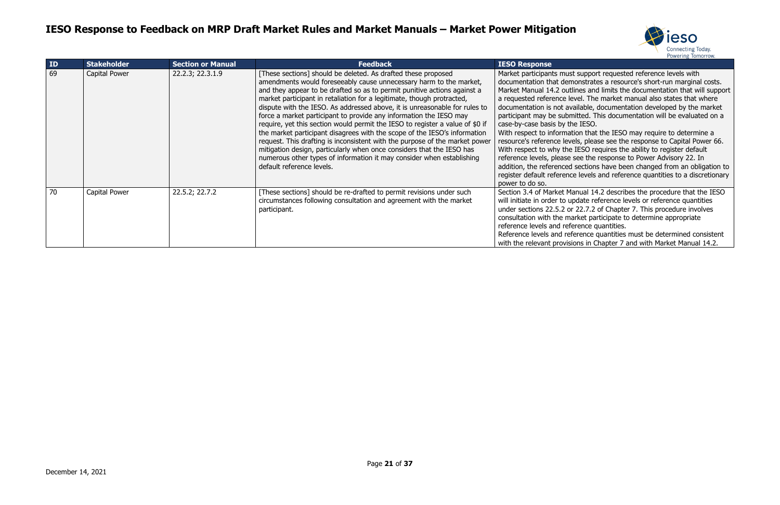

st support requested reference levels with nonstrates a resource's short-run marginal costs. lines and limits the documentation that will support evel. The market manual also states that where vailable, documentation developed by the market nitted. This documentation will be evaluated on a ne IESO.

tion that the IESO may require to determine a rels, please see the response to Capital Power 66. IESO requires the ability to register default see the response to Power Advisory 22. In sections have been changed from an obligation to re levels and reference quantities to a discretionary

anual 14.2 describes the procedure that the IESO pdate reference levels or reference quantities  $22.7.2$  of Chapter 7. This procedure involves arket participate to determine appropriate erence quantities.

ference quantities must be determined consistent ions in Chapter 7 and with Market Manual 14.2.

| ID | <b>Stakeholder</b> | <b>Section or Manual</b> | <b>Feedback</b>                                                                                                                                                                                                                                                                                                                                                                                                                                                                                                                                                                                                                                                                                                                                                                                                                                                           | <b>IESO Response</b>                                                                                                                                                                                                                                                                                                                                                                    |
|----|--------------------|--------------------------|---------------------------------------------------------------------------------------------------------------------------------------------------------------------------------------------------------------------------------------------------------------------------------------------------------------------------------------------------------------------------------------------------------------------------------------------------------------------------------------------------------------------------------------------------------------------------------------------------------------------------------------------------------------------------------------------------------------------------------------------------------------------------------------------------------------------------------------------------------------------------|-----------------------------------------------------------------------------------------------------------------------------------------------------------------------------------------------------------------------------------------------------------------------------------------------------------------------------------------------------------------------------------------|
| 69 | Capital Power      | 22.2.3; 22.3.1.9         | [These sections] should be deleted. As drafted these proposed<br>amendments would foreseeably cause unnecessary harm to the market,<br>and they appear to be drafted so as to permit punitive actions against a<br>market participant in retaliation for a legitimate, though protracted,<br>dispute with the IESO. As addressed above, it is unreasonable for rules to<br>force a market participant to provide any information the IESO may<br>require, yet this section would permit the IESO to register a value of \$0 if<br>the market participant disagrees with the scope of the IESO's information<br>request. This drafting is inconsistent with the purpose of the market power<br>mitigation design, particularly when once considers that the IESO has<br>numerous other types of information it may consider when establishing<br>default reference levels. | Market participants must<br>documentation that dem<br>Market Manual 14.2 outl<br>a requested reference le<br>documentation is not av<br>participant may be subm<br>case-by-case basis by th<br>With respect to informat<br>resource's reference leve<br>With respect to why the<br>reference levels, please<br>addition, the referenced<br>register default referenc<br>power to do so. |
| 70 | Capital Power      | 22.5.2; 22.7.2           | [These sections] should be re-drafted to permit revisions under such<br>circumstances following consultation and agreement with the market<br>participant.                                                                                                                                                                                                                                                                                                                                                                                                                                                                                                                                                                                                                                                                                                                | Section 3.4 of Market Ma<br>will initiate in order to up<br>under sections 22.5.2 or<br>consultation with the ma<br>reference levels and refe<br>Reference levels and ref<br>with the relevant provisi-                                                                                                                                                                                 |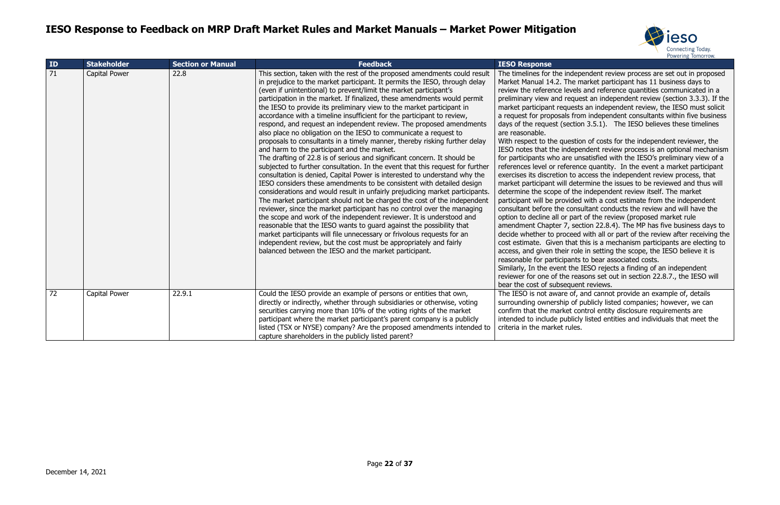

dependent review process are set out in proposed e market participant has 11 business days to rels and reference quantities communicated in a quest an independent review (section 3.3.3). If the ests an independent review, the IESO must solicit from independent consultants within five business ttion 3.5.1). The IESO believes these timelines

stion of costs for the independent reviewer, the ependent review process is an optional mechanism unsatisfied with the IESO's preliminary view of a ence quantity. In the event a market participant to access the independent review process, that letermine the issues to be reviewed and thus will the independent review itself. The market led with a cost estimate from the independent onsultant conducts the review and will have the bart of the review (proposed market rule section 22.8.4). The MP has five business days to eed with all or part of the review after receiving the at this is a mechanism participants are electing to role in setting the scope, the IESO believe it is nts to bear associated costs.

he IESO rejects a finding of an independent reasons set out in section 22.8.7., the IESO will bent reviews.

of, and cannot provide an example of, details of publicly listed companies; however, we can control entity disclosure requirements are icly listed entities and individuals that meet the les.

| ID | <b>Stakeholder</b> | <b>Section or Manual</b> | <b>Feedback</b>                                                                                                                                                                                                                                                                                                                                                                                                                                                                                                                                                                                                                                                                                                                                                                                                                                                                                                                                                                                                                                                                                                                                                                                                                                                                                                                                                                                                                                                                                                                                                                                                                                       | <b>IESO Response</b>                                                                                                                                                                                                                                                                                                                                                                                                                                                                                                                                                                                                                                                                                                                                    |
|----|--------------------|--------------------------|-------------------------------------------------------------------------------------------------------------------------------------------------------------------------------------------------------------------------------------------------------------------------------------------------------------------------------------------------------------------------------------------------------------------------------------------------------------------------------------------------------------------------------------------------------------------------------------------------------------------------------------------------------------------------------------------------------------------------------------------------------------------------------------------------------------------------------------------------------------------------------------------------------------------------------------------------------------------------------------------------------------------------------------------------------------------------------------------------------------------------------------------------------------------------------------------------------------------------------------------------------------------------------------------------------------------------------------------------------------------------------------------------------------------------------------------------------------------------------------------------------------------------------------------------------------------------------------------------------------------------------------------------------|---------------------------------------------------------------------------------------------------------------------------------------------------------------------------------------------------------------------------------------------------------------------------------------------------------------------------------------------------------------------------------------------------------------------------------------------------------------------------------------------------------------------------------------------------------------------------------------------------------------------------------------------------------------------------------------------------------------------------------------------------------|
| 71 | Capital Power      | 22.8                     | This section, taken with the rest of the proposed amendments could result<br>in prejudice to the market participant. It permits the IESO, through delay<br>(even if unintentional) to prevent/limit the market participant's<br>participation in the market. If finalized, these amendments would permit<br>the IESO to provide its preliminary view to the market participant in<br>accordance with a timeline insufficient for the participant to review,<br>respond, and request an independent review. The proposed amendments<br>also place no obligation on the IESO to communicate a request to<br>proposals to consultants in a timely manner, thereby risking further delay<br>and harm to the participant and the market.<br>The drafting of 22.8 is of serious and significant concern. It should be<br>subjected to further consultation. In the event that this request for further<br>consultation is denied, Capital Power is interested to understand why the<br>IESO considers these amendments to be consistent with detailed design<br>considerations and would result in unfairly prejudicing market participants.<br>The market participant should not be charged the cost of the independent<br>reviewer, since the market participant has no control over the managing<br>the scope and work of the independent reviewer. It is understood and<br>reasonable that the IESO wants to guard against the possibility that<br>market participants will file unnecessary or frivolous requests for an<br>independent review, but the cost must be appropriately and fairly<br>balanced between the IESO and the market participant. | The timelines for the ind<br>Market Manual 14.2. The<br>review the reference lev<br>preliminary view and red<br>market participant reque<br>a request for proposals f<br>days of the request (sec<br>are reasonable.<br>With respect to the ques<br>IESO notes that the inde<br>for participants who are<br>references level or refer<br>exercises its discretion to<br>market participant will d<br>determine the scope of t<br>participant will be provid<br>consultant before the co<br>option to decline all or p<br>amendment Chapter 7, s<br>decide whether to proce<br>cost estimate. Given tha<br>access, and given their r<br>reasonable for participar<br>Similarly, In the event th<br>reviewer for one of the r<br>bear the cost of subsequ |
| 72 | Capital Power      | 22.9.1                   | Could the IESO provide an example of persons or entities that own,<br>directly or indirectly, whether through subsidiaries or otherwise, voting<br>securities carrying more than 10% of the voting rights of the market<br>participant where the market participant's parent company is a publicly<br>listed (TSX or NYSE) company? Are the proposed amendments intended to<br>capture shareholders in the publicly listed parent?                                                                                                                                                                                                                                                                                                                                                                                                                                                                                                                                                                                                                                                                                                                                                                                                                                                                                                                                                                                                                                                                                                                                                                                                                    | The IESO is not aware o<br>surrounding ownership o<br>confirm that the market<br>intended to include publ<br>criteria in the market rul                                                                                                                                                                                                                                                                                                                                                                                                                                                                                                                                                                                                                 |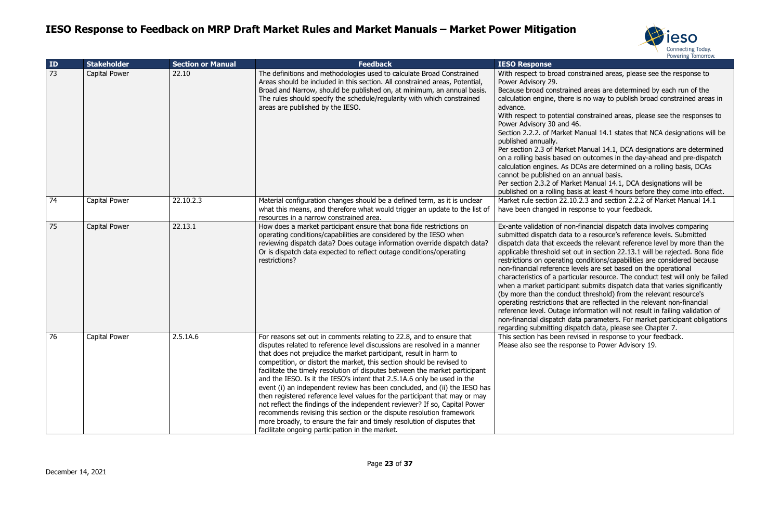



onstrained areas, please see the response to

ed areas are determined by each run of the is no way to publish broad constrained areas in

I constrained areas, please see the responses to

Manual 14.1 states that NCA designations will be

t Manual 14.1, DCA designations are determined on outcomes in the day-ahead and pre-dispatch CAs are determined on a rolling basis, DCAs an annual basis.

ket Manual 14.1, DCA designations will be sis at least 4 hours before they come into effect.  $0.2.3$  and section 2.2.2 of Market Manual 14.1 esponse to your feedback.

1-financial dispatch data involves comparing to a resource's reference levels. Submitted ds the relevant reference level by more than the out in section 22.13.1 will be rejected. Bona fide conditions/capabilities are considered because evels are set based on the operational cular resource. The conduct test will only be failed nt submits dispatch data that varies significantly (by threshold) from the relevant resource's at are reflected in the relevant non-financial information will not result in failing validation of ata parameters. For market participant obligations patch data, please see Chapter 7.

vised in response to your feedback. onse to Power Advisory 19.

| ID | <b>Stakeholder</b>   | <b>Section or Manual</b> | <b>Feedback</b>                                                                                                                                                                                                                                                                                                                                                                                                                                                                                                                                                                                                                                                                                                                                                                                                                                                                                         | <b>IESO Response</b>                                                                                                                                                                                                                                                                                                                                                                                                                 |
|----|----------------------|--------------------------|---------------------------------------------------------------------------------------------------------------------------------------------------------------------------------------------------------------------------------------------------------------------------------------------------------------------------------------------------------------------------------------------------------------------------------------------------------------------------------------------------------------------------------------------------------------------------------------------------------------------------------------------------------------------------------------------------------------------------------------------------------------------------------------------------------------------------------------------------------------------------------------------------------|--------------------------------------------------------------------------------------------------------------------------------------------------------------------------------------------------------------------------------------------------------------------------------------------------------------------------------------------------------------------------------------------------------------------------------------|
| 73 | Capital Power        | 22.10                    | The definitions and methodologies used to calculate Broad Constrained<br>Areas should be included in this section. All constrained areas, Potential,<br>Broad and Narrow, should be published on, at minimum, an annual basis.<br>The rules should specify the schedule/regularity with which constrained<br>areas are published by the IESO.                                                                                                                                                                                                                                                                                                                                                                                                                                                                                                                                                           | With respect to broad cons<br>Power Advisory 29.<br>Because broad constrained<br>calculation engine, there is<br>advance.<br>With respect to potential co<br>Power Advisory 30 and 46.<br>Section 2.2.2. of Market Ma<br>published annually.<br>Per section 2.3 of Market N<br>on a rolling basis based on<br>calculation engines. As DC<br>cannot be published on an<br>Per section 2.3.2 of Market<br>published on a rolling basis |
| 74 | Capital Power        | 22.10.2.3                | Material configuration changes should be a defined term, as it is unclear<br>what this means, and therefore what would trigger an update to the list of<br>resources in a narrow constrained area.                                                                                                                                                                                                                                                                                                                                                                                                                                                                                                                                                                                                                                                                                                      | Market rule section 22.10.2<br>have been changed in resp                                                                                                                                                                                                                                                                                                                                                                             |
| 75 | <b>Capital Power</b> | 22.13.1                  | How does a market participant ensure that bona fide restrictions on<br>operating conditions/capabilities are considered by the IESO when<br>reviewing dispatch data? Does outage information override dispatch data?<br>Or is dispatch data expected to reflect outage conditions/operating<br>restrictions?                                                                                                                                                                                                                                                                                                                                                                                                                                                                                                                                                                                            | Ex-ante validation of non-f<br>submitted dispatch data to<br>dispatch data that exceeds<br>applicable threshold set ou<br>restrictions on operating co<br>non-financial reference lev<br>characteristics of a particul<br>when a market participant<br>(by more than the conduct<br>operating restrictions that<br>reference level. Outage inf<br>non-financial dispatch data<br>regarding submitting dispa                          |
| 76 | Capital Power        | 2.5.1A.6                 | For reasons set out in comments relating to 22.8, and to ensure that<br>disputes related to reference level discussions are resolved in a manner<br>that does not prejudice the market participant, result in harm to<br>competition, or distort the market, this section should be revised to<br>facilitate the timely resolution of disputes between the market participant<br>and the IESO. Is it the IESO's intent that 2.5.1A.6 only be used in the<br>event (i) an independent review has been concluded, and (ii) the IESO has<br>then registered reference level values for the participant that may or may<br>not reflect the findings of the independent reviewer? If so, Capital Power<br>recommends revising this section or the dispute resolution framework<br>more broadly, to ensure the fair and timely resolution of disputes that<br>facilitate ongoing participation in the market. | This section has been revis<br>Please also see the respon:                                                                                                                                                                                                                                                                                                                                                                           |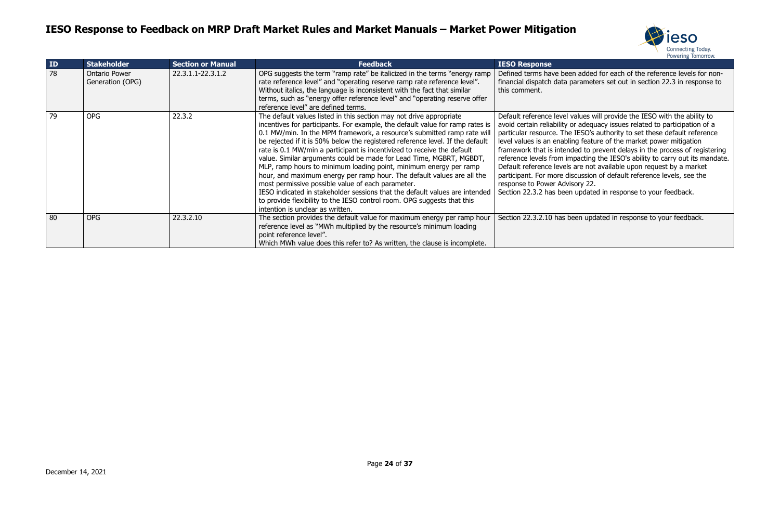



en added for each of the reference levels for nonparameters set out in section 22.3 in response to

values will provide the IESO with the ability to or adequacy issues related to participation of a particular reference. IESO's authority to set these default reference ing feature of the market power mitigation ded to prevent delays in the process of registering npacting the IESO's ability to carry out its mandate.  $\frac{1}{2}$  are not available upon request by a market scussion of default reference levels, see the sory 22.

updated in response to your feedback.

een updated in response to your feedback.

| ID | <b>Stakeholder</b>                       | <b>Section or Manual</b> | <b>Feedback</b>                                                                                                                                                                                                                                                                                                                                                                                                                                                                                                                                                                                                                                                                                                                                                                                                                                                      | <b>IESO Response</b>                                                                                                                                                                                                                                                                      |
|----|------------------------------------------|--------------------------|----------------------------------------------------------------------------------------------------------------------------------------------------------------------------------------------------------------------------------------------------------------------------------------------------------------------------------------------------------------------------------------------------------------------------------------------------------------------------------------------------------------------------------------------------------------------------------------------------------------------------------------------------------------------------------------------------------------------------------------------------------------------------------------------------------------------------------------------------------------------|-------------------------------------------------------------------------------------------------------------------------------------------------------------------------------------------------------------------------------------------------------------------------------------------|
| 78 | <b>Ontario Power</b><br>Generation (OPG) | 22.3.1.1-22.3.1.2        | OPG suggests the term "ramp rate" be italicized in the terms "energy ramp"<br>rate reference level" and "operating reserve ramp rate reference level".<br>Without italics, the language is inconsistent with the fact that similar<br>terms, such as "energy offer reference level" and "operating reserve offer<br>reference level" are defined terms.                                                                                                                                                                                                                                                                                                                                                                                                                                                                                                              | Defined terms have bee<br>financial dispatch data p<br>this comment.                                                                                                                                                                                                                      |
| 79 | <b>OPG</b>                               | 22.3.2                   | The default values listed in this section may not drive appropriate<br>incentives for participants. For example, the default value for ramp rates is<br>0.1 MW/min. In the MPM framework, a resource's submitted ramp rate will<br>be rejected if it is 50% below the registered reference level. If the default<br>rate is 0.1 MW/min a participant is incentivized to receive the default<br>value. Similar arguments could be made for Lead Time, MGBRT, MGBDT,<br>MLP, ramp hours to minimum loading point, minimum energy per ramp<br>hour, and maximum energy per ramp hour. The default values are all the<br>most permissive possible value of each parameter.<br>IESO indicated in stakeholder sessions that the default values are intended<br>to provide flexibility to the IESO control room. OPG suggests that this<br>intention is unclear as written. | Default reference level v<br>avoid certain reliability o<br>particular resource. The<br>level values is an enablir<br>framework that is intend<br>reference levels from im<br>Default reference levels<br>participant. For more dis<br>response to Power Advis<br>Section 22.3.2 has been |
| 80 | <b>OPG</b>                               | 22.3.2.10                | The section provides the default value for maximum energy per ramp hour<br>reference level as "MWh multiplied by the resource's minimum loading<br>point reference level".<br>Which MWh value does this refer to? As written, the clause is incomplete.                                                                                                                                                                                                                                                                                                                                                                                                                                                                                                                                                                                                              | Section 22.3.2.10 has be                                                                                                                                                                                                                                                                  |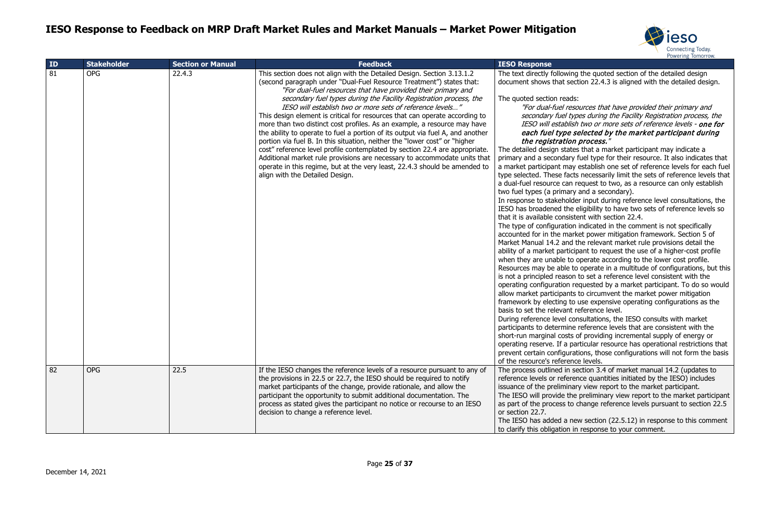

Ing the quoted section of the detailed design ction 22.4.3 is aligned with the detailed design.

sources that have provided their primary and ypes during the Facility Registration process, the IS two or more sets of reference levels - **one for** selected by the market participant during n process."

es that a market participant may indicate a fuel type for their resource. It also indicates that y establish one set of reference levels for each fuel ts necessarily limit the sets of reference levels that request to two, as a resource can only establish y and a secondary).

Ier input during reference level consultations, the eligibility to have two sets of reference levels so  $stent$  with section 22.4.

In indicated in the comment is not specifically rket power mitigation framework. Section 5 of the relevant market rule provisions detail the ipant to request the use of a higher-cost profile operate according to the lower cost profile. to operate in a multitude of configurations, but this in to set a reference level consistent with the requested by a market participant. To do so would allow to circumvent the market power mitigation o use expensive operating configurations as the reference level.

onsultations, the IESO consults with market e reference levels that are consistent with the of providing incremental supply of energy or articular resource has operational restrictions that ations, those configurations will not form the basis oce levels.

section 3.4 of market manual 14.2 (updates to ence quantities initiated by the IESO) includes ary view report to the market participant. e preliminary view report to the market participant change reference levels pursuant to section 22.5

ew section (22.5.12) in response to this comment in response to your comment.

| ID | <b>Stakeholder</b> | <b>Section or Manual</b> | <b>Feedback</b>                                                                                                                                                                                                                                                                                                                                                                                                                                                                                                                                                                                                                                                                                                                                                                                                                                                                                                                                            | <b>IESO Response</b>                                                                                                                                                                                                                                                                                                                                                                                                                                                                                                                                                                                                                                                                                                                                                                                                                                                                                                                                                                                                                              |
|----|--------------------|--------------------------|------------------------------------------------------------------------------------------------------------------------------------------------------------------------------------------------------------------------------------------------------------------------------------------------------------------------------------------------------------------------------------------------------------------------------------------------------------------------------------------------------------------------------------------------------------------------------------------------------------------------------------------------------------------------------------------------------------------------------------------------------------------------------------------------------------------------------------------------------------------------------------------------------------------------------------------------------------|---------------------------------------------------------------------------------------------------------------------------------------------------------------------------------------------------------------------------------------------------------------------------------------------------------------------------------------------------------------------------------------------------------------------------------------------------------------------------------------------------------------------------------------------------------------------------------------------------------------------------------------------------------------------------------------------------------------------------------------------------------------------------------------------------------------------------------------------------------------------------------------------------------------------------------------------------------------------------------------------------------------------------------------------------|
| 81 | <b>OPG</b>         | 22.4.3                   | This section does not align with the Detailed Design. Section 3.13.1.2<br>(second paragraph under "Dual-Fuel Resource Treatment") states that:<br>"For dual-fuel resources that have provided their primary and<br>secondary fuel types during the Facility Registration process, the<br>IESO will establish two or more sets of reference levels"<br>This design element is critical for resources that can operate according to<br>more than two distinct cost profiles. As an example, a resource may have<br>the ability to operate to fuel a portion of its output via fuel A, and another<br>portion via fuel B. In this situation, neither the "lower cost" or "higher<br>cost" reference level profile contemplated by section 22.4 are appropriate.<br>Additional market rule provisions are necessary to accommodate units that<br>operate in this regime, but at the very least, 22.4.3 should be amended to<br>align with the Detailed Design. | The text directly following<br>document shows that secti<br>The quoted section reads:<br>"For dual-fuel resou<br>secondary fuel type<br><b>IESO</b> will establish<br>each fuel type se<br>the registration p<br>The detailed design states<br>primary and a secondary fu<br>a market participant may e<br>type selected. These facts<br>a dual-fuel resource can re<br>two fuel types (a primary a<br>In response to stakeholder<br>IESO has broadened the el<br>that it is available consister<br>The type of configuration in<br>accounted for in the marke<br>Market Manual 14.2 and th<br>ability of a market participa<br>when they are unable to of<br>Resources may be able to<br>is not a principled reason to<br>operating configuration red<br>allow market participants to<br>framework by electing to u<br>basis to set the relevant re<br>During reference level cons<br>participants to determine re<br>short-run marginal costs of<br>operating reserve. If a part<br>prevent certain configuratio<br>of the resource's reference |
| 82 | <b>OPG</b>         | 22.5                     | If the IESO changes the reference levels of a resource pursuant to any of<br>the provisions in 22.5 or 22.7, the IESO should be required to notify<br>market participants of the change, provide rationale, and allow the<br>participant the opportunity to submit additional documentation. The<br>process as stated gives the participant no notice or recourse to an IESO<br>decision to change a reference level.                                                                                                                                                                                                                                                                                                                                                                                                                                                                                                                                      | The process outlined in sed<br>reference levels or referent<br>issuance of the preliminary<br>The IESO will provide the p<br>as part of the process to ch<br>or section 22.7.<br>The IESO has added a new<br>to clarify this obligation in                                                                                                                                                                                                                                                                                                                                                                                                                                                                                                                                                                                                                                                                                                                                                                                                        |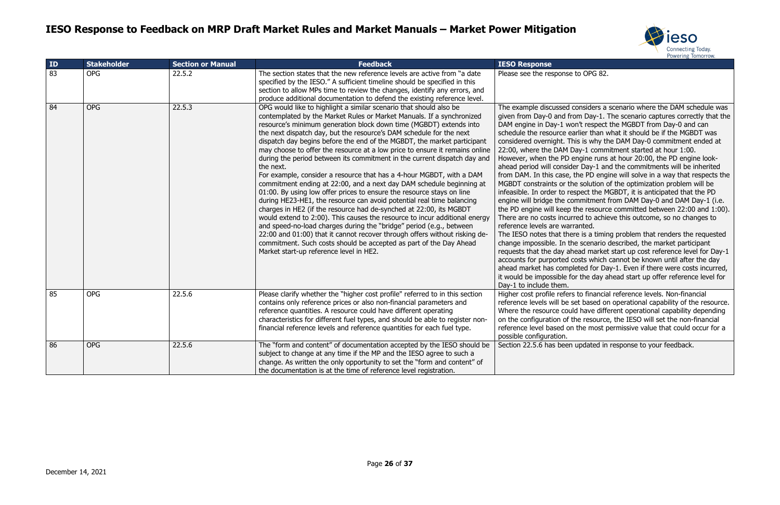

to OPG 82.

considers a scenario where the DAM schedule was om Day-1. The scenario captures correctly that the on't respect the MGBDT from Day-0 and can arlier than what it should be if the MGBDT was his is why the DAM Day-0 commitment ended at 2ay-1 commitment started at hour 1:00. engine runs at hour 20:00, the PD engine lookler Day-1 and the commitments will be inherited the PD engine will solve in a way that respects the ne solution of the optimization problem will be espect the MGBDT, it is anticipated that the PD engineent from DAM Day-0 and DAM Day-1 (i.e. the resource committed between 22:00 and 1:00). rred to achieve this outcome, so no changes to ranted.

ere is a timing problem that renders the requested ne scenario described, the market participant read market start up cost reference level for Day-1 costs which cannot be known until after the day leted for Day-1. Even if there were costs incurred, or the day ahead start up offer reference level for

s to financial reference levels. Non-financial set based on operational capability of the resource. Id have different operational capability depending the resource, the IESO will set the non-financial the most permissive value that could occur for a

updated in response to your feedback.

| ID              | <b>Stakeholder</b> | <b>Section or Manual</b> | <b>Feedback</b>                                                                                                                                                                                                                                                                                                                                                                                                                                                                                                                                                                                                                                                                                                                                                                                                                                                                                                                                                                                                                                                                                                                                                                                                                                                         | <b>IESO Response</b>                                                                                                                                                                                                                                                                                                                                                                                                                                                                                                                                                                                                  |
|-----------------|--------------------|--------------------------|-------------------------------------------------------------------------------------------------------------------------------------------------------------------------------------------------------------------------------------------------------------------------------------------------------------------------------------------------------------------------------------------------------------------------------------------------------------------------------------------------------------------------------------------------------------------------------------------------------------------------------------------------------------------------------------------------------------------------------------------------------------------------------------------------------------------------------------------------------------------------------------------------------------------------------------------------------------------------------------------------------------------------------------------------------------------------------------------------------------------------------------------------------------------------------------------------------------------------------------------------------------------------|-----------------------------------------------------------------------------------------------------------------------------------------------------------------------------------------------------------------------------------------------------------------------------------------------------------------------------------------------------------------------------------------------------------------------------------------------------------------------------------------------------------------------------------------------------------------------------------------------------------------------|
| $\overline{83}$ | <b>OPG</b>         | 22.5.2                   | The section states that the new reference levels are active from "a date<br>specified by the IESO." A sufficient timeline should be specified in this<br>section to allow MPs time to review the changes, identify any errors, and<br>produce additional documentation to defend the existing reference level.                                                                                                                                                                                                                                                                                                                                                                                                                                                                                                                                                                                                                                                                                                                                                                                                                                                                                                                                                          | Please see the response                                                                                                                                                                                                                                                                                                                                                                                                                                                                                                                                                                                               |
| 84              | <b>OPG</b>         | 22.5.3                   | OPG would like to highlight a similar scenario that should also be<br>contemplated by the Market Rules or Market Manuals. If a synchronized<br>resource's minimum generation block down time (MGBDT) extends into<br>the next dispatch day, but the resource's DAM schedule for the next<br>dispatch day begins before the end of the MGBDT, the market participant<br>may choose to offer the resource at a low price to ensure it remains online<br>during the period between its commitment in the current dispatch day and<br>the next.<br>For example, consider a resource that has a 4-hour MGBDT, with a DAM<br>commitment ending at 22:00, and a next day DAM schedule beginning at<br>01:00. By using low offer prices to ensure the resource stays on line<br>during HE23-HE1, the resource can avoid potential real time balancing<br>charges in HE2 (if the resource had de-synched at 22:00, its MGBDT<br>would extend to 2:00). This causes the resource to incur additional energy<br>and speed-no-load charges during the "bridge" period (e.g., between<br>22:00 and 01:00) that it cannot recover through offers without risking de-<br>commitment. Such costs should be accepted as part of the Day Ahead<br>Market start-up reference level in HE2. | The example discussed<br>given from Day-0 and fr<br>DAM engine in Day-1 wo<br>schedule the resource ea<br>considered overnight. Th<br>22:00, where the DAM D<br>However, when the PD 6<br>ahead period will consid<br>from DAM. In this case,<br>MGBDT constraints or th<br>infeasible. In order to re<br>engine will bridge the co<br>the PD engine will keep<br>There are no costs incur<br>reference levels are war<br>The IESO notes that the<br>change impossible. In th<br>requests that the day ah<br>accounts for purported o<br>ahead market has comp<br>it would be impossible fo<br>Day-1 to include them. |
| 85              | <b>OPG</b>         | 22.5.6                   | Please clarify whether the "higher cost profile" referred to in this section<br>contains only reference prices or also non-financial parameters and<br>reference quantities. A resource could have different operating<br>characteristics for different fuel types, and should be able to register non-<br>financial reference levels and reference quantities for each fuel type.                                                                                                                                                                                                                                                                                                                                                                                                                                                                                                                                                                                                                                                                                                                                                                                                                                                                                      | Higher cost profile refers<br>reference levels will be s<br>Where the resource coul<br>on the configuration of t<br>reference level based on<br>possible configuration.                                                                                                                                                                                                                                                                                                                                                                                                                                               |
| 86              | <b>OPG</b>         | 22.5.6                   | The "form and content" of documentation accepted by the IESO should be<br>subject to change at any time if the MP and the IESO agree to such a<br>change. As written the only opportunity to set the "form and content" of<br>the documentation is at the time of reference level registration.                                                                                                                                                                                                                                                                                                                                                                                                                                                                                                                                                                                                                                                                                                                                                                                                                                                                                                                                                                         | Section 22.5.6 has been                                                                                                                                                                                                                                                                                                                                                                                                                                                                                                                                                                                               |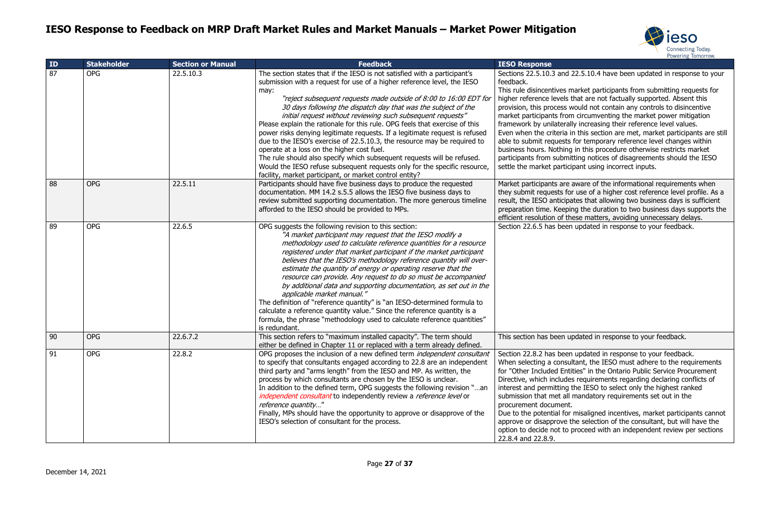



#### 22.5.10.4 have been updated in response to your

arket participants from submitting requests for that are not factually supported. Absent this vould not contain any controls to disincentive circumventing the market power mitigation ly increasing their reference level values. n this section are met, market participants are still for temporary reference level changes within in this procedure otherwise restricts market tting notices of disagreements should the IESO ipant using incorrect inputs.

aware of the informational requirements when  $\cdot$  use of a higher cost reference level profile. As a ates that allowing two business days is sufficient ng the duration to two business days supports the ese matters, avoiding unnecessary delays. updated in response to your feedback.

pdated in response to your feedback.

updated in response to your feedback. Itant, the IESO must adhere to the requirements ties" in the Ontario Public Service Procurement s requirements regarding declaring conflicts of the IESO to select only the highest ranked mandatory requirements set out in the

misaligned incentives, market participants cannot he selection of the consultant, but will have the proceed with an independent review per sections

| ID | <b>Stakeholder</b> | <b>Section or Manual</b> | <b>Feedback</b>                                                                                                                                                                                                                                                                                                                                                                                                                                                                                                                                                                                                                                                                                                                                                                                                                                                               | <b>IESO Response</b>                                                                                                                                                                                                                                                                                                             |
|----|--------------------|--------------------------|-------------------------------------------------------------------------------------------------------------------------------------------------------------------------------------------------------------------------------------------------------------------------------------------------------------------------------------------------------------------------------------------------------------------------------------------------------------------------------------------------------------------------------------------------------------------------------------------------------------------------------------------------------------------------------------------------------------------------------------------------------------------------------------------------------------------------------------------------------------------------------|----------------------------------------------------------------------------------------------------------------------------------------------------------------------------------------------------------------------------------------------------------------------------------------------------------------------------------|
| 87 | <b>OPG</b>         | 22.5.10.3                | The section states that if the IESO is not satisfied with a participant's<br>submission with a request for use of a higher reference level, the IESO<br>may:<br>"reject subsequent requests made outside of 8:00 to 16:00 EDT for<br>30 days following the dispatch day that was the subject of the<br>initial request without reviewing such subsequent requests"<br>Please explain the rationale for this rule. OPG feels that exercise of this<br>power risks denying legitimate requests. If a legitimate request is refused<br>due to the IESO's exercise of 22.5.10.3, the resource may be required to<br>operate at a loss on the higher cost fuel.<br>The rule should also specify which subsequent requests will be refused.<br>Would the IESO refuse subsequent requests only for the specific resource,<br>facility, market participant, or market control entity? | Sections 22.5.10.3 and 2<br>feedback.<br>This rule disincentives m<br>higher reference levels t<br>provision, this process w<br>market participants from<br>framework by unilaterall<br>Even when the criteria in<br>able to submit requests<br>business hours. Nothing<br>participants from submit<br>settle the market partici |
| 88 | <b>OPG</b>         | 22.5.11                  | Participants should have five business days to produce the requested<br>documentation. MM 14.2 s.5.5 allows the IESO five business days to<br>review submitted supporting documentation. The more generous timeline<br>afforded to the IESO should be provided to MPs.                                                                                                                                                                                                                                                                                                                                                                                                                                                                                                                                                                                                        | Market participants are a<br>they submit requests for<br>result, the IESO anticipa<br>preparation time. Keepir<br>efficient resolution of the                                                                                                                                                                                    |
| 89 | <b>OPG</b>         | 22.6.5                   | OPG suggests the following revision to this section:<br>"A market participant may request that the IESO modify a<br>methodology used to calculate reference quantities for a resource<br>registered under that market participant if the market participant<br>believes that the IESO's methodology reference quantity will over-<br>estimate the quantity of energy or operating reserve that the<br>resource can provide. Any request to do so must be accompanied<br>by additional data and supporting documentation, as set out in the<br>applicable market manual."<br>The definition of "reference quantity" is "an IESO-determined formula to<br>calculate a reference quantity value." Since the reference quantity is a<br>formula, the phrase "methodology used to calculate reference quantities"<br>is redundant.                                                 | Section 22.6.5 has been                                                                                                                                                                                                                                                                                                          |
| 90 | <b>OPG</b>         | 22.6.7.2                 | This section refers to "maximum installed capacity". The term should<br>either be defined in Chapter 11 or replaced with a term already defined.                                                                                                                                                                                                                                                                                                                                                                                                                                                                                                                                                                                                                                                                                                                              | This section has been up                                                                                                                                                                                                                                                                                                         |
| 91 | <b>OPG</b>         | 22.8.2                   | OPG proposes the inclusion of a new defined term independent consultant<br>to specify that consultants engaged according to 22.8 are an independent<br>third party and "arms length" from the IESO and MP. As written, the<br>process by which consultants are chosen by the IESO is unclear.<br>In addition to the defined term, OPG suggests the following revision "an<br>independent consultant to independently review a reference level or<br>reference quantity"<br>Finally, MPs should have the opportunity to approve or disapprove of the<br>IESO's selection of consultant for the process.                                                                                                                                                                                                                                                                        | Section 22.8.2 has been<br>When selecting a consul<br>for "Other Included Entit<br>Directive, which includes<br>interest and permitting t<br>submission that met all i<br>procurement document.<br>Due to the potential for<br>approve or disapprove tl<br>option to decide not to p<br>22.8.4 and 22.8.9.                       |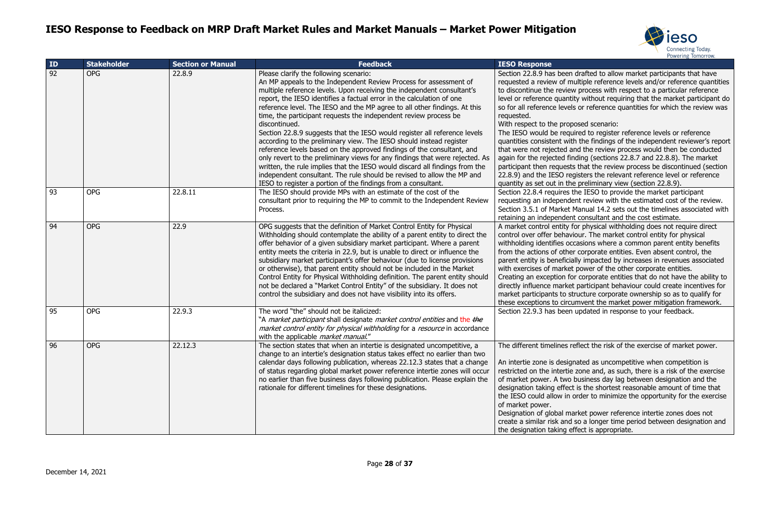

drafted to allow market participants that have ultiple reference levels and/or reference quantities v process with respect to a particular reference Ity without requiring that the market participant do s or reference quantities for which the review was

osed scenario:

iired to register reference levels or reference h the findings of the independent reviewer's report nd the review process would then be conducted ding (sections 22.8.7 and 22.8.8). The market s that the review process be discontinued (section qisters the relevant reference level or reference e preliminary view (section 22.8.9).

the IESO to provide the market participant ent review with the estimated cost of the review. Manual 14.2 sets out the timelines associated with t consultant and the cost estimate.

or physical withholding does not require direct iour. The market control entity for physical casions where a common parent entity benefits r corporate entities. Even absent control, the ally impacted by increases in revenues associated power of the other corporate entities.

r corporate entities that do not have the ability to participant behaviour could create incentives for ructure corporate ownership so as to qualify for imvent the market power mitigation framework. updated in response to your feedback.

eflect the risk of the exercise of market power.

hated as uncompetitive when competition is zone and, as such, there is a risk of the exercise business day lag between designation and the is the shortest reasonable amount of time that order to minimize the opportunity for the exercise

arket power reference intertie zones does not so a longer time period between designation and ffect is appropriate.

| ID | <b>Stakeholder</b> | <b>Section or Manual</b> | <b>Feedback</b>                                                                                                                                                                                                                                                                                                                                                                                                                                                                                                                                                                                                                                                                                                                                                                                                                                                                                                                                                          | <b>IESO Response</b>                                                                                                                                                                                                                                                                                                                                                                             |
|----|--------------------|--------------------------|--------------------------------------------------------------------------------------------------------------------------------------------------------------------------------------------------------------------------------------------------------------------------------------------------------------------------------------------------------------------------------------------------------------------------------------------------------------------------------------------------------------------------------------------------------------------------------------------------------------------------------------------------------------------------------------------------------------------------------------------------------------------------------------------------------------------------------------------------------------------------------------------------------------------------------------------------------------------------|--------------------------------------------------------------------------------------------------------------------------------------------------------------------------------------------------------------------------------------------------------------------------------------------------------------------------------------------------------------------------------------------------|
| 92 | <b>OPG</b>         | 22.8.9                   | Please clarify the following scenario:<br>An MP appeals to the Independent Review Process for assessment of<br>multiple reference levels. Upon receiving the independent consultant's<br>report, the IESO identifies a factual error in the calculation of one<br>reference level. The IESO and the MP agree to all other findings. At this<br>time, the participant requests the independent review process be<br>discontinued.<br>Section 22.8.9 suggests that the IESO would register all reference levels<br>according to the preliminary view. The IESO should instead register<br>reference levels based on the approved findings of the consultant, and<br>only revert to the preliminary views for any findings that were rejected. As<br>written, the rule implies that the IESO would discard all findings from the<br>independent consultant. The rule should be revised to allow the MP and<br>IESO to register a portion of the findings from a consultant. | Section 22.8.9 has been<br>requested a review of mi<br>to discontinue the review<br>level or reference quanti<br>so for all reference levels<br>requested.<br>With respect to the prop<br>The IESO would be requ<br>quantities consistent with<br>that were not rejected ar<br>again for the rejected fin<br>participant then requests<br>22.8.9) and the IESO reg<br>quantity as set out in the |
| 93 | <b>OPG</b>         | 22.8.11                  | The IESO should provide MPs with an estimate of the cost of the<br>consultant prior to requiring the MP to commit to the Independent Review<br>Process.                                                                                                                                                                                                                                                                                                                                                                                                                                                                                                                                                                                                                                                                                                                                                                                                                  | Section 22.8.4 requires t<br>requesting an independe<br>Section 3.5.1 of Market I<br>retaining an independent                                                                                                                                                                                                                                                                                    |
| 94 | <b>OPG</b>         | 22.9                     | OPG suggests that the definition of Market Control Entity for Physical<br>Withholding should contemplate the ability of a parent entity to direct the<br>offer behavior of a given subsidiary market participant. Where a parent<br>entity meets the criteria in 22.9, but is unable to direct or influence the<br>subsidiary market participant's offer behaviour (due to license provisions<br>or otherwise), that parent entity should not be included in the Market<br>Control Entity for Physical Withholding definition. The parent entity should<br>not be declared a "Market Control Entity" of the subsidiary. It does not<br>control the subsidiary and does not have visibility into its offers.                                                                                                                                                                                                                                                              | A market control entity f<br>control over offer behavi<br>withholding identifies occ<br>from the actions of other<br>parent entity is beneficia<br>with exercises of market<br>Creating an exception fo<br>directly influence market<br>market participants to st<br>these exceptions to circu                                                                                                   |
| 95 | <b>OPG</b>         | 22.9.3                   | The word "the" should not be italicized:<br>"A <i>market participant</i> shall designate <i>market control entities</i> and the the<br>market control entity for physical withholding for a resource in accordance<br>with the applicable <i>market manual."</i>                                                                                                                                                                                                                                                                                                                                                                                                                                                                                                                                                                                                                                                                                                         | Section 22.9.3 has been                                                                                                                                                                                                                                                                                                                                                                          |
| 96 | <b>OPG</b>         | 22.12.3                  | The section states that when an intertie is designated uncompetitive, a<br>change to an intertie's designation status takes effect no earlier than two<br>calendar days following publication, whereas 22.12.3 states that a change<br>of status regarding global market power reference intertie zones will occur<br>no earlier than five business days following publication. Please explain the<br>rationale for different timelines for these designations.                                                                                                                                                                                                                                                                                                                                                                                                                                                                                                          | The different timelines re<br>An intertie zone is design<br>restricted on the intertie<br>of market power. A two<br>designation taking effect<br>the IESO could allow in o<br>of market power.<br>Designation of global ma<br>create a similar risk and<br>the designation taking ef                                                                                                             |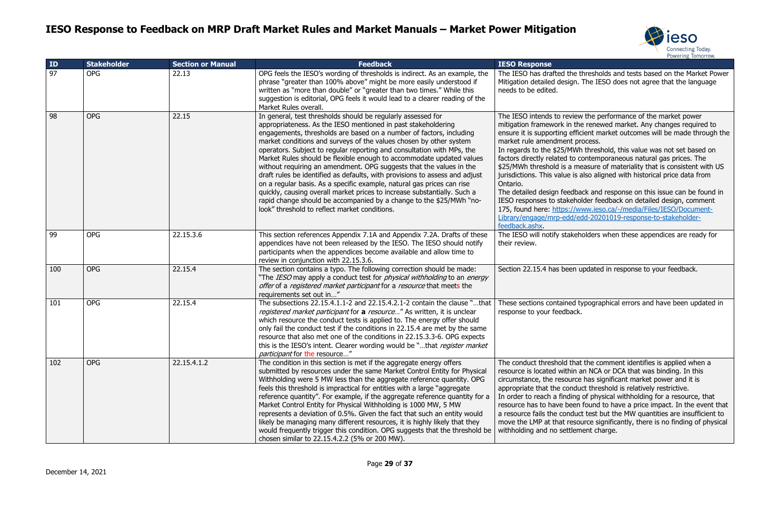



ne thresholds and tests based on the Market Power yn. The IESO does not agree that the language

view the performance of the market power the renewed market. Any changes required to efficient market outcomes will be made through the process.

IWh threshold, this value was not set based on fo contemporaneous natural gas prices. The measure of materiality that is consistent with US is also aligned with historical price data from

dback and response on this issue can be found in eholder feedback on detailed design, comment //www.ieso.ca/-/media/Files/IESO/Documentd/edd-20201019-response-to-stakeholder-

keholders when these appendices are ready for

en updated in response to your feedback.

d typographical errors and have been updated in

that the comment identifies is applied when a in an NCA or DCA that was binding. In this rce has significant market power and it is aduct threshold is relatively restrictive. ing of physical withholding for a resource, that een found to have a price impact. In the event that duct test but the MW quantities are insufficient to esource significantly, there is no finding of physical lement charge.

| ID  | <b>Stakeholder</b> | <b>Section or Manual</b> | <b>Feedback</b>                                                                                                                                                                                                                                                                                                                                                                                                                                                                                                                                                                                                                                                                                                                                                                                                                                                  | <b>IESO Response</b>                                                                                                                                                                                                                                                                                                                                                                                        |
|-----|--------------------|--------------------------|------------------------------------------------------------------------------------------------------------------------------------------------------------------------------------------------------------------------------------------------------------------------------------------------------------------------------------------------------------------------------------------------------------------------------------------------------------------------------------------------------------------------------------------------------------------------------------------------------------------------------------------------------------------------------------------------------------------------------------------------------------------------------------------------------------------------------------------------------------------|-------------------------------------------------------------------------------------------------------------------------------------------------------------------------------------------------------------------------------------------------------------------------------------------------------------------------------------------------------------------------------------------------------------|
| 97  | <b>OPG</b>         | 22.13                    | OPG feels the IESO's wording of thresholds is indirect. As an example, the<br>phrase "greater than 100% above" might be more easily understood if<br>written as "more than double" or "greater than two times." While this<br>suggestion is editorial, OPG feels it would lead to a clearer reading of the<br>Market Rules overall.                                                                                                                                                                                                                                                                                                                                                                                                                                                                                                                              | The IESO has drafted the t<br>Mitigation detailed design.<br>needs to be edited.                                                                                                                                                                                                                                                                                                                            |
| 98  | <b>OPG</b>         | 22.15                    | In general, test thresholds should be regularly assessed for<br>appropriateness. As the IESO mentioned in past stakeholdering<br>engagements, thresholds are based on a number of factors, including<br>market conditions and surveys of the values chosen by other system<br>operators. Subject to regular reporting and consultation with MPs, the<br>Market Rules should be flexible enough to accommodate updated values<br>without requiring an amendment. OPG suggests that the values in the<br>draft rules be identified as defaults, with provisions to assess and adjust<br>on a regular basis. As a specific example, natural gas prices can rise<br>quickly, causing overall market prices to increase substantially. Such a<br>rapid change should be accompanied by a change to the \$25/MWh "no-<br>look" threshold to reflect market conditions. | The IESO intends to review<br>mitigation framework in the<br>ensure it is supporting effic<br>market rule amendment pr<br>In regards to the \$25/MWh<br>factors directly related to co<br>\$25/MWh threshold is a me<br>jurisdictions. This value is a<br>Ontario.<br>The detailed design feedba<br>IESO responses to stakehol<br>175, found here: https://w<br>Library/engage/mrp-edd/ed<br>feedback.ashx. |
| 99  | <b>OPG</b>         | 22.15.3.6                | This section references Appendix 7.1A and Appendix 7.2A. Drafts of these<br>appendices have not been released by the IESO. The IESO should notify<br>participants when the appendices become available and allow time to<br>review in conjunction with 22.15.3.6.                                                                                                                                                                                                                                                                                                                                                                                                                                                                                                                                                                                                | The IESO will notify stakeh<br>their review.                                                                                                                                                                                                                                                                                                                                                                |
| 100 | <b>OPG</b>         | 22.15.4                  | The section contains a typo. The following correction should be made:<br>"The IESO may apply a conduct test for <i>physical withholding</i> to an <i>energy</i><br>offer of a registered market participant for a resource that meets the<br>requirements set out in"                                                                                                                                                                                                                                                                                                                                                                                                                                                                                                                                                                                            | Section 22.15.4 has been u                                                                                                                                                                                                                                                                                                                                                                                  |
| 101 | <b>OPG</b>         | 22.15.4                  | The subsections 22.15.4.1.1-2 and 22.15.4.2.1-2 contain the clause "that<br>registered market participant for a resource" As written, it is unclear<br>which resource the conduct tests is applied to. The energy offer should<br>only fail the conduct test if the conditions in 22.15.4 are met by the same<br>resource that also met one of the conditions in 22.15.3.3-6. OPG expects<br>this is the IESO's intent. Clearer wording would be "that register market<br><i>participant</i> for the resource"                                                                                                                                                                                                                                                                                                                                                   | These sections contained ty<br>response to your feedback.                                                                                                                                                                                                                                                                                                                                                   |
| 102 | <b>OPG</b>         | 22.15.4.1.2              | The condition in this section is met if the aggregate energy offers<br>submitted by resources under the same Market Control Entity for Physical<br>Withholding were 5 MW less than the aggregate reference quantity. OPG<br>feels this threshold is impractical for entities with a large "aggregate"<br>reference quantity". For example, if the aggregate reference quantity for a<br>Market Control Entity for Physical Withholding is 1000 MW, 5 MW<br>represents a deviation of 0.5%. Given the fact that such an entity would<br>likely be managing many different resources, it is highly likely that they<br>would frequently trigger this condition. OPG suggests that the threshold be<br>chosen similar to 22.15.4.2.2 (5% or 200 MW).                                                                                                                | The conduct threshold that<br>resource is located within a<br>circumstance, the resource<br>appropriate that the condu<br>In order to reach a finding<br>resource has to have been<br>a resource fails the conduct<br>move the LMP at that resou<br>withholding and no settlem                                                                                                                              |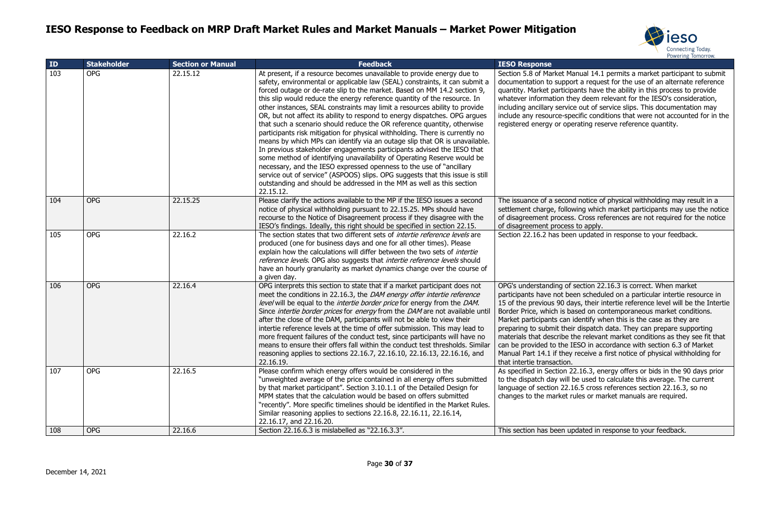



anual 14.1 permits a market participant to submit ort a request for the use of an alternate reference pants have the ability in this process to provide ney deem relevant for the IESO's consideration, ce out of service slips. This documentation may ecific conditions that were not accounted for in the erating reserve reference quantity.

Ind notice of physical withholding may result in a wing which market participants may use the notice s. Cross references are not required for the notice to apply.

en updated in response to your feedback.

section 22.16.3 is correct. When market een scheduled on a particular intertie resource in ays, their intertie reference level will be the Intertie ased on contemporaneous market conditions. identify when this is the case as they are ir dispatch data. They can prepare supporting the relevant market conditions as they see fit that LESO in accordance with section 6.3 of Market receive a first notice of physical withholding for

22.16.3, energy offers or bids in the 90 days prior be used to calculate this average. The current 16.5 cross references section 22.16.3, so no rules or market manuals are required.

odated in response to your feedback.

| ID  | <b>Stakeholder</b> | <b>Section or Manual</b> | <b>Feedback</b>                                                                                                                                                                                                                                                                                                                                                                                                                                                                                                                                                                                                                                                                                                                                                                                                                                                                                                                                                                                                                                                                                                       | <b>IESO Response</b>                                                                                                                                                                                                                                                                           |
|-----|--------------------|--------------------------|-----------------------------------------------------------------------------------------------------------------------------------------------------------------------------------------------------------------------------------------------------------------------------------------------------------------------------------------------------------------------------------------------------------------------------------------------------------------------------------------------------------------------------------------------------------------------------------------------------------------------------------------------------------------------------------------------------------------------------------------------------------------------------------------------------------------------------------------------------------------------------------------------------------------------------------------------------------------------------------------------------------------------------------------------------------------------------------------------------------------------|------------------------------------------------------------------------------------------------------------------------------------------------------------------------------------------------------------------------------------------------------------------------------------------------|
| 103 | <b>OPG</b>         | 22.15.12                 | At present, if a resource becomes unavailable to provide energy due to<br>safety, environmental or applicable law (SEAL) constraints, it can submit a<br>forced outage or de-rate slip to the market. Based on MM 14.2 section 9,<br>this slip would reduce the energy reference quantity of the resource. In<br>other instances, SEAL constraints may limit a resources ability to provide<br>OR, but not affect its ability to respond to energy dispatches. OPG argues<br>that such a scenario should reduce the OR reference quantity, otherwise<br>participants risk mitigation for physical withholding. There is currently no<br>means by which MPs can identify via an outage slip that OR is unavailable.<br>In previous stakeholder engagements participants advised the IESO that<br>some method of identifying unavailability of Operating Reserve would be<br>necessary, and the IESO expressed openness to the use of "ancillary<br>service out of service" (ASPOOS) slips. OPG suggests that this issue is still<br>outstanding and should be addressed in the MM as well as this section<br>22.15.12. | Section 5.8 of Market Ma<br>documentation to suppor<br>quantity. Market participa<br>whatever information the<br>including ancillary service<br>include any resource-spe<br>registered energy or ope                                                                                           |
| 104 | <b>OPG</b>         | 22.15.25                 | Please clarify the actions available to the MP if the IESO issues a second<br>notice of physical withholding pursuant to 22.15.25. MPs should have<br>recourse to the Notice of Disagreement process if they disagree with the<br>IESO's findings. Ideally, this right should be specified in section 22.15.                                                                                                                                                                                                                                                                                                                                                                                                                                                                                                                                                                                                                                                                                                                                                                                                          | The issuance of a second<br>settlement charge, follow<br>of disagreement process.<br>of disagreement process                                                                                                                                                                                   |
| 105 | <b>OPG</b>         | 22.16.2                  | The section states that two different sets of <i>intertie reference levels</i> are<br>produced (one for business days and one for all other times). Please<br>explain how the calculations will differ between the two sets of <i>intertie</i><br>reference levels. OPG also suggests that intertie reference levels should<br>have an hourly granularity as market dynamics change over the course of<br>a given day.                                                                                                                                                                                                                                                                                                                                                                                                                                                                                                                                                                                                                                                                                                | Section 22.16.2 has been                                                                                                                                                                                                                                                                       |
| 106 | <b>OPG</b>         | 22.16.4                  | OPG interprets this section to state that if a market participant does not<br>meet the conditions in 22.16.3, the <i>DAM energy offer intertie reference</i><br>level will be equal to the <i>intertie border price</i> for energy from the DAM.<br>Since <i>intertie border prices</i> for <i>energy</i> from the <i>DAM</i> are not available until<br>after the close of the DAM, participants will not be able to view their<br>intertie reference levels at the time of offer submission. This may lead to<br>more frequent failures of the conduct test, since participants will have no<br>means to ensure their offers fall within the conduct test thresholds. Similar<br>reasoning applies to sections 22.16.7, 22.16.10, 22.16.13, 22.16.16, and<br>22.16.19.                                                                                                                                                                                                                                                                                                                                              | OPG's understanding of s<br>participants have not bee<br>15 of the previous 90 day<br>Border Price, which is ba<br>Market participants can i<br>preparing to submit their<br>materials that describe th<br>can be provided to the II<br>Manual Part 14.1 if they<br>that intertie transaction. |
| 107 | <b>OPG</b>         | 22.16.5                  | Please confirm which energy offers would be considered in the<br>"unweighted average of the price contained in all energy offers submitted<br>by that market participant". Section 3.10.1.1 of the Detailed Design for<br>MPM states that the calculation would be based on offers submitted<br>"recently". More specific timelines should be identified in the Market Rules.<br>Similar reasoning applies to sections 22.16.8, 22.16.11, 22.16.14,<br>22.16.17, and 22.16.20.                                                                                                                                                                                                                                                                                                                                                                                                                                                                                                                                                                                                                                        | As specified in Section 22<br>to the dispatch day will b<br>language of section 22.1<br>changes to the market ru                                                                                                                                                                               |
| 108 | <b>OPG</b>         | 22.16.6                  | Section 22.16.6.3 is mislabelled as "22.16.3.3".                                                                                                                                                                                                                                                                                                                                                                                                                                                                                                                                                                                                                                                                                                                                                                                                                                                                                                                                                                                                                                                                      | This section has been up                                                                                                                                                                                                                                                                       |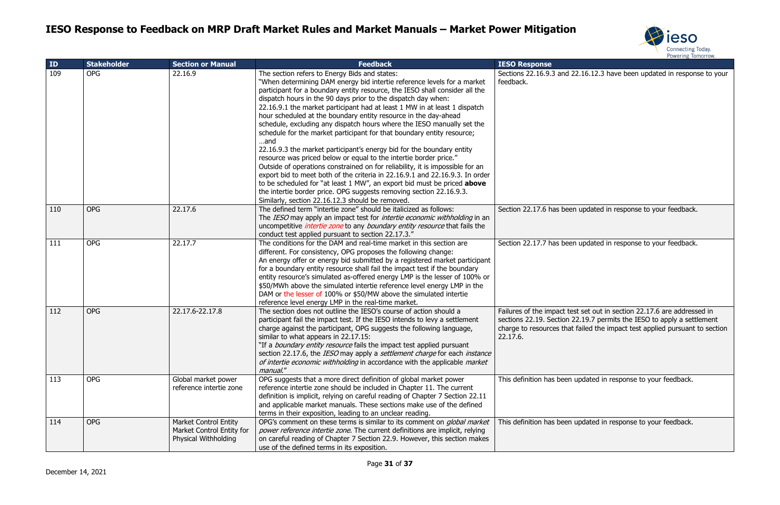



| ID  | <b>Stakeholder</b> | <b>Section or Manual</b>                                                          | <b>Feedback</b>                                                                                                                                                                                                                                                                                                                                                                                                                                                                                                                                                                                                                                                                                                                                                                                                                                                                                                                                                                                                                                                                                          | POWERING TONOTION.<br><b>IESO Response</b>                                                                                                                                                                                                   |
|-----|--------------------|-----------------------------------------------------------------------------------|----------------------------------------------------------------------------------------------------------------------------------------------------------------------------------------------------------------------------------------------------------------------------------------------------------------------------------------------------------------------------------------------------------------------------------------------------------------------------------------------------------------------------------------------------------------------------------------------------------------------------------------------------------------------------------------------------------------------------------------------------------------------------------------------------------------------------------------------------------------------------------------------------------------------------------------------------------------------------------------------------------------------------------------------------------------------------------------------------------|----------------------------------------------------------------------------------------------------------------------------------------------------------------------------------------------------------------------------------------------|
| 109 | <b>OPG</b>         | 22.16.9                                                                           | The section refers to Energy Bids and states:<br>"When determining DAM energy bid intertie reference levels for a market<br>participant for a boundary entity resource, the IESO shall consider all the<br>dispatch hours in the 90 days prior to the dispatch day when:<br>22.16.9.1 the market participant had at least 1 MW in at least 1 dispatch<br>hour scheduled at the boundary entity resource in the day-ahead<br>schedule, excluding any dispatch hours where the IESO manually set the<br>schedule for the market participant for that boundary entity resource;<br>and<br>22.16.9.3 the market participant's energy bid for the boundary entity<br>resource was priced below or equal to the intertie border price."<br>Outside of operations constrained on for reliability, it is impossible for an<br>export bid to meet both of the criteria in 22.16.9.1 and 22.16.9.3. In order<br>to be scheduled for "at least 1 MW", an export bid must be priced above<br>the intertie border price. OPG suggests removing section 22.16.9.3.<br>Similarly, section 22.16.12.3 should be removed. | Sections 22.16.9.3 and 22.16.12.3 have been updated in response to your<br>feedback.                                                                                                                                                         |
| 110 | <b>OPG</b>         | 22.17.6                                                                           | The defined term "intertie zone" should be italicized as follows:<br>The IESO may apply an impact test for <i>intertie economic withholding</i> in an<br>uncompetitive <i>intertie zone</i> to any <i>boundary entity resource</i> that fails the<br>conduct test applied pursuant to section 22.17.3."                                                                                                                                                                                                                                                                                                                                                                                                                                                                                                                                                                                                                                                                                                                                                                                                  | Section 22.17.6 has been updated in response to your feedback.                                                                                                                                                                               |
| 111 | <b>OPG</b>         | 22.17.7                                                                           | The conditions for the DAM and real-time market in this section are<br>different. For consistency, OPG proposes the following change:<br>An energy offer or energy bid submitted by a registered market participant<br>for a boundary entity resource shall fail the impact test if the boundary<br>entity resource's simulated as-offered energy LMP is the lesser of 100% or<br>\$50/MWh above the simulated intertie reference level energy LMP in the<br>DAM or the lesser of 100% or \$50/MW above the simulated intertie<br>reference level energy LMP in the real-time market.                                                                                                                                                                                                                                                                                                                                                                                                                                                                                                                    | Section 22.17.7 has been updated in response to your feedback.                                                                                                                                                                               |
| 112 | <b>OPG</b>         | 22.17.6-22.17.8                                                                   | The section does not outline the IESO's course of action should a<br>participant fail the impact test. If the IESO intends to levy a settlement<br>charge against the participant, OPG suggests the following language,<br>similar to what appears in 22.17.15:<br>"If a <i>boundary entity resource</i> fails the impact test applied pursuant<br>section 22.17.6, the IESO may apply a settlement charge for each instance<br>of intertie economic withholding in accordance with the applicable market<br>manual."                                                                                                                                                                                                                                                                                                                                                                                                                                                                                                                                                                                    | Failures of the impact test set out in section 22.17.6 are addressed in<br>sections 22.19. Section 22.19.7 permits the IESO to apply a settlement<br>charge to resources that failed the impact test applied pursuant to section<br>22.17.6. |
| 113 | <b>OPG</b>         | Global market power<br>reference intertie zone                                    | OPG suggests that a more direct definition of global market power<br>reference intertie zone should be included in Chapter 11. The current<br>definition is implicit, relying on careful reading of Chapter 7 Section 22.11<br>and applicable market manuals. These sections make use of the defined<br>terms in their exposition, leading to an unclear reading.                                                                                                                                                                                                                                                                                                                                                                                                                                                                                                                                                                                                                                                                                                                                        | This definition has been updated in response to your feedback.                                                                                                                                                                               |
| 114 | <b>OPG</b>         | <b>Market Control Entity</b><br>Market Control Entity for<br>Physical Withholding | OPG's comment on these terms is similar to its comment on <i>global market</i><br>power reference intertie zone. The current definitions are implicit, relying<br>on careful reading of Chapter 7 Section 22.9. However, this section makes<br>use of the defined terms in its exposition.                                                                                                                                                                                                                                                                                                                                                                                                                                                                                                                                                                                                                                                                                                                                                                                                               | This definition has been updated in response to your feedback.                                                                                                                                                                               |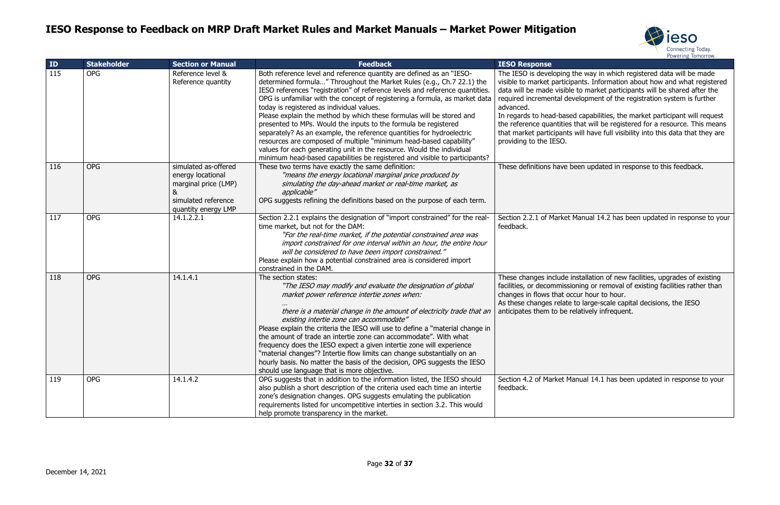



the way in which registered data will be made pants. Information about how and what registered le to market participants will be shared after the evelopment of the registration system is further

ed capabilities, the market participant will request that will be registered for a resource. This means that market full visibility into this data that they are

been updated in response to this feedback.

Manual 14.2 has been updated in response to your

installation of new facilities, upgrades of existing ioning or removal of existing facilities rather than ccur hour to hour. to large-scale capital decisions, the IESO

relatively infrequent.

Anual 14.1 has been updated in response to your

| ID  | <b>Stakeholder</b> | <b>Section or Manual</b>                                                                                             | <b>Feedback</b>                                                                                                                                                                                                                                                                                                                                                                                                                                                                                                                                                                                                                                                                                                                                                                                            | <b>IESO Response</b>                                                                                                                                                                                                                   |
|-----|--------------------|----------------------------------------------------------------------------------------------------------------------|------------------------------------------------------------------------------------------------------------------------------------------------------------------------------------------------------------------------------------------------------------------------------------------------------------------------------------------------------------------------------------------------------------------------------------------------------------------------------------------------------------------------------------------------------------------------------------------------------------------------------------------------------------------------------------------------------------------------------------------------------------------------------------------------------------|----------------------------------------------------------------------------------------------------------------------------------------------------------------------------------------------------------------------------------------|
| 115 | <b>OPG</b>         | Reference level &<br>Reference quantity                                                                              | Both reference level and reference quantity are defined as an "IESO-<br>determined formula" Throughout the Market Rules (e.g., Ch.7 22.1) the<br>IESO references "registration" of reference levels and reference quantities.<br>OPG is unfamiliar with the concept of registering a formula, as market data<br>today is registered as individual values.<br>Please explain the method by which these formulas will be stored and<br>presented to MPs. Would the inputs to the formula be registered<br>separately? As an example, the reference quantities for hydroelectric<br>resources are composed of multiple "minimum head-based capability"<br>values for each generating unit in the resource. Would the individual<br>minimum head-based capabilities be registered and visible to participants? | The IESO is developing<br>visible to market particip<br>data will be made visible<br>required incremental de<br>advanced.<br>In regards to head-base<br>the reference quantities<br>that market participants<br>providing to the IESO. |
| 116 | <b>OPG</b>         | simulated as-offered<br>energy locational<br>marginal price (LMP)<br>&<br>simulated reference<br>quantity energy LMP | These two terms have exactly the same definition:<br>"means the energy locational marginal price produced by<br>simulating the day-ahead market or real-time market, as<br>applicable"<br>OPG suggests refining the definitions based on the purpose of each term.                                                                                                                                                                                                                                                                                                                                                                                                                                                                                                                                         | These definitions have b                                                                                                                                                                                                               |
| 117 | <b>OPG</b>         | 14.1.2.2.1                                                                                                           | Section 2.2.1 explains the designation of "import constrained" for the real-<br>time market, but not for the DAM:<br>"For the real-time market, if the potential constrained area was<br>import constrained for one interval within an hour, the entire hour<br>will be considered to have been import constrained."<br>Please explain how a potential constrained area is considered import<br>constrained in the DAM.                                                                                                                                                                                                                                                                                                                                                                                    | Section 2.2.1 of Market<br>feedback.                                                                                                                                                                                                   |
| 118 | <b>OPG</b>         | 14.1.4.1                                                                                                             | The section states:<br>"The IESO may modify and evaluate the designation of global<br>market power reference intertie zones when:<br>there is a material change in the amount of electricity trade that an<br>existing intertie zone can accommodate"<br>Please explain the criteria the IESO will use to define a "material change in<br>the amount of trade an intertie zone can accommodate". With what<br>frequency does the IESO expect a given intertie zone will experience<br>"material changes"? Intertie flow limits can change substantially on an<br>hourly basis. No matter the basis of the decision, OPG suggests the IESO<br>should use language that is more objective.                                                                                                                   | These changes include i<br>facilities, or decommissio<br>changes in flows that oc<br>As these changes relate<br>anticipates them to be re                                                                                              |
| 119 | <b>OPG</b>         | 14.1.4.2                                                                                                             | OPG suggests that in addition to the information listed, the IESO should<br>also publish a short description of the criteria used each time an intertie<br>zone's designation changes. OPG suggests emulating the publication<br>requirements listed for uncompetitive interties in section 3.2. This would<br>help promote transparency in the market.                                                                                                                                                                                                                                                                                                                                                                                                                                                    | Section 4.2 of Market Ma<br>feedback.                                                                                                                                                                                                  |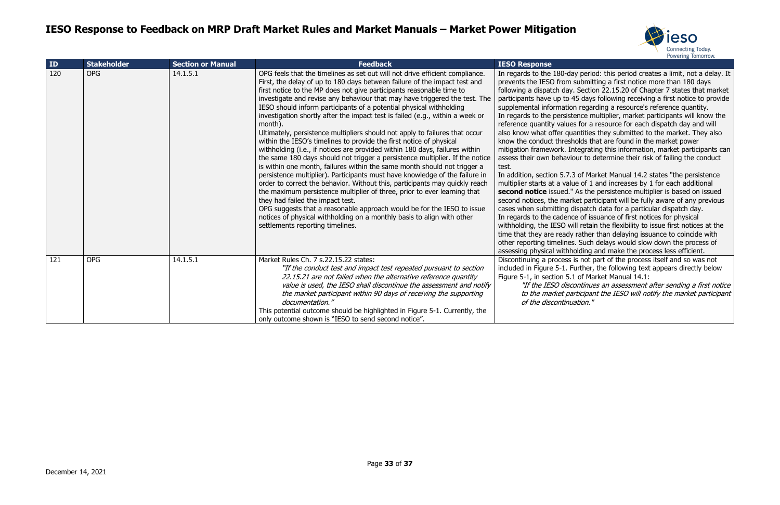

ay period: this period creates a limit, not a delay. It submitting a first notice more than 180 days . Section 22.15.20 of Chapter 7 states that market 45 days following receiving a first notice to provide on regarding a resource's reference quantity. tence multiplier, market participants will know the es for a resource for each dispatch day and will antities they submitted to the market. They also holds that are found in the market power ntegrating this information, market participants can iour to determine their risk of failing the conduct

3 of Market Manual 14.2 states "the persistence ue of 1 and increases by 1 for each additional As the persistence multiplier is based on issued ket participant will be fully aware of any previous dispatch data for a particular dispatch day. ce of issuance of first notices for physical vill retain the flexibility to issue first notices at the rather than delaying issuance to coincide with s. Such delays would slow down the process of holding and make the process less efficient.

is not part of the process itself and so was not Further, the following text appears directly below 1 of Market Manual 14.1:

continues an assessment after sending a first notice articipant the IESO will notify the market participant nation."

| ID  | <b>Stakeholder</b> | <b>Section or Manual</b> | <b>Feedback</b>                                                                                                                                                                                                                                                                                                                                                                                                                                                                                                                                                                                                                                                                                                                                                                                                                                                                                                                                                                                                                                                                                                                                                                                                                                                                                                                                           | <b>IESO Response</b>                                                                                                                                                                                                                                                                                                                                                                                                                                                                                                                                                                                             |
|-----|--------------------|--------------------------|-----------------------------------------------------------------------------------------------------------------------------------------------------------------------------------------------------------------------------------------------------------------------------------------------------------------------------------------------------------------------------------------------------------------------------------------------------------------------------------------------------------------------------------------------------------------------------------------------------------------------------------------------------------------------------------------------------------------------------------------------------------------------------------------------------------------------------------------------------------------------------------------------------------------------------------------------------------------------------------------------------------------------------------------------------------------------------------------------------------------------------------------------------------------------------------------------------------------------------------------------------------------------------------------------------------------------------------------------------------|------------------------------------------------------------------------------------------------------------------------------------------------------------------------------------------------------------------------------------------------------------------------------------------------------------------------------------------------------------------------------------------------------------------------------------------------------------------------------------------------------------------------------------------------------------------------------------------------------------------|
| 120 | <b>OPG</b>         | 14.1.5.1                 | OPG feels that the timelines as set out will not drive efficient compliance.<br>First, the delay of up to 180 days between failure of the impact test and<br>first notice to the MP does not give participants reasonable time to<br>investigate and revise any behaviour that may have triggered the test. The<br>IESO should inform participants of a potential physical withholding<br>investigation shortly after the impact test is failed (e.g., within a week or<br>month).<br>Ultimately, persistence multipliers should not apply to failures that occur<br>within the IESO's timelines to provide the first notice of physical<br>withholding (i.e., if notices are provided within 180 days, failures within<br>the same 180 days should not trigger a persistence multiplier. If the notice<br>is within one month, failures within the same month should not trigger a<br>persistence multiplier). Participants must have knowledge of the failure in<br>order to correct the behavior. Without this, participants may quickly reach<br>the maximum persistence multiplier of three, prior to ever learning that<br>they had failed the impact test.<br>OPG suggests that a reasonable approach would be for the IESO to issue<br>notices of physical withholding on a monthly basis to align with other<br>settlements reporting timelines. | In regards to the 180-da<br>prevents the IESO from<br>following a dispatch day<br>participants have up to 4<br>supplemental informatio<br>In regards to the persist<br>reference quantity value<br>also know what offer qu<br>know the conduct thresh<br>mitigation framework. In<br>assess their own behavio<br>test.<br>In addition, section 5.7.3<br>multiplier starts at a valu<br>second notice issued."<br>second notices, the marl<br>cases when submitting o<br>In regards to the cadeno<br>withholding, the IESO w<br>time that they are ready<br>other reporting timelines<br>assessing physical withh |
| 121 | <b>OPG</b>         | 14.1.5.1                 | Market Rules Ch. 7 s.22.15.22 states:<br>"If the conduct test and impact test repeated pursuant to section<br>22.15.21 are not failed when the alternative reference quantity<br>value is used, the IESO shall discontinue the assessment and notify<br>the market participant within 90 days of receiving the supporting<br>documentation."<br>This potential outcome should be highlighted in Figure 5-1. Currently, the<br>only outcome shown is "IESO to send second notice".                                                                                                                                                                                                                                                                                                                                                                                                                                                                                                                                                                                                                                                                                                                                                                                                                                                                         | Discontinuing a process<br>included in Figure 5-1. F<br>Figure 5-1, in section 5.<br>"If the IESO disc<br>to the market pa<br>of the discontinu                                                                                                                                                                                                                                                                                                                                                                                                                                                                  |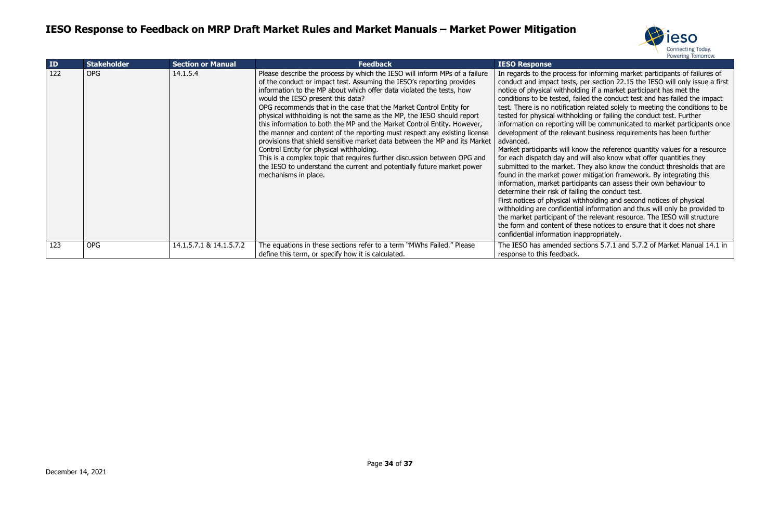

In regards to the process for informing market participants of failures of s, per section 22.15 the IESO will only issue a first olding if a market participant has met the failed the conduct test and has failed the impact tion related solely to meeting the conditions to be olding or failing the conduct test. Further will be communicated to market participants once vant business requirements has been further

mow the reference quantity values for a resource d will also know what offer quantities they . They also know the conduct thresholds that are ver mitigation framework. By integrating this icipants can assess their own behaviour to ailing the conduct test.

withholding and second notices of physical tial information and thus will only be provided to f the relevant resource. The IESO will structure these notices to ensure that it does not share inappropriately.

sections 5.7.1 and 5.7.2 of Market Manual 14.1 in

| ID  | <b>Stakeholder</b> | <b>Section or Manual</b> | Feedback                                                                                                                                                                                                                                                                                                                                                                                                                                                                                                                                                                                                                                                                                                                                                                                                                                                                         | <b>IESO Response</b>                                                                                                                                                                                                                                                                                                                                                                                                                                                                                                                                                                                                          |
|-----|--------------------|--------------------------|----------------------------------------------------------------------------------------------------------------------------------------------------------------------------------------------------------------------------------------------------------------------------------------------------------------------------------------------------------------------------------------------------------------------------------------------------------------------------------------------------------------------------------------------------------------------------------------------------------------------------------------------------------------------------------------------------------------------------------------------------------------------------------------------------------------------------------------------------------------------------------|-------------------------------------------------------------------------------------------------------------------------------------------------------------------------------------------------------------------------------------------------------------------------------------------------------------------------------------------------------------------------------------------------------------------------------------------------------------------------------------------------------------------------------------------------------------------------------------------------------------------------------|
| 122 | <b>OPG</b>         | 14.1.5.4                 | Please describe the process by which the IESO will inform MPs of a failure<br>of the conduct or impact test. Assuming the IESO's reporting provides<br>information to the MP about which offer data violated the tests, how<br>would the IESO present this data?<br>OPG recommends that in the case that the Market Control Entity for<br>physical withholding is not the same as the MP, the IESO should report<br>this information to both the MP and the Market Control Entity. However,<br>the manner and content of the reporting must respect any existing license<br>provisions that shield sensitive market data between the MP and its Market<br>Control Entity for physical withholding.<br>This is a complex topic that requires further discussion between OPG and<br>the IESO to understand the current and potentially future market power<br>mechanisms in place. | In regards to the process f<br>conduct and impact tests,<br>notice of physical withholdi<br>conditions to be tested, fail<br>test. There is no notificatio<br>tested for physical withhold<br>information on reporting w<br>development of the relevar<br>advanced.<br>Market participants will kno<br>for each dispatch day and v<br>submitted to the market. T<br>found in the market power<br>information, market partici<br>determine their risk of failir<br>First notices of physical wit<br>withholding are confidentia<br>the market participant of th<br>the form and content of the<br>confidential information ina |
| 123 | <b>OPG</b>         | 14.1.5.7.1 & 14.1.5.7.2  | The equations in these sections refer to a term "MWhs Failed." Please<br>define this term, or specify how it is calculated.                                                                                                                                                                                                                                                                                                                                                                                                                                                                                                                                                                                                                                                                                                                                                      | The IESO has amended see<br>response to this feedback.                                                                                                                                                                                                                                                                                                                                                                                                                                                                                                                                                                        |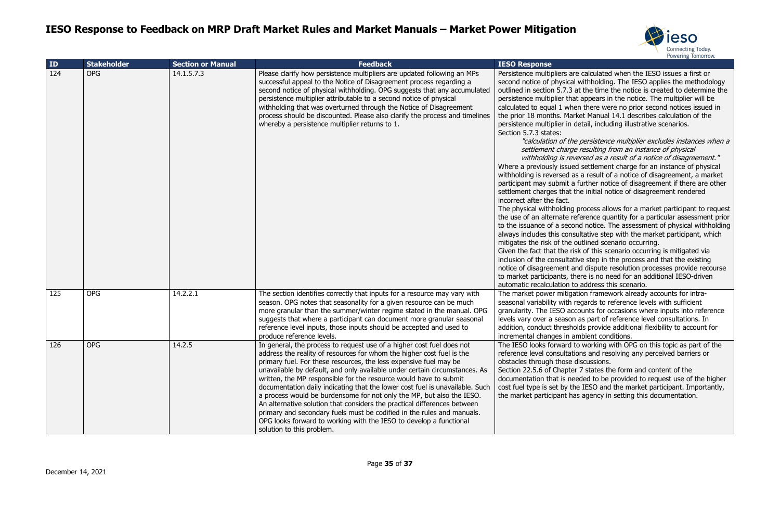

re calculated when the IESO issues a first or I withholding. The IESO applies the methodology at the time the notice is created to determine the at appears in the notice. The multiplier will be en there were no prior second notices issued in rket Manual 14.1 describes calculation of the detail, including illustrative scenarios.

e persistence multiplier excludes instances when a e resulting from an instance of physical versed as a result of a notice of disagreement." ed settlement charge for an instance of physical as a result of a notice of disagreement, a market further notice of disagreement if there are other the initial notice of disagreement rendered

process allows for a market participant to request eference quantity for a particular assessment prior ond notice. The assessment of physical withholding sultative step with the market participant, which outlined scenario occurring.

isk of this scenario occurring is mitigated via tive step in the process and that the existing and dispute resolution processes provide recourse here is no need for an additional IESO-driven to address this scenario.

ation framework already accounts for intraregards to reference levels with sufficient counts for occasions where inputs into reference n as part of reference level consultations. In olds provide additional flexibility to account for ambient conditions.

to working with OPG on this topic as part of the ions and resolving any perceived barriers or discussions.

er 7 states the form and content of the eeded to be provided to request use of the higher he IESO and the market participant. Importantly, as agency in setting this documentation.

| ID  | <b>Stakeholder</b> | <b>Section or Manual</b> | <b>Feedback</b>                                                                                                                                                                                                                                                                                                                                                                                                                                                                                                                                                                                                                                                                                                                                                                          | <b>IESO Response</b>                                                                                                                                                                                                                                                                                                                                                                                                                                                                                                                                                                                                                                                                                                                               |
|-----|--------------------|--------------------------|------------------------------------------------------------------------------------------------------------------------------------------------------------------------------------------------------------------------------------------------------------------------------------------------------------------------------------------------------------------------------------------------------------------------------------------------------------------------------------------------------------------------------------------------------------------------------------------------------------------------------------------------------------------------------------------------------------------------------------------------------------------------------------------|----------------------------------------------------------------------------------------------------------------------------------------------------------------------------------------------------------------------------------------------------------------------------------------------------------------------------------------------------------------------------------------------------------------------------------------------------------------------------------------------------------------------------------------------------------------------------------------------------------------------------------------------------------------------------------------------------------------------------------------------------|
| 124 | <b>OPG</b>         | 14.1.5.7.3               | Please clarify how persistence multipliers are updated following an MPs<br>successful appeal to the Notice of Disagreement process regarding a<br>second notice of physical withholding. OPG suggests that any accumulated<br>persistence multiplier attributable to a second notice of physical<br>withholding that was overturned through the Notice of Disagreement<br>process should be discounted. Please also clarify the process and timelines<br>whereby a persistence multiplier returns to 1.                                                                                                                                                                                                                                                                                  | Persistence multipliers ar<br>second notice of physica<br>outlined in section 5.7.3<br>persistence multiplier tha<br>calculated to equal 1 wh<br>the prior 18 months. Mar<br>persistence multiplier in<br>Section 5.7.3 states:<br>"calculation of the<br>settlement charge<br>withholding is ret<br>Where a previously issue<br>withholding is reversed a<br>participant may submit a<br>settlement charges that<br>incorrect after the fact.<br>The physical withholding<br>the use of an alternate re<br>to the issuance of a seco<br>always includes this cons<br>mitigates the risk of the<br>Given the fact that the ri<br>inclusion of the consultat<br>notice of disagreement a<br>to market participants, th<br>automatic recalculation t |
| 125 | <b>OPG</b>         | 14.2.2.1                 | The section identifies correctly that inputs for a resource may vary with<br>season. OPG notes that seasonality for a given resource can be much<br>more granular than the summer/winter regime stated in the manual. OPG<br>suggests that where a participant can document more granular seasonal<br>reference level inputs, those inputs should be accepted and used to<br>produce reference levels.                                                                                                                                                                                                                                                                                                                                                                                   | The market power mitiga<br>seasonal variability with<br>granularity. The IESO ac<br>levels vary over a seasor<br>addition, conduct thresh<br>incremental changes in a                                                                                                                                                                                                                                                                                                                                                                                                                                                                                                                                                                              |
| 126 | <b>OPG</b>         | 14.2.5                   | In general, the process to request use of a higher cost fuel does not<br>address the reality of resources for whom the higher cost fuel is the<br>primary fuel. For these resources, the less expensive fuel may be<br>unavailable by default, and only available under certain circumstances. As<br>written, the MP responsible for the resource would have to submit<br>documentation daily indicating that the lower cost fuel is unavailable. Such<br>a process would be burdensome for not only the MP, but also the IESO.<br>An alternative solution that considers the practical differences between<br>primary and secondary fuels must be codified in the rules and manuals.<br>OPG looks forward to working with the IESO to develop a functional<br>solution to this problem. | The IESO looks forward<br>reference level consultat<br>obstacles through those<br>Section 22.5.6 of Chapte<br>documentation that is ne<br>cost fuel type is set by th<br>the market participant ha                                                                                                                                                                                                                                                                                                                                                                                                                                                                                                                                                 |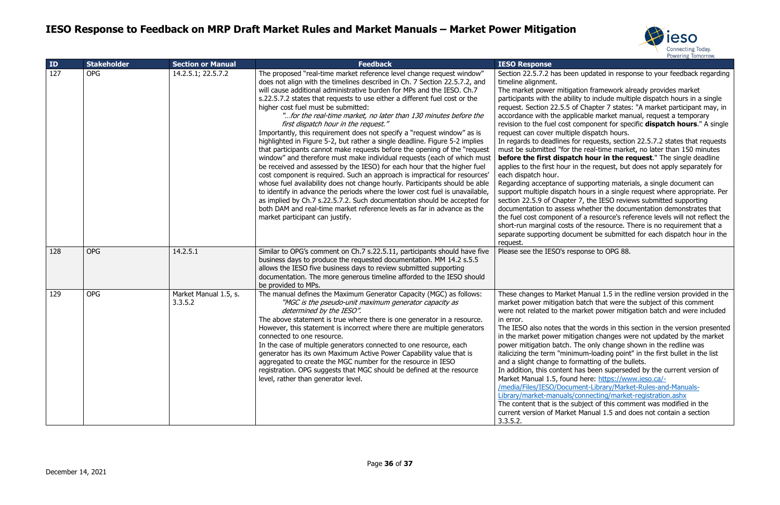

#### en updated in response to your feedback regarding

ation framework already provides market ility to include multiple dispatch hours in a single of Chapter 7 states: "A market participant may, in blicable market manual, request a temporary component for specific **dispatch hours**." A single ple dispatch hours.

for requests, section 22.5.7.2 states that requests the real-time market, no later than 150 minutes **tch hour in the request**." The single deadline in the request, but does not apply separately for

f supporting materials, a single document can ch hours in a single request where appropriate. Per er 7, the IESO reviews submitted supporting s whether the documentation demonstrates that of a resource's reference levels will not reflect the of the resource. There is no requirement that a cument be submitted for each dispatch hour in the

sponse to OPG 88.

et Manual 1.5 in the redline version provided in the batch that were the subject of this comment market power mitigation batch and were included

at the words in this section in the version presented igation changes were not updated by the market The only change shown in the redline was imum-loading point" in the first bullet in the list ormatting of the bullets.

has been superseded by the current version of nd here: [https://www.ieso.ca/-](https://www.ieso.ca/-/media/Files/IESO/Document-Library/Market-Rules-and-Manuals-Library/market-manuals/connecting/market-registration.ashx)

Iment-Library/Market-Rules-and-Manuals-/connecting/market-registration.ashx

subject of this comment was modified in the et Manual 1.5 and does not contain a section

| ID  | <b>Stakeholder</b> | <b>Section or Manual</b>         | <b>Feedback</b>                                                                                                                                                                                                                                                                                                                                                                                                                                                                                                                                                                                                                                                                                                                                                                                                                                                                                                                                                                                                                                                                                                                                                                                                                                                                                     | <b>IESO Response</b>                                                                                                                                                                                                                                                                                                                                                                                                                                                                                                                                                        |
|-----|--------------------|----------------------------------|-----------------------------------------------------------------------------------------------------------------------------------------------------------------------------------------------------------------------------------------------------------------------------------------------------------------------------------------------------------------------------------------------------------------------------------------------------------------------------------------------------------------------------------------------------------------------------------------------------------------------------------------------------------------------------------------------------------------------------------------------------------------------------------------------------------------------------------------------------------------------------------------------------------------------------------------------------------------------------------------------------------------------------------------------------------------------------------------------------------------------------------------------------------------------------------------------------------------------------------------------------------------------------------------------------|-----------------------------------------------------------------------------------------------------------------------------------------------------------------------------------------------------------------------------------------------------------------------------------------------------------------------------------------------------------------------------------------------------------------------------------------------------------------------------------------------------------------------------------------------------------------------------|
| 127 | <b>OPG</b>         | 14.2.5.1; 22.5.7.2               | The proposed "real-time market reference level change request window"<br>does not align with the timelines described in Ch. 7 Section 22.5.7.2, and<br>will cause additional administrative burden for MPs and the IESO. Ch.7<br>s.22.5.7.2 states that requests to use either a different fuel cost or the<br>higher cost fuel must be submitted:<br>"for the real-time market, no later than 130 minutes before the<br>first dispatch hour in the request."<br>Importantly, this requirement does not specify a "request window" as is<br>highlighted in Figure 5-2, but rather a single deadline. Figure 5-2 implies<br>that participants cannot make requests before the opening of the "request"<br>window" and therefore must make individual requests (each of which must<br>be received and assessed by the IESO) for each hour that the higher fuel<br>cost component is required. Such an approach is impractical for resources'<br>whose fuel availability does not change hourly. Participants should be able<br>to identify in advance the periods where the lower cost fuel is unavailable,<br>as implied by Ch.7 s.22.5.7.2. Such documentation should be accepted for<br>both DAM and real-time market reference levels as far in advance as the<br>market participant can justify. | Section 22.5.7.2 has bee<br>timeline alignment.<br>The market power mitig.<br>participants with the abi<br>request. Section 22.5.5<br>accordance with the app<br>revision to the fuel cost<br>request can cover multip<br>In regards to deadlines t<br>must be submitted "for t<br>before the first dispat<br>applies to the first hour<br>each dispatch hour.<br>Regarding acceptance of<br>support multiple dispatcl<br>section 22.5.9 of Chapte<br>documentation to assess<br>the fuel cost component<br>short-run marginal costs<br>separate supporting doc<br>request. |
| 128 | <b>OPG</b>         | 14.2.5.1                         | Similar to OPG's comment on Ch.7 s.22.5.11, participants should have five<br>business days to produce the requested documentation. MM 14.2 s.5.5<br>allows the IESO five business days to review submitted supporting<br>documentation. The more generous timeline afforded to the IESO should<br>be provided to MPs.                                                                                                                                                                                                                                                                                                                                                                                                                                                                                                                                                                                                                                                                                                                                                                                                                                                                                                                                                                               | Please see the IESO's re                                                                                                                                                                                                                                                                                                                                                                                                                                                                                                                                                    |
| 129 | <b>OPG</b>         | Market Manual 1.5, s.<br>3.3.5.2 | The manual defines the Maximum Generator Capacity (MGC) as follows:<br>"MGC is the pseudo-unit maximum generator capacity as<br>determined by the IESO".<br>The above statement is true where there is one generator in a resource.<br>However, this statement is incorrect where there are multiple generators<br>connected to one resource.<br>In the case of multiple generators connected to one resource, each<br>generator has its own Maximum Active Power Capability value that is<br>aggregated to create the MGC number for the resource in IESO<br>registration. OPG suggests that MGC should be defined at the resource<br>level, rather than generator level.                                                                                                                                                                                                                                                                                                                                                                                                                                                                                                                                                                                                                          | These changes to Marke<br>market power mitigation<br>were not related to the i<br>in error.<br>The IESO also notes tha<br>in the market power mit<br>power mitigation batch.<br>italicizing the term "mini<br>and a slight change to fo<br>In addition, this content<br>Market Manual 1.5, foun<br>/media/Files/IESO/Docul<br>Library/market-manuals<br>The content that is the s<br>current version of Marke<br>3.3.5.2.                                                                                                                                                   |